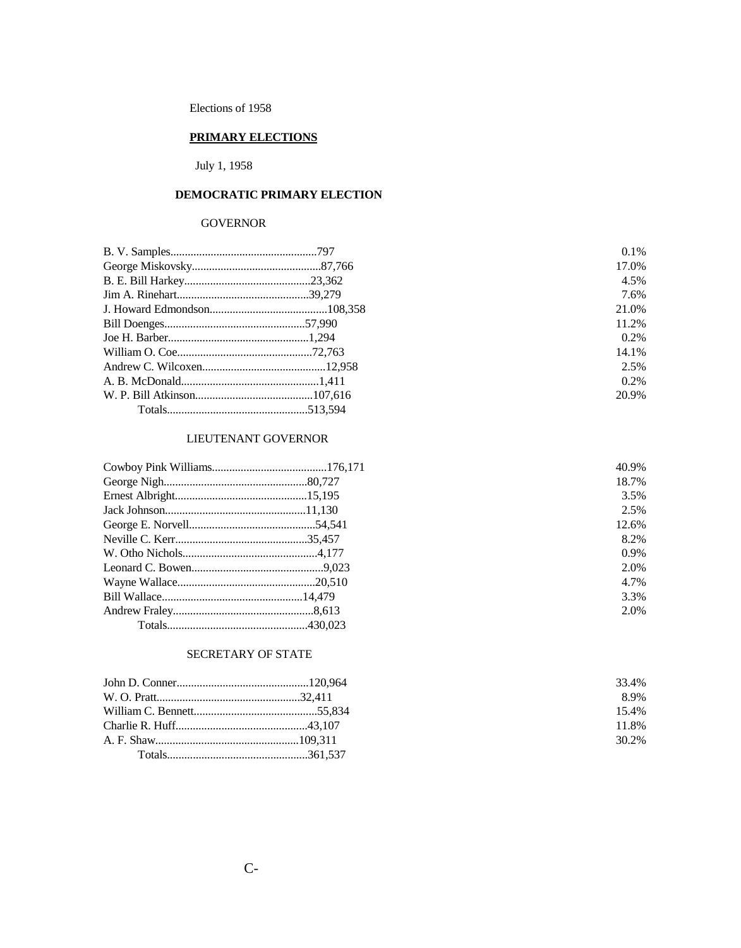# **PRIMARY ELECTIONS**

July 1, 1958

# **DEMOCRATIC PRIMARY ELECTION**

# GOVERNOR

|  | 0.1%  |
|--|-------|
|  | 17.0% |
|  | 4.5%  |
|  | 7.6%  |
|  | 21.0% |
|  | 11.2% |
|  | 0.2%  |
|  | 14.1% |
|  | 2.5%  |
|  | 0.2%  |
|  | 20.9% |
|  |       |

#### LIEUTENANT GOVERNOR

|  | 40.9% |
|--|-------|
|  | 18.7% |
|  | 3.5%  |
|  | 2.5%  |
|  | 12.6% |
|  | 8.2%  |
|  | 0.9%  |
|  | 2.0%  |
|  | 4.7%  |
|  | 3.3%  |
|  | 2.0%  |
|  |       |

#### SECRETARY OF STATE

|  | 33.4% |
|--|-------|
|  | 8.9%  |
|  | 15.4% |
|  | 11.8% |
|  | 30.2% |
|  |       |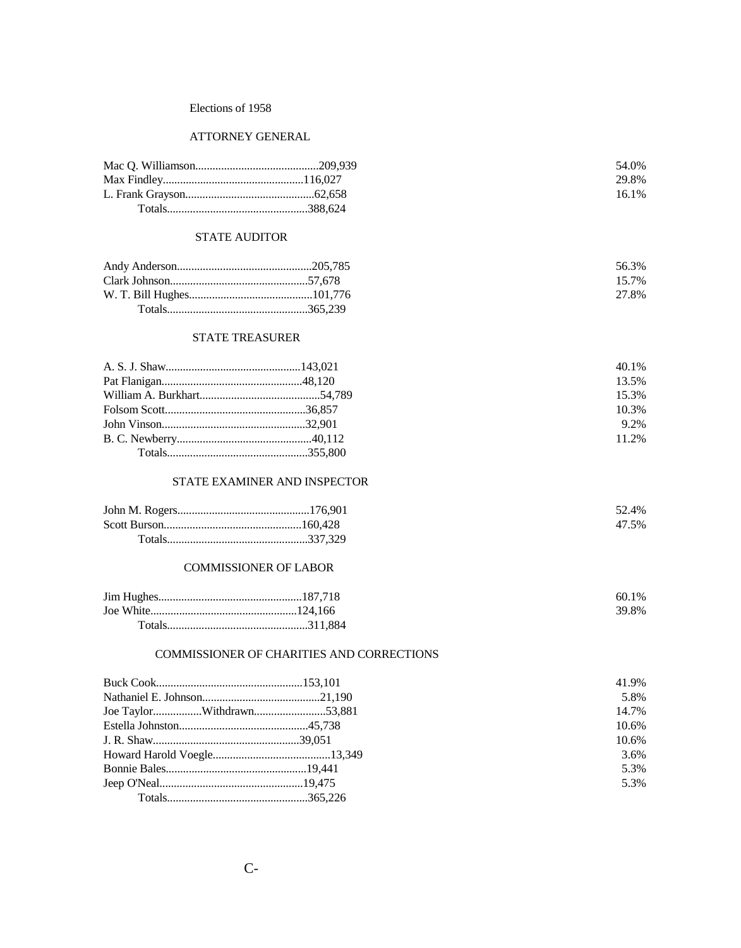# ATTORNEY GENERAL

|  | 54.0% |
|--|-------|
|  | 29.8% |
|  | 16.1% |
|  |       |

# STATE AUDITOR

|  | 56.3% |
|--|-------|
|  | 15.7% |
|  | 27.8% |
|  |       |

#### STATE TREASURER

|  | 40.1%   |
|--|---------|
|  | 13.5%   |
|  | 15.3%   |
|  | 10.3%   |
|  | $9.2\%$ |
|  | 11.2%   |
|  |         |

# STATE EXAMINER AND INSPECTOR

|  | 52.4% |
|--|-------|
|  | 47.5% |
|  |       |

# COMMISSIONER OF LABOR

|  | 60.1% |
|--|-------|
|  | 39.8% |
|  |       |

#### COMMISSIONER OF CHARITIES AND CORRECTIONS

|  | 41.9% |
|--|-------|
|  | 5.8%  |
|  | 14.7% |
|  | 10.6% |
|  | 10.6% |
|  | 3.6%  |
|  | 5.3%  |
|  | 5.3%  |
|  |       |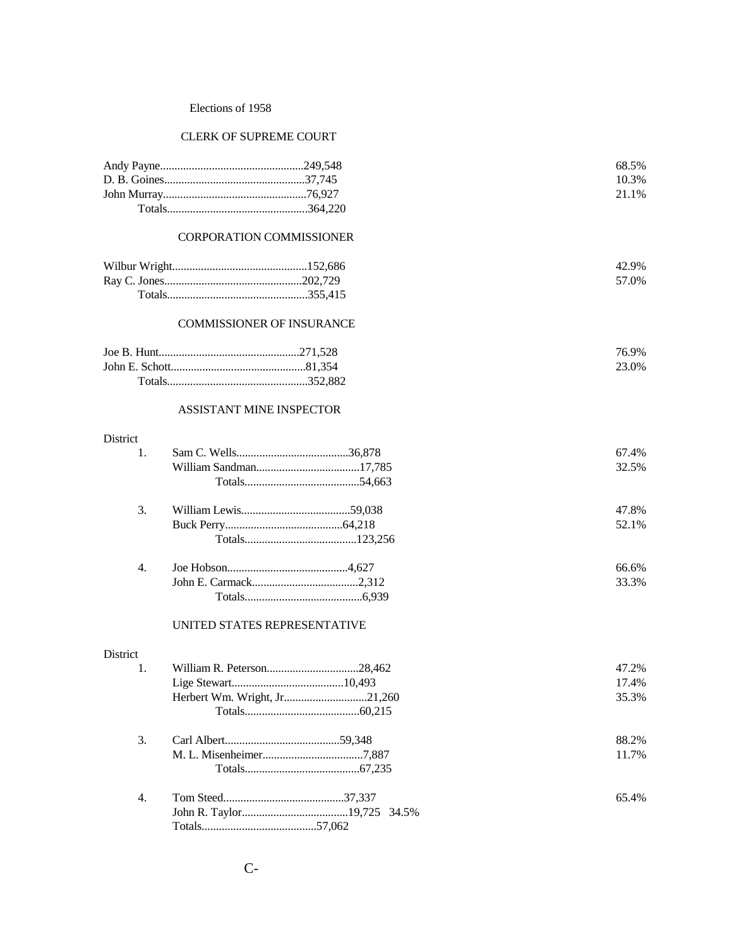# CLERK OF SUPREME COURT

|          |                                  | 68.5% |
|----------|----------------------------------|-------|
|          |                                  | 10.3% |
|          |                                  | 21.1% |
|          |                                  |       |
|          | CORPORATION COMMISSIONER         |       |
|          |                                  | 42.9% |
|          |                                  | 57.0% |
|          |                                  |       |
|          | <b>COMMISSIONER OF INSURANCE</b> |       |
|          |                                  | 76.9% |
|          |                                  | 23.0% |
|          |                                  |       |
|          | <b>ASSISTANT MINE INSPECTOR</b>  |       |
| District |                                  |       |
| 1.       |                                  | 67.4% |
|          |                                  | 32.5% |
|          |                                  |       |
| 3.       |                                  | 47.8% |
|          |                                  | 52.1% |
|          |                                  |       |
| 4.       |                                  | 66.6% |
|          |                                  | 33.3% |
|          |                                  |       |
|          | UNITED STATES REPRESENTATIVE     |       |
| District |                                  |       |
| 1.       |                                  | 47.2% |
|          |                                  | 17.4% |
|          | Herbert Wm. Wright, Jr21,260     | 35.3% |
|          |                                  |       |
| 3.       |                                  | 88.2% |
|          |                                  | 11.7% |
|          |                                  |       |
| 4.       |                                  | 65.4% |
|          |                                  |       |
|          |                                  |       |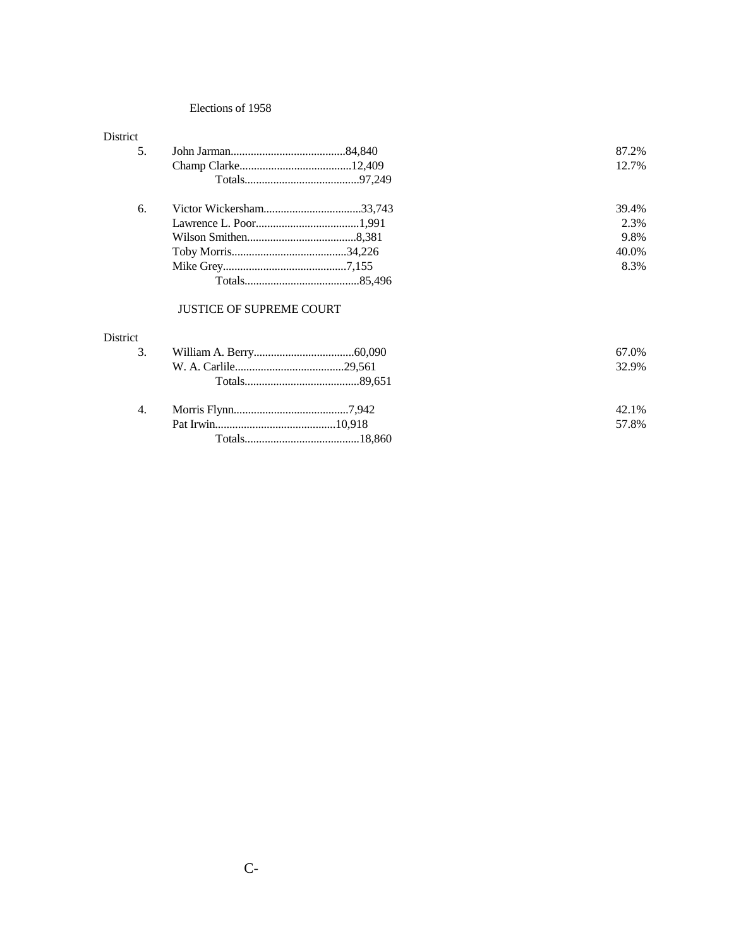# District

| 87.2% |
|-------|
| 12.7% |
|       |
| 39.4% |
| 2.3%  |
| 9.8%  |
| 40.0% |
| 8.3%  |
|       |
|       |
|       |
|       |

| 3. |  |  | 67.0% |
|----|--|--|-------|
|    |  |  | 32.9% |
|    |  |  |       |
| 4. |  |  | 42.1% |
|    |  |  | 57.8% |
|    |  |  |       |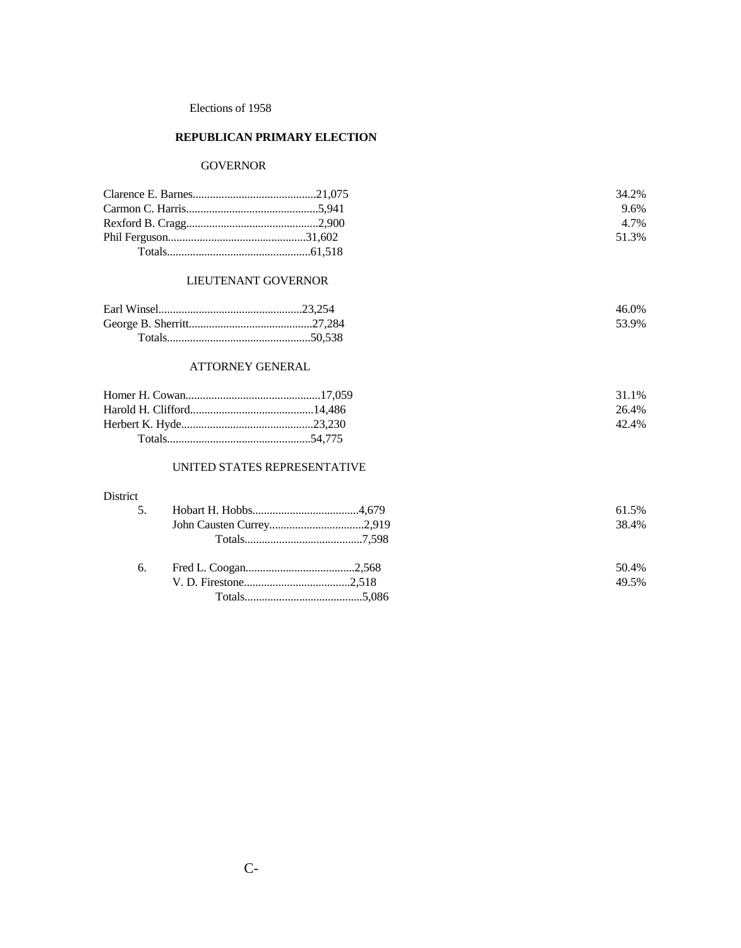# **REPUBLICAN PRIMARY ELECTION**

# GOVERNOR

|  | 34.2% |
|--|-------|
|  | 9.6%  |
|  | 4.7%  |
|  | 51.3% |
|  |       |

#### LIEUTENANT GOVERNOR

|  | 46.0% |
|--|-------|
|  | 53.9% |
|  |       |

#### ATTORNEY GENERAL

|  | 31.1% |
|--|-------|
|  | 26.4% |
|  | 42.4% |
|  |       |

# UNITED STATES REPRESENTATIVE

| 5. |  | 61.5% |
|----|--|-------|
|    |  | 38.4% |
|    |  |       |
|    |  |       |
| 6. |  | 50.4% |
|    |  | 49.5% |
|    |  |       |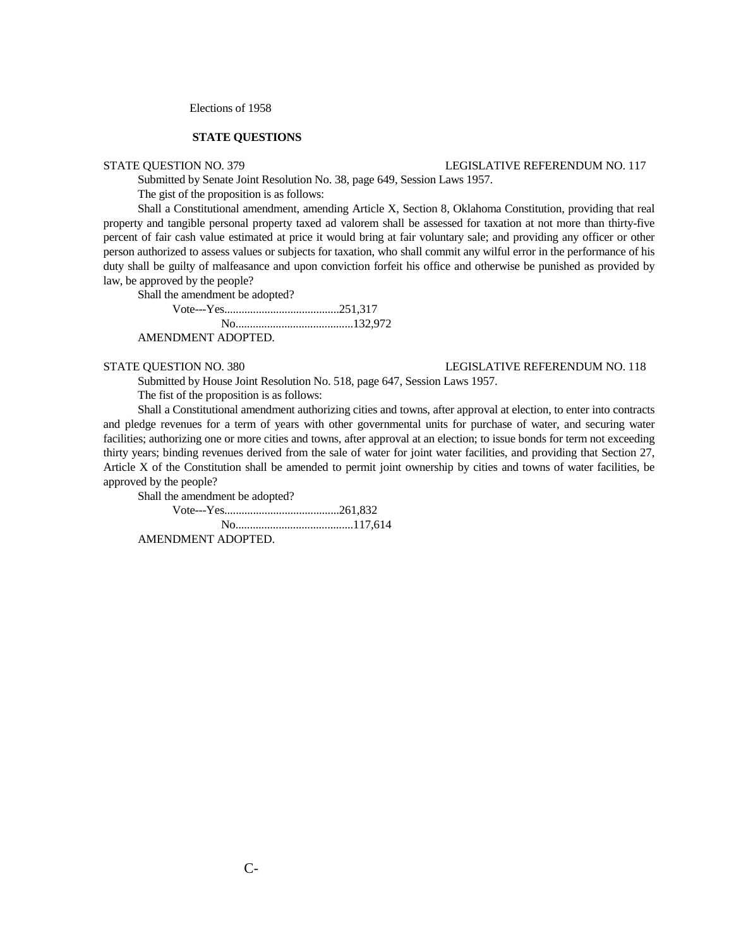# **STATE QUESTIONS**

# STATE QUESTION NO. 379 LEGISLATIVE REFERENDUM NO. 117

Submitted by Senate Joint Resolution No. 38, page 649, Session Laws 1957.

The gist of the proposition is as follows:

Shall a Constitutional amendment, amending Article X, Section 8, Oklahoma Constitution, providing that real property and tangible personal property taxed ad valorem shall be assessed for taxation at not more than thirty-five percent of fair cash value estimated at price it would bring at fair voluntary sale; and providing any officer or other person authorized to assess values or subjects for taxation, who shall commit any wilful error in the performance of his duty shall be guilty of malfeasance and upon conviction forfeit his office and otherwise be punished as provided by law, be approved by the people?

Shall the amendment be adopted?

Vote---Yes........................................251,317 No.........................................132,972 AMENDMENT ADOPTED.

#### STATE QUESTION NO. 380 LEGISLATIVE REFERENDUM NO. 118

Submitted by House Joint Resolution No. 518, page 647, Session Laws 1957.

The fist of the proposition is as follows:

Shall a Constitutional amendment authorizing cities and towns, after approval at election, to enter into contracts and pledge revenues for a term of years with other governmental units for purchase of water, and securing water facilities; authorizing one or more cities and towns, after approval at an election; to issue bonds for term not exceeding thirty years; binding revenues derived from the sale of water for joint water facilities, and providing that Section 27, Article X of the Constitution shall be amended to permit joint ownership by cities and towns of water facilities, be approved by the people?

Shall the amendment be adopted?

| AMENDMENT ADOPTED. |  |
|--------------------|--|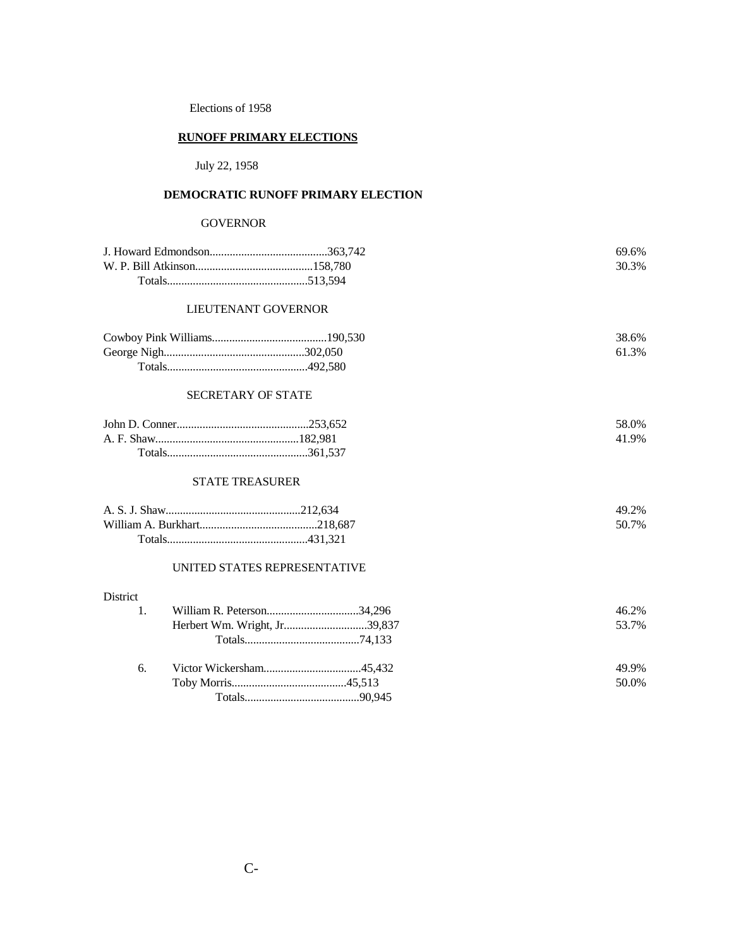# **RUNOFF PRIMARY ELECTIONS**

July 22, 1958

# **DEMOCRATIC RUNOFF PRIMARY ELECTION**

# GOVERNOR

|          |                              | 69.6% |
|----------|------------------------------|-------|
|          |                              | 30.3% |
|          |                              |       |
|          | <b>LIEUTENANT GOVERNOR</b>   |       |
|          |                              | 38.6% |
|          |                              | 61.3% |
|          |                              |       |
|          | <b>SECRETARY OF STATE</b>    |       |
|          |                              | 58.0% |
|          |                              | 41.9% |
|          |                              |       |
|          | <b>STATE TREASURER</b>       |       |
|          |                              | 49.2% |
|          |                              | 50.7% |
|          |                              |       |
|          | UNITED STATES REPRESENTATIVE |       |
| District |                              |       |
| 1.       |                              | 46.2% |
|          | Herbert Wm. Wright, Jr39,837 | 53.7% |
|          |                              |       |
| 6.       |                              | 49.9% |
|          |                              | 50.0% |
|          |                              |       |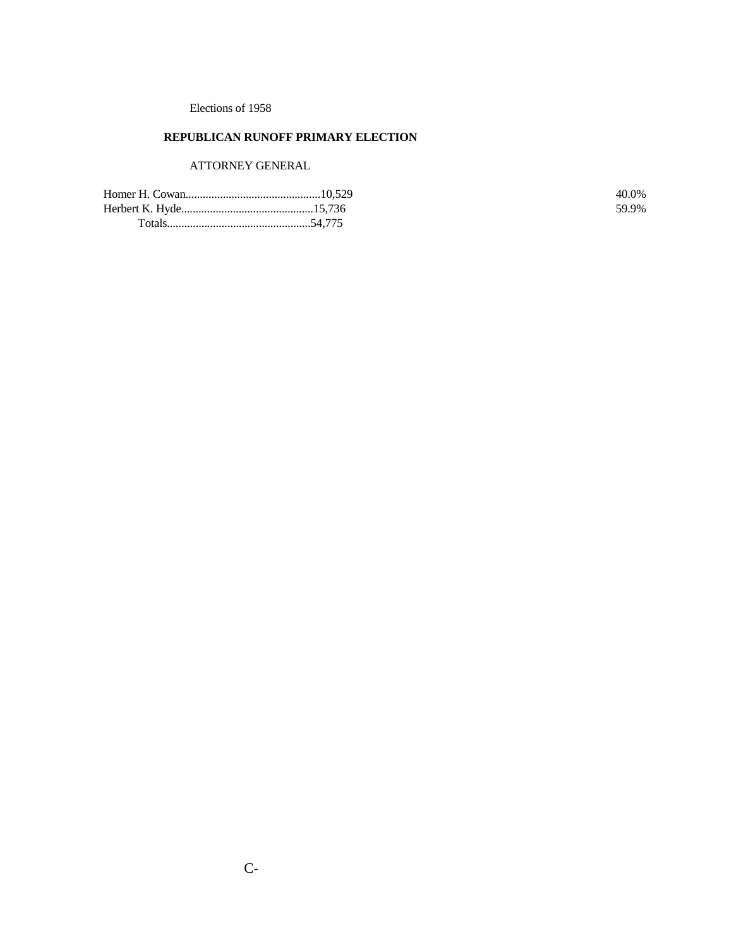# **REPUBLICAN RUNOFF PRIMARY ELECTION**

# ATTORNEY GENERAL

|  | 40.0% |
|--|-------|
|  | 59.9% |
|  |       |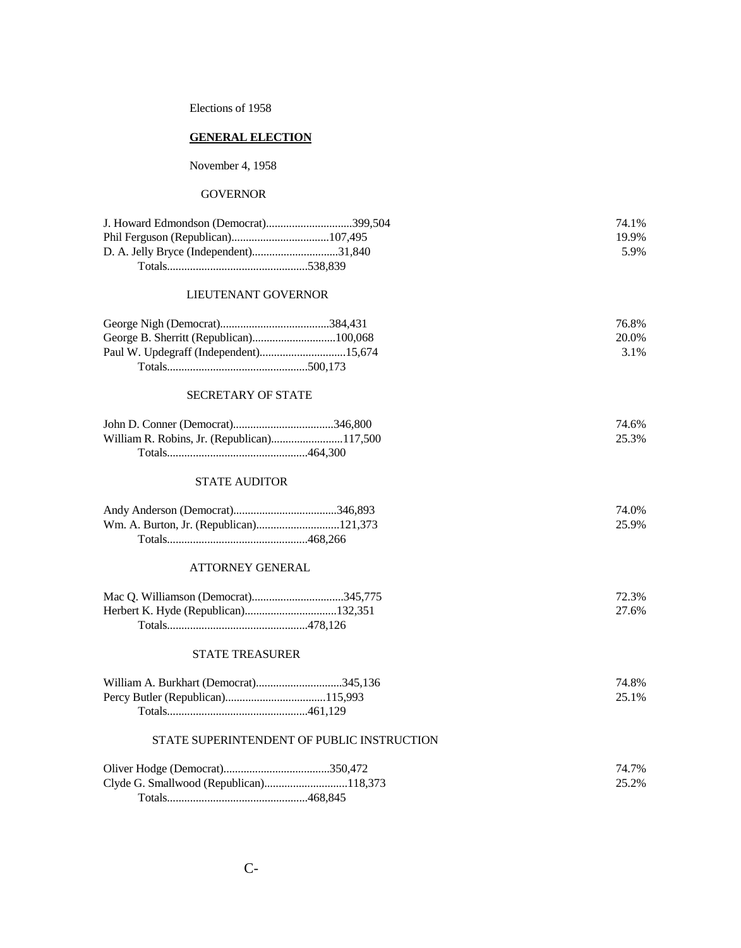# **GENERAL ELECTION**

November 4, 1958

# GOVERNOR

| J. Howard Edmondson (Democrat)399,504      | 74.1% |
|--------------------------------------------|-------|
|                                            | 19.9% |
| D. A. Jelly Bryce (Independent)31,840      | 5.9%  |
|                                            |       |
| LIEUTENANT GOVERNOR                        |       |
|                                            | 76.8% |
| George B. Sherritt (Republican)100,068     | 20.0% |
| Paul W. Updegraff (Independent)15,674      | 3.1%  |
|                                            |       |
| <b>SECRETARY OF STATE</b>                  |       |
|                                            | 74.6% |
| William R. Robins, Jr. (Republican)117,500 | 25.3% |
|                                            |       |
| <b>STATE AUDITOR</b>                       |       |
|                                            | 74.0% |
| Wm. A. Burton, Jr. (Republican)121,373     | 25.9% |
|                                            |       |
| ATTORNEY GENERAL                           |       |
|                                            | 72.3% |
|                                            | 27.6% |
|                                            |       |
| <b>STATE TREASURER</b>                     |       |
| William A. Burkhart (Democrat)345,136      | 74.8% |
|                                            | 25.1% |
|                                            |       |
| STATE SUPERINTENDENT OF PUBLIC INSTRUCTION |       |
|                                            | 74.7% |
| Clyde G. Smallwood (Republican)118,373     | 25.2% |
|                                            |       |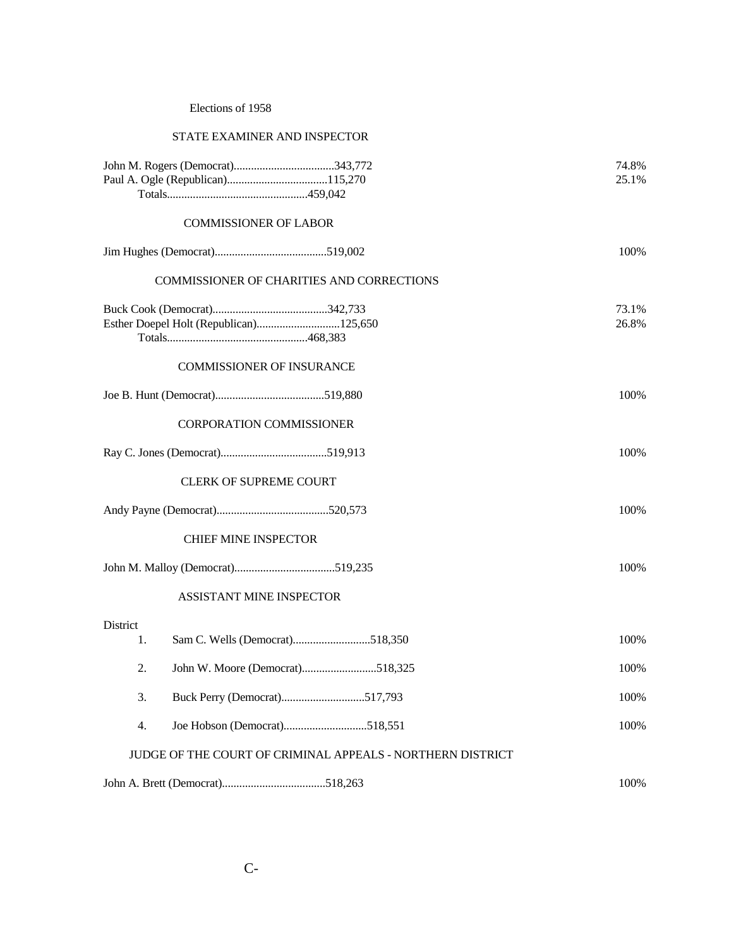# STATE EXAMINER AND INSPECTOR

|                                        |                                                            | 74.8% |
|----------------------------------------|------------------------------------------------------------|-------|
|                                        |                                                            | 25.1% |
|                                        |                                                            |       |
| <b>COMMISSIONER OF LABOR</b>           |                                                            |       |
|                                        |                                                            | 100%  |
|                                        | <b>COMMISSIONER OF CHARITIES AND CORRECTIONS</b>           |       |
|                                        |                                                            | 73.1% |
| Esther Doepel Holt (Republican)125,650 |                                                            | 26.8% |
|                                        |                                                            |       |
| <b>COMMISSIONER OF INSURANCE</b>       |                                                            |       |
|                                        |                                                            | 100%  |
| <b>CORPORATION COMMISSIONER</b>        |                                                            |       |
|                                        |                                                            | 100%  |
| <b>CLERK OF SUPREME COURT</b>          |                                                            |       |
|                                        |                                                            | 100%  |
| <b>CHIEF MINE INSPECTOR</b>            |                                                            |       |
|                                        |                                                            | 100%  |
| <b>ASSISTANT MINE INSPECTOR</b>        |                                                            |       |
| <b>District</b>                        |                                                            |       |
| 1.                                     |                                                            | 100%  |
| 2.                                     | John W. Moore (Democrat)518,325                            | 100%  |
| 3.                                     | Buck Perry (Democrat)517,793                               | 100%  |
| 4.                                     |                                                            | 100%  |
|                                        | JUDGE OF THE COURT OF CRIMINAL APPEALS - NORTHERN DISTRICT |       |
|                                        |                                                            | 100%  |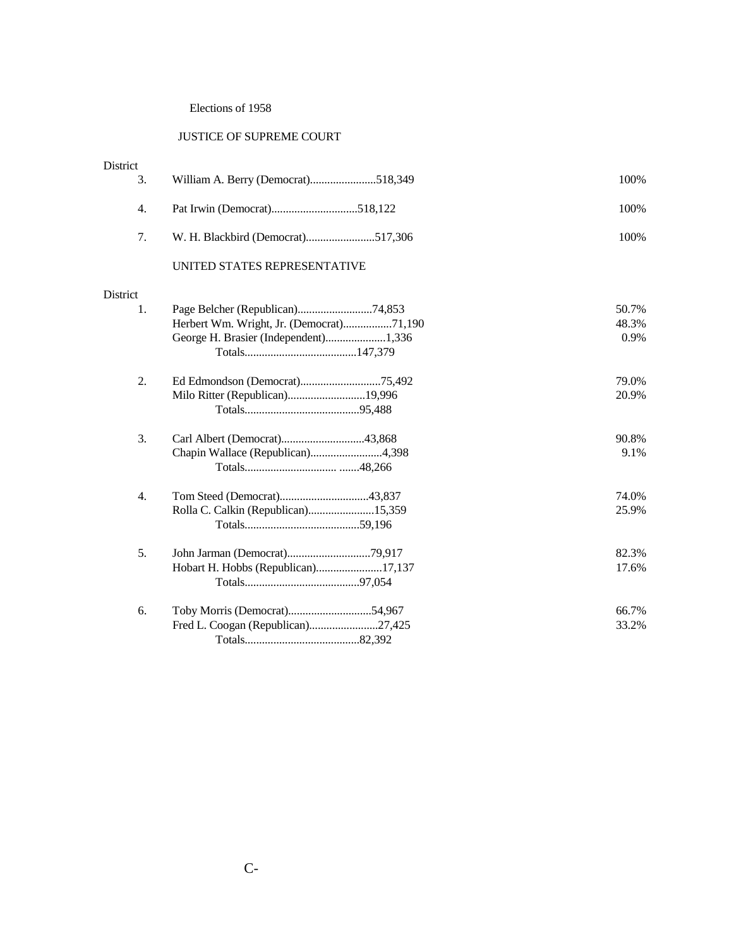# JUSTICE OF SUPREME COURT

| 3.       | William A. Berry (Democrat)518,349       | 100%  |
|----------|------------------------------------------|-------|
| 4.       |                                          | 100%  |
| 7.       | W. H. Blackbird (Democrat)517,306        | 100%  |
|          | UNITED STATES REPRESENTATIVE             |       |
| District |                                          |       |
| 1.       |                                          | 50.7% |
|          | Herbert Wm. Wright, Jr. (Democrat)71,190 | 48.3% |
|          | George H. Brasier (Independent)1,336     | 0.9%  |
|          |                                          |       |
| 2.       |                                          | 79.0% |
|          | Milo Ritter (Republican)19,996           | 20.9% |
|          |                                          |       |
| 3.       | Carl Albert (Democrat)43,868             | 90.8% |
|          | Chapin Wallace (Republican)4,398         | 9.1%  |
|          |                                          |       |
| 4.       |                                          | 74.0% |
|          | Rolla C. Calkin (Republican)15,359       | 25.9% |
|          |                                          |       |
| 5.       |                                          | 82.3% |
|          | Hobart H. Hobbs (Republican)17,137       | 17.6% |
|          |                                          |       |
| 6.       | Toby Morris (Democrat)54,967             | 66.7% |
|          | Fred L. Coogan (Republican)27,425        | 33.2% |
|          |                                          |       |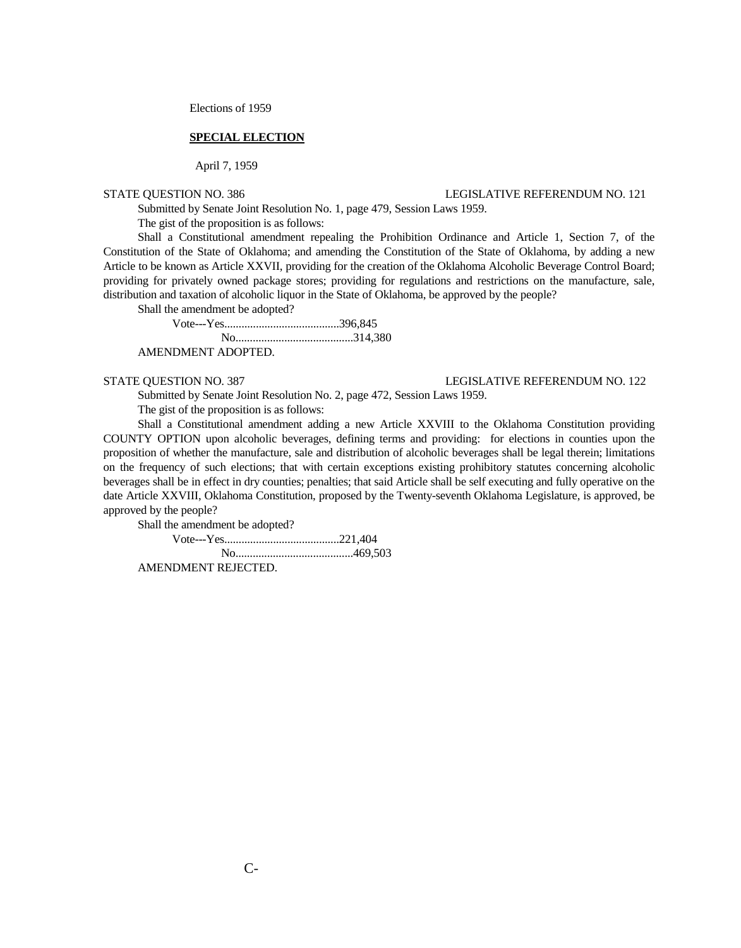# **SPECIAL ELECTION**

April 7, 1959

# STATE QUESTION NO. 386 LEGISLATIVE REFERENDUM NO. 121

Submitted by Senate Joint Resolution No. 1, page 479, Session Laws 1959. The gist of the proposition is as follows:

Shall a Constitutional amendment repealing the Prohibition Ordinance and Article 1, Section 7, of the Constitution of the State of Oklahoma; and amending the Constitution of the State of Oklahoma, by adding a new Article to be known as Article XXVII, providing for the creation of the Oklahoma Alcoholic Beverage Control Board; providing for privately owned package stores; providing for regulations and restrictions on the manufacture, sale, distribution and taxation of alcoholic liquor in the State of Oklahoma, be approved by the people?

Shall the amendment be adopted?

AMENDMENT ADOPTED.

# STATE QUESTION NO. 387 LEGISLATIVE REFERENDUM NO. 122

Submitted by Senate Joint Resolution No. 2, page 472, Session Laws 1959.

The gist of the proposition is as follows:

Shall a Constitutional amendment adding a new Article XXVIII to the Oklahoma Constitution providing COUNTY OPTION upon alcoholic beverages, defining terms and providing: for elections in counties upon the proposition of whether the manufacture, sale and distribution of alcoholic beverages shall be legal therein; limitations on the frequency of such elections; that with certain exceptions existing prohibitory statutes concerning alcoholic beverages shall be in effect in dry counties; penalties; that said Article shall be self executing and fully operative on the date Article XXVIII, Oklahoma Constitution, proposed by the Twenty-seventh Oklahoma Legislature, is approved, be approved by the people?

Shall the amendment be adopted?

| AMENDMENT REJECTED. |  |
|---------------------|--|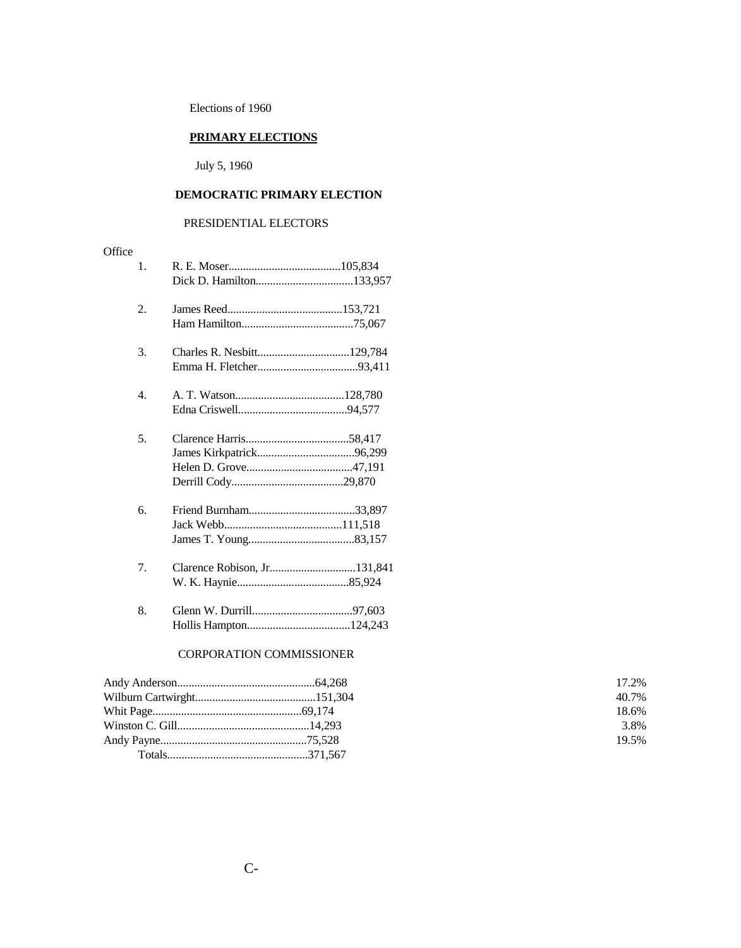# **PRIMARY ELECTIONS**

July 5, 1960

# **DEMOCRATIC PRIMARY ELECTION**

# PRESIDENTIAL ELECTORS

# **Office**

| $\mathbf{1}$ . |                             |
|----------------|-----------------------------|
|                |                             |
| 2.             |                             |
|                |                             |
| 3.             |                             |
|                |                             |
| $\mathbf{4}$ . |                             |
|                |                             |
| 5.             |                             |
|                |                             |
|                |                             |
|                |                             |
| б.             |                             |
|                |                             |
|                |                             |
| 7 <sub>1</sub> | Clarence Robison, Jr131,841 |
|                |                             |
| 8.             |                             |
|                |                             |
|                | CORPORATION COMMISSIONER    |

|  | 17.2% |
|--|-------|
|  | 40.7% |
|  | 18.6% |
|  | 3.8%  |
|  | 19.5% |
|  |       |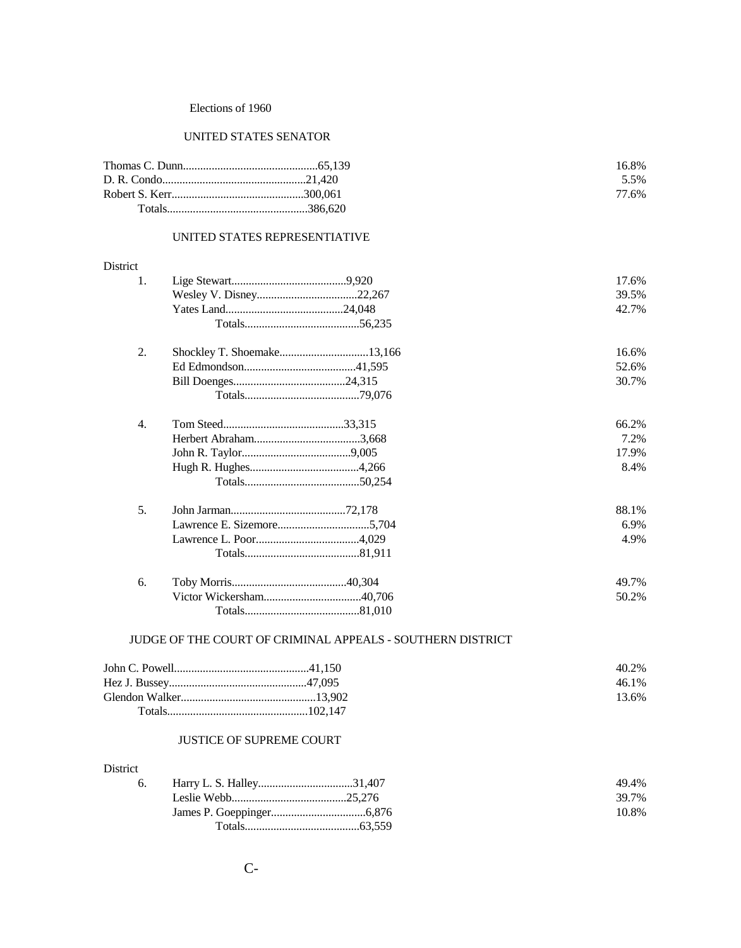#### UNITED STATES SENATOR

|  | 16.8% |
|--|-------|
|  | 5.5%  |
|  | 77.6% |
|  |       |

# UNITED STATES REPRESENTIATIVE

#### District

| 1. |                            | 17.6% |
|----|----------------------------|-------|
|    |                            | 39.5% |
|    |                            | 42.7% |
|    |                            |       |
| 2. | Shockley T. Shoemake13,166 | 16.6% |
|    |                            | 52.6% |
|    |                            | 30.7% |
|    |                            |       |
| 4. |                            | 66.2% |
|    |                            | 7.2%  |
|    |                            | 17.9% |
|    |                            | 8.4%  |
|    |                            |       |
| 5. |                            | 88.1% |
|    |                            | 6.9%  |
|    |                            | 4.9%  |
|    |                            |       |
| 6. |                            | 49.7% |
|    |                            | 50.2% |
|    |                            |       |

# JUDGE OF THE COURT OF CRIMINAL APPEALS - SOUTHERN DISTRICT

|  | 40.2% |
|--|-------|
|  | 46.1% |
|  | 13.6% |
|  |       |

# JUSTICE OF SUPREME COURT

| 6. |  | 49.4% |
|----|--|-------|
|    |  | 39.7% |
|    |  | 10.8% |
|    |  |       |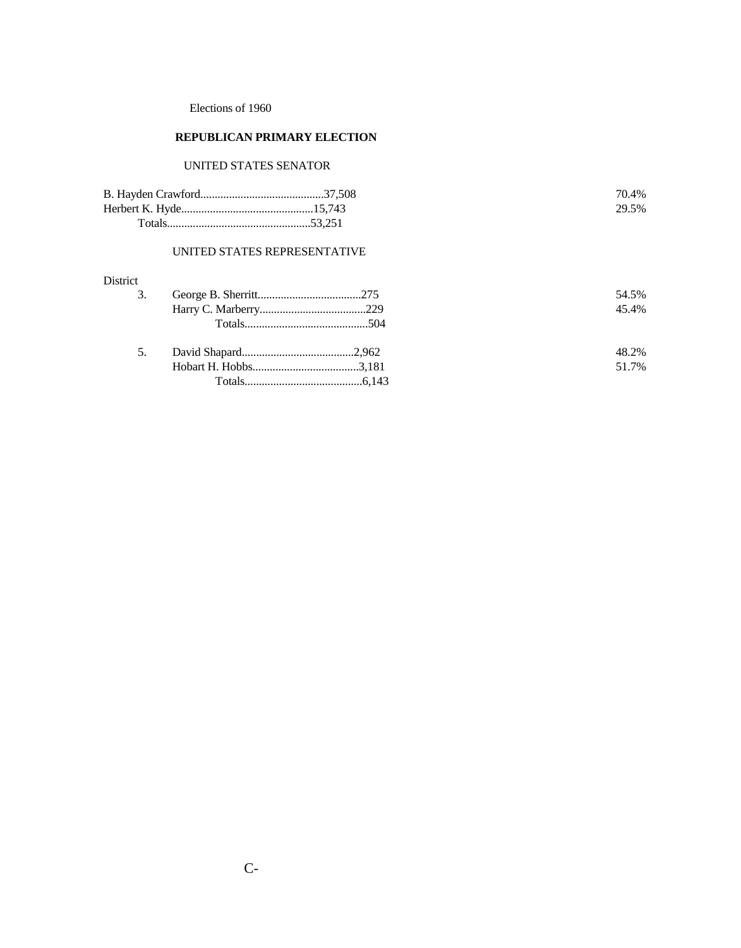# **REPUBLICAN PRIMARY ELECTION**

# UNITED STATES SENATOR

|  | 70.4% |
|--|-------|
|  | 29.5% |
|  |       |

# UNITED STATES REPRESENTATIVE

|    |  | 54.5% |
|----|--|-------|
|    |  | 45.4% |
|    |  |       |
| 5. |  | 48.2% |
|    |  | 51.7% |
|    |  |       |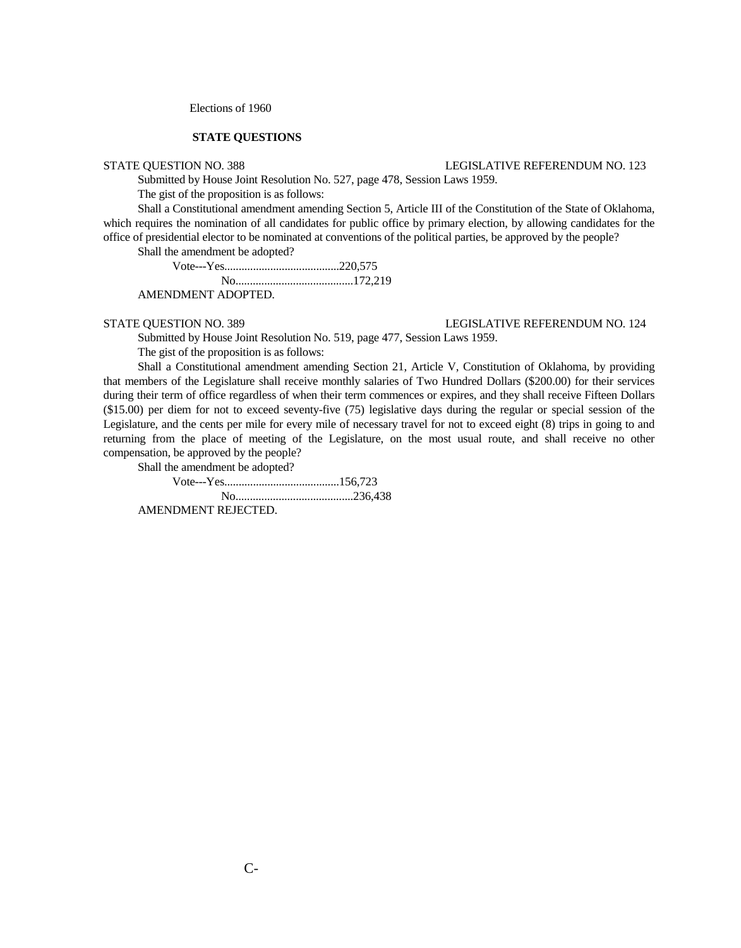# **STATE QUESTIONS**

# STATE QUESTION NO. 388 LEGISLATIVE REFERENDUM NO. 123

Submitted by House Joint Resolution No. 527, page 478, Session Laws 1959.

The gist of the proposition is as follows:

Shall a Constitutional amendment amending Section 5, Article III of the Constitution of the State of Oklahoma, which requires the nomination of all candidates for public office by primary election, by allowing candidates for the office of presidential elector to be nominated at conventions of the political parties, be approved by the people?

Shall the amendment be adopted?

| DI JELIEL LOOPED |  |
|------------------|--|

AMENDMENT ADOPTED.

# STATE QUESTION NO. 389 LEGISLATIVE REFERENDUM NO. 124

Submitted by House Joint Resolution No. 519, page 477, Session Laws 1959.

The gist of the proposition is as follows:

Shall a Constitutional amendment amending Section 21, Article V, Constitution of Oklahoma, by providing that members of the Legislature shall receive monthly salaries of Two Hundred Dollars (\$200.00) for their services during their term of office regardless of when their term commences or expires, and they shall receive Fifteen Dollars (\$15.00) per diem for not to exceed seventy-five (75) legislative days during the regular or special session of the Legislature, and the cents per mile for every mile of necessary travel for not to exceed eight (8) trips in going to and returning from the place of meeting of the Legislature, on the most usual route, and shall receive no other compensation, be approved by the people?

Shall the amendment be adopted?

| AMENDMENT REJECTED. |  |
|---------------------|--|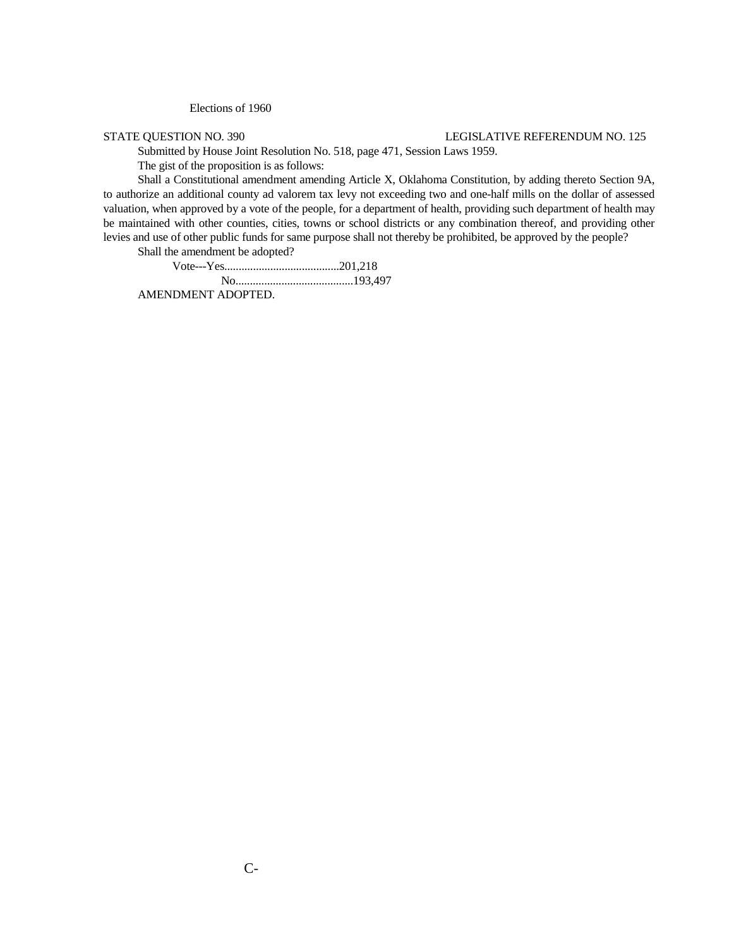#### STATE QUESTION NO. 390 LEGISLATIVE REFERENDUM NO. 125

Submitted by House Joint Resolution No. 518, page 471, Session Laws 1959. The gist of the proposition is as follows:

Shall a Constitutional amendment amending Article X, Oklahoma Constitution, by adding thereto Section 9A, to authorize an additional county ad valorem tax levy not exceeding two and one-half mills on the dollar of assessed valuation, when approved by a vote of the people, for a department of health, providing such department of health may be maintained with other counties, cities, towns or school districts or any combination thereof, and providing other levies and use of other public funds for same purpose shall not thereby be prohibited, be approved by the people?

Shall the amendment be adopted?

Vote---Yes........................................201,218 No.........................................193,497 AMENDMENT ADOPTED.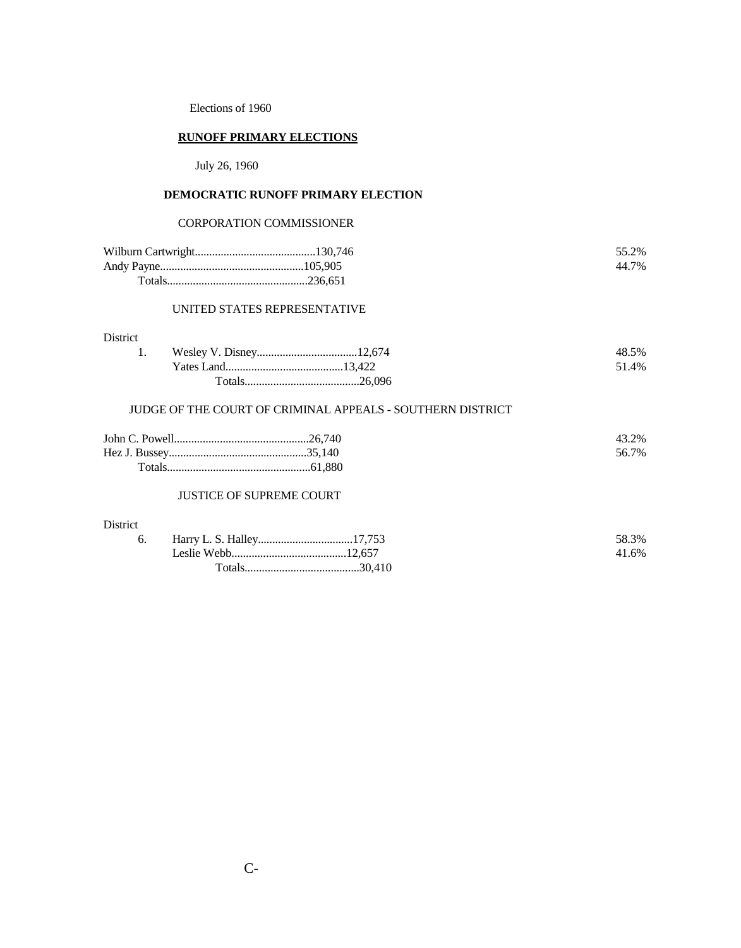# **RUNOFF PRIMARY ELECTIONS**

July 26, 1960

# **DEMOCRATIC RUNOFF PRIMARY ELECTION**

#### CORPORATION COMMISSIONER

|  | 55.2% |
|--|-------|
|  | 44.7% |
|  |       |

# UNITED STATES REPRESENTATIVE

#### District

|  | 48.5% |
|--|-------|
|  | 51.4% |
|  |       |

# JUDGE OF THE COURT OF CRIMINAL APPEALS - SOUTHERN DISTRICT

|  | 43.2% |
|--|-------|
|  | 56.7% |
|  |       |

### JUSTICE OF SUPREME COURT

|  | 58.3% |
|--|-------|
|  | 41.6% |
|  |       |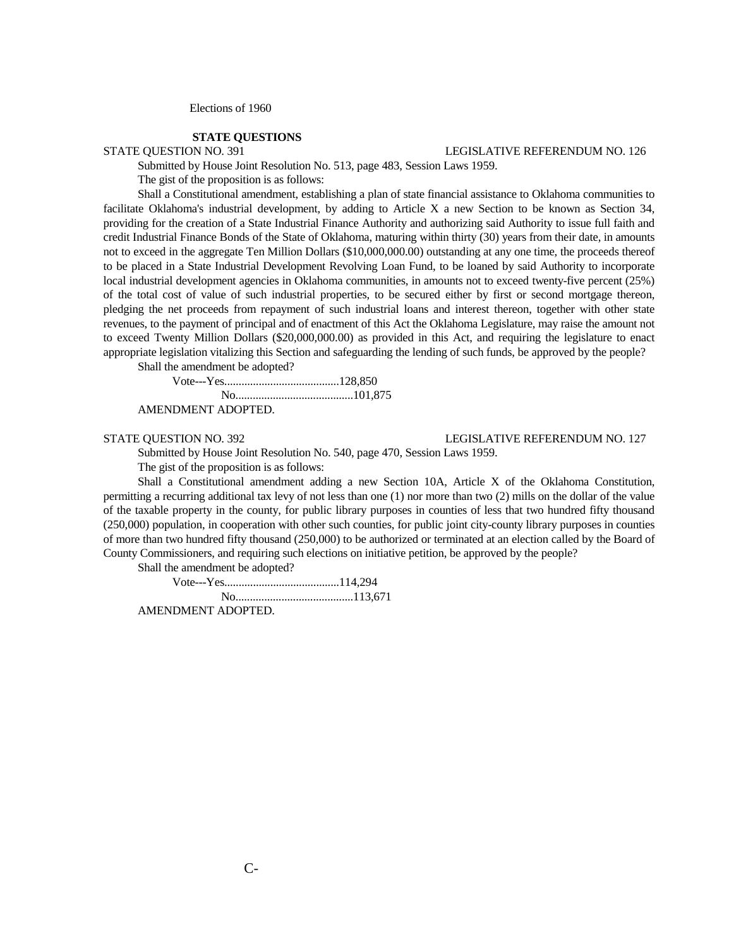# **STATE QUESTIONS**

# STATE QUESTION NO. 391 LEGISLATIVE REFERENDUM NO. 126

Submitted by House Joint Resolution No. 513, page 483, Session Laws 1959.

The gist of the proposition is as follows:

Shall a Constitutional amendment, establishing a plan of state financial assistance to Oklahoma communities to facilitate Oklahoma's industrial development, by adding to Article X a new Section to be known as Section 34, providing for the creation of a State Industrial Finance Authority and authorizing said Authority to issue full faith and credit Industrial Finance Bonds of the State of Oklahoma, maturing within thirty (30) years from their date, in amounts not to exceed in the aggregate Ten Million Dollars (\$10,000,000.00) outstanding at any one time, the proceeds thereof to be placed in a State Industrial Development Revolving Loan Fund, to be loaned by said Authority to incorporate local industrial development agencies in Oklahoma communities, in amounts not to exceed twenty-five percent (25%) of the total cost of value of such industrial properties, to be secured either by first or second mortgage thereon, pledging the net proceeds from repayment of such industrial loans and interest thereon, together with other state revenues, to the payment of principal and of enactment of this Act the Oklahoma Legislature, may raise the amount not to exceed Twenty Million Dollars (\$20,000,000.00) as provided in this Act, and requiring the legislature to enact appropriate legislation vitalizing this Section and safeguarding the lending of such funds, be approved by the people?

Shall the amendment be adopted?

| AMENDMENT ADOPTED. |  |
|--------------------|--|

#### STATE QUESTION NO. 392 LEGISLATIVE REFERENDUM NO. 127

Submitted by House Joint Resolution No. 540, page 470, Session Laws 1959.

The gist of the proposition is as follows:

Shall a Constitutional amendment adding a new Section 10A, Article X of the Oklahoma Constitution, permitting a recurring additional tax levy of not less than one (1) nor more than two (2) mills on the dollar of the value of the taxable property in the county, for public library purposes in counties of less that two hundred fifty thousand (250,000) population, in cooperation with other such counties, for public joint city-county library purposes in counties of more than two hundred fifty thousand (250,000) to be authorized or terminated at an election called by the Board of County Commissioners, and requiring such elections on initiative petition, be approved by the people?

Shall the amendment be adopted?

| AMENDMENT ADOPTED. |  |
|--------------------|--|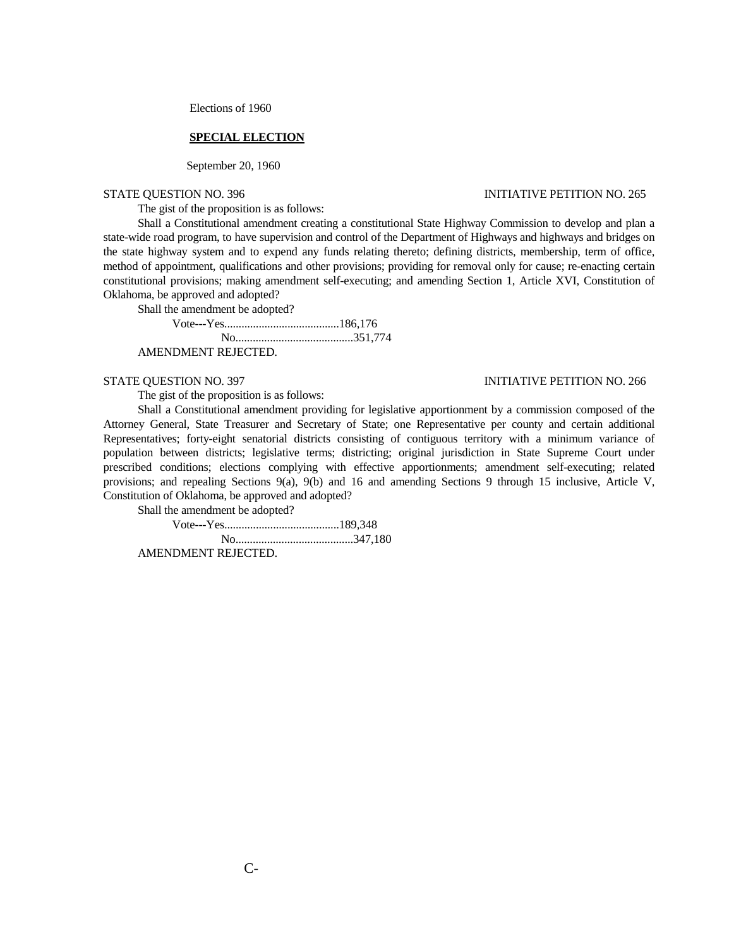# **SPECIAL ELECTION**

September 20, 1960

#### STATE QUESTION NO. 396 INITIATIVE PETITION NO. 265

The gist of the proposition is as follows:

Shall a Constitutional amendment creating a constitutional State Highway Commission to develop and plan a state-wide road program, to have supervision and control of the Department of Highways and highways and bridges on the state highway system and to expend any funds relating thereto; defining districts, membership, term of office, method of appointment, qualifications and other provisions; providing for removal only for cause; re-enacting certain constitutional provisions; making amendment self-executing; and amending Section 1, Article XVI, Constitution of Oklahoma, be approved and adopted?

Shall the amendment be adopted?

Vote---Yes........................................186,176 No.........................................351,774

AMENDMENT REJECTED.

#### STATE QUESTION NO. 397 INITIATIVE PETITION NO. 266

The gist of the proposition is as follows:

Shall a Constitutional amendment providing for legislative apportionment by a commission composed of the Attorney General, State Treasurer and Secretary of State; one Representative per county and certain additional Representatives; forty-eight senatorial districts consisting of contiguous territory with a minimum variance of population between districts; legislative terms; districting; original jurisdiction in State Supreme Court under prescribed conditions; elections complying with effective apportionments; amendment self-executing; related provisions; and repealing Sections 9(a), 9(b) and 16 and amending Sections 9 through 15 inclusive, Article V, Constitution of Oklahoma, be approved and adopted?

Shall the amendment be adopted?

Vote---Yes........................................189,348 No.........................................347,180 AMENDMENT REJECTED.

# C-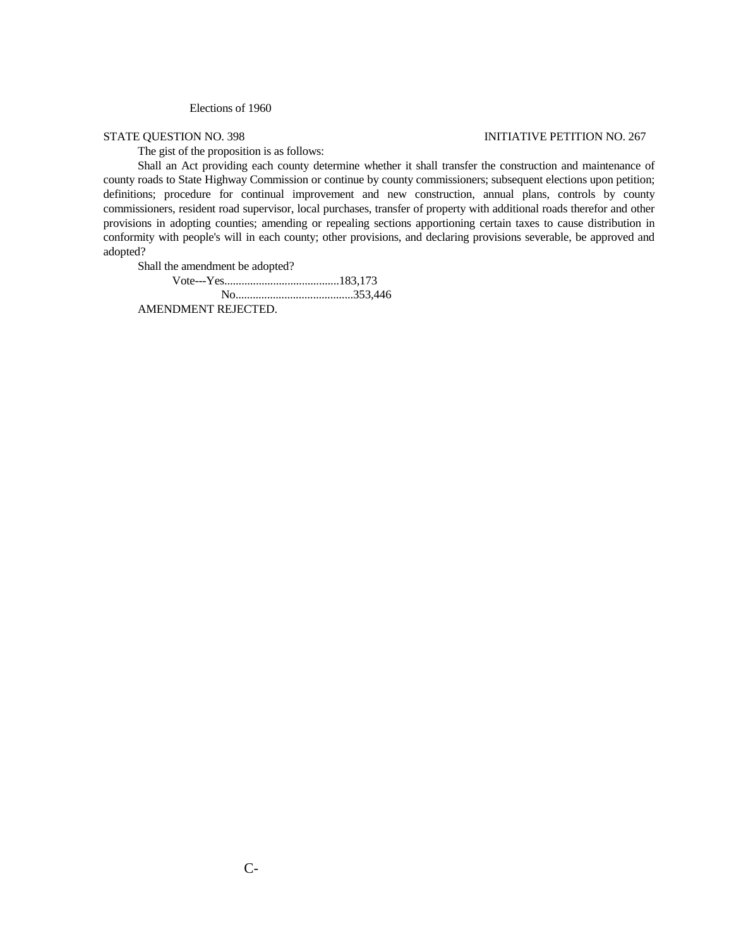The gist of the proposition is as follows:

Shall an Act providing each county determine whether it shall transfer the construction and maintenance of county roads to State Highway Commission or continue by county commissioners; subsequent elections upon petition; definitions; procedure for continual improvement and new construction, annual plans, controls by county commissioners, resident road supervisor, local purchases, transfer of property with additional roads therefor and other provisions in adopting counties; amending or repealing sections apportioning certain taxes to cause distribution in conformity with people's will in each county; other provisions, and declaring provisions severable, be approved and adopted?

Shall the amendment be adopted?

Vote---Yes........................................183,173 No.........................................353,446 AMENDMENT REJECTED.

#### STATE QUESTION NO. 398 INITIATIVE PETITION NO. 267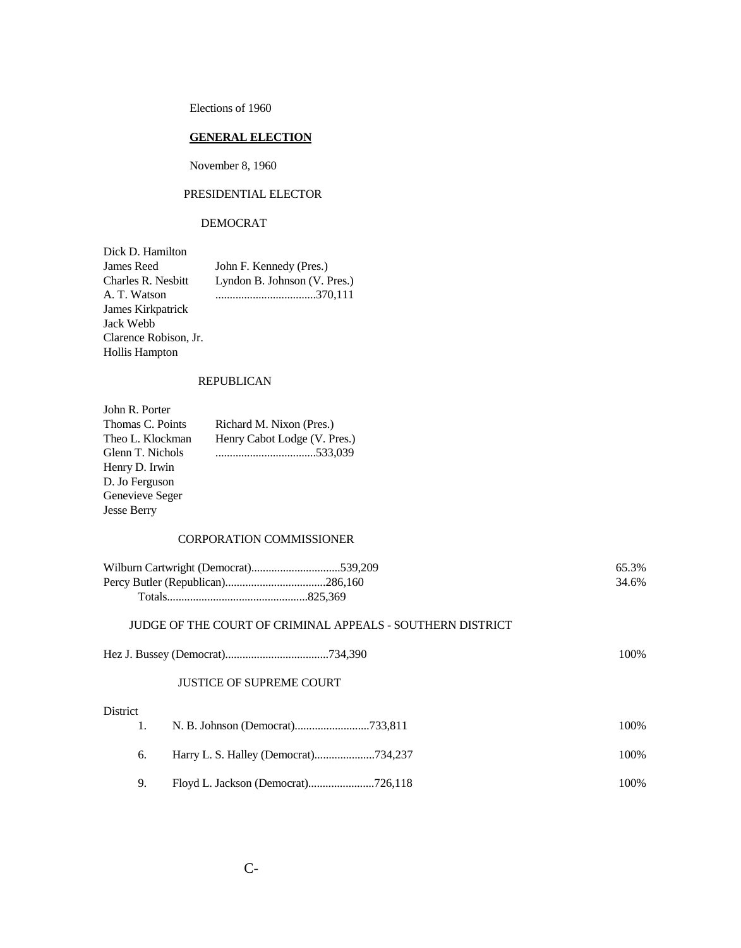# **GENERAL ELECTION**

November 8, 1960

# PRESIDENTIAL ELECTOR

# DEMOCRAT

| John F. Kennedy (Pres.)      |
|------------------------------|
| Lyndon B. Johnson (V. Pres.) |
| 370,111                      |
|                              |
|                              |
|                              |
|                              |
|                              |

# REPUBLICAN

| John R. Porter     |                              |
|--------------------|------------------------------|
| Thomas C. Points   | Richard M. Nixon (Pres.)     |
| Theo L. Klockman   | Henry Cabot Lodge (V. Pres.) |
| Glenn T. Nichols   |                              |
| Henry D. Irwin     |                              |
| D. Jo Ferguson     |                              |
| Genevieve Seger    |                              |
| <b>Jesse Berry</b> |                              |

# CORPORATION COMMISSIONER

|  | 65.3% |
|--|-------|
|  | 34.6% |
|  |       |

# JUDGE OF THE COURT OF CRIMINAL APPEALS - SOUTHERN DISTRICT

|          |                                 | 100\% |
|----------|---------------------------------|-------|
|          | <b>JUSTICE OF SUPREME COURT</b> |       |
| District |                                 | 100\% |
| 6.       |                                 | 100%  |
| 9.       |                                 | 100%  |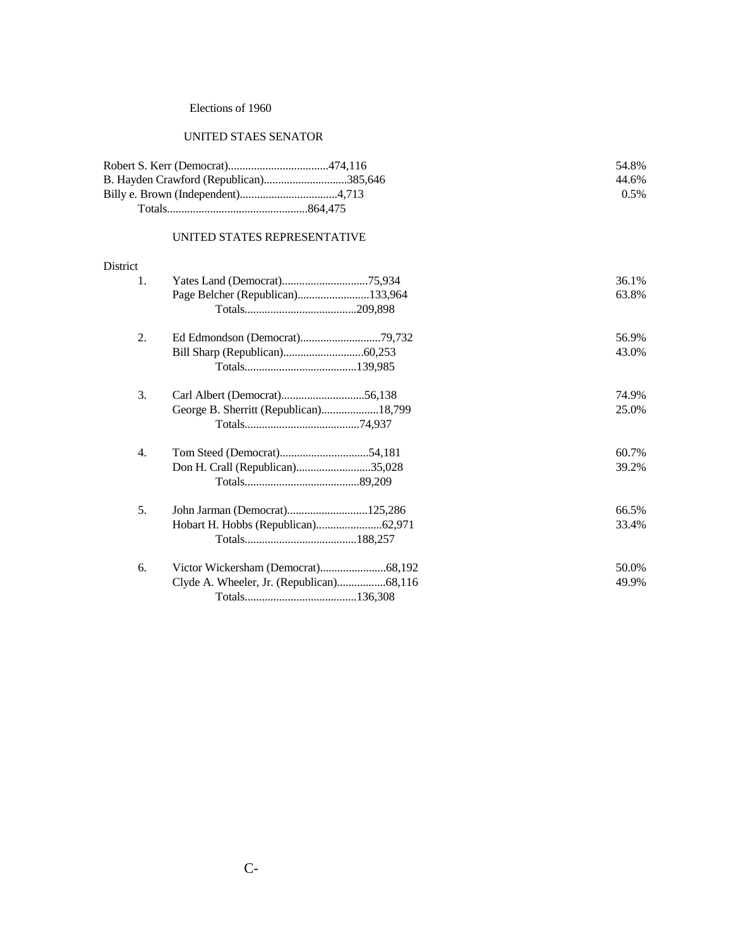# UNITED STAES SENATOR

|                                        | 54.8% |
|----------------------------------------|-------|
| B. Hayden Crawford (Republican)385,646 | 44.6% |
|                                        | 0.5%  |
|                                        |       |

# UNITED STATES REPRESENTATIVE

| 1. |                                       | 36.1% |
|----|---------------------------------------|-------|
|    | Page Belcher (Republican)133,964      | 63.8% |
|    |                                       |       |
| 2. | Ed Edmondson (Democrat)79,732         | 56.9% |
|    |                                       | 43.0% |
|    |                                       |       |
| 3. |                                       | 74.9% |
|    | George B. Sherritt (Republican)18,799 | 25.0% |
|    |                                       |       |
| 4. |                                       | 60.7% |
|    | Don H. Crall (Republican)35,028       | 39.2% |
|    |                                       |       |
| 5. | John Jarman (Democrat)125,286         | 66.5% |
|    |                                       | 33.4% |
|    |                                       |       |
| 6. |                                       | 50.0% |
|    |                                       | 49.9% |
|    |                                       |       |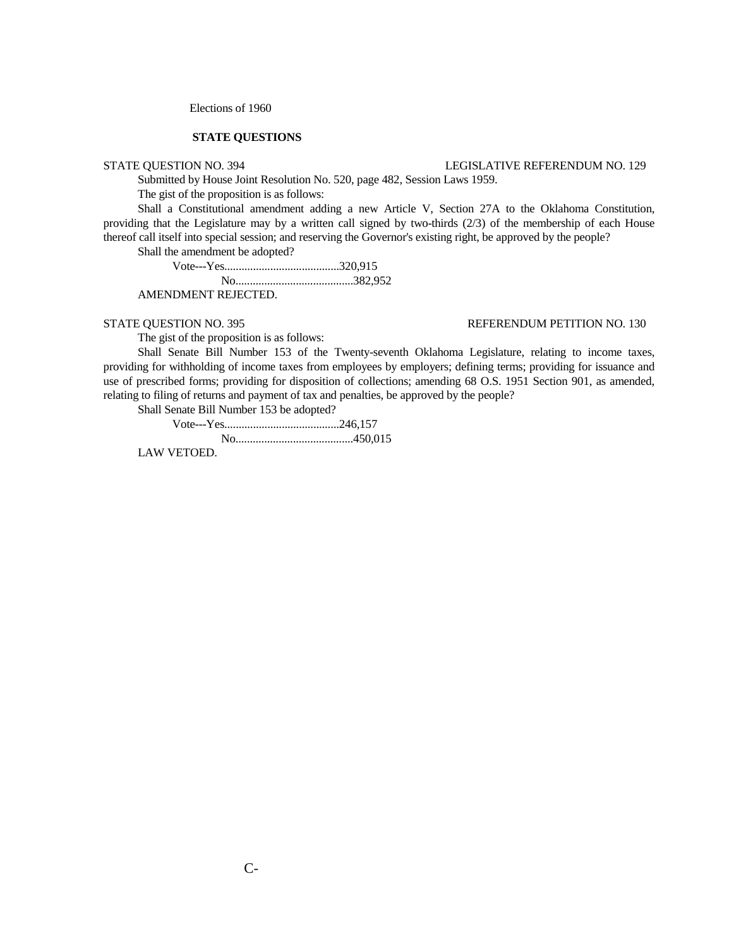# **STATE QUESTIONS**

# STATE QUESTION NO. 394 LEGISLATIVE REFERENDUM NO. 129

Submitted by House Joint Resolution No. 520, page 482, Session Laws 1959.

The gist of the proposition is as follows:

Shall a Constitutional amendment adding a new Article V, Section 27A to the Oklahoma Constitution, providing that the Legislature may by a written call signed by two-thirds (2/3) of the membership of each House thereof call itself into special session; and reserving the Governor's existing right, be approved by the people?

Shall the amendment be adopted?

| DI (DI) E DEIEARD |  |
|-------------------|--|

AMENDMENT REJECTED.

#### STATE QUESTION NO. 395 REFERENDUM PETITION NO. 130

The gist of the proposition is as follows:

Shall Senate Bill Number 153 of the Twenty-seventh Oklahoma Legislature, relating to income taxes, providing for withholding of income taxes from employees by employers; defining terms; providing for issuance and use of prescribed forms; providing for disposition of collections; amending 68 O.S. 1951 Section 901, as amended, relating to filing of returns and payment of tax and penalties, be approved by the people?

Shall Senate Bill Number 153 be adopted?

LAW VETOED.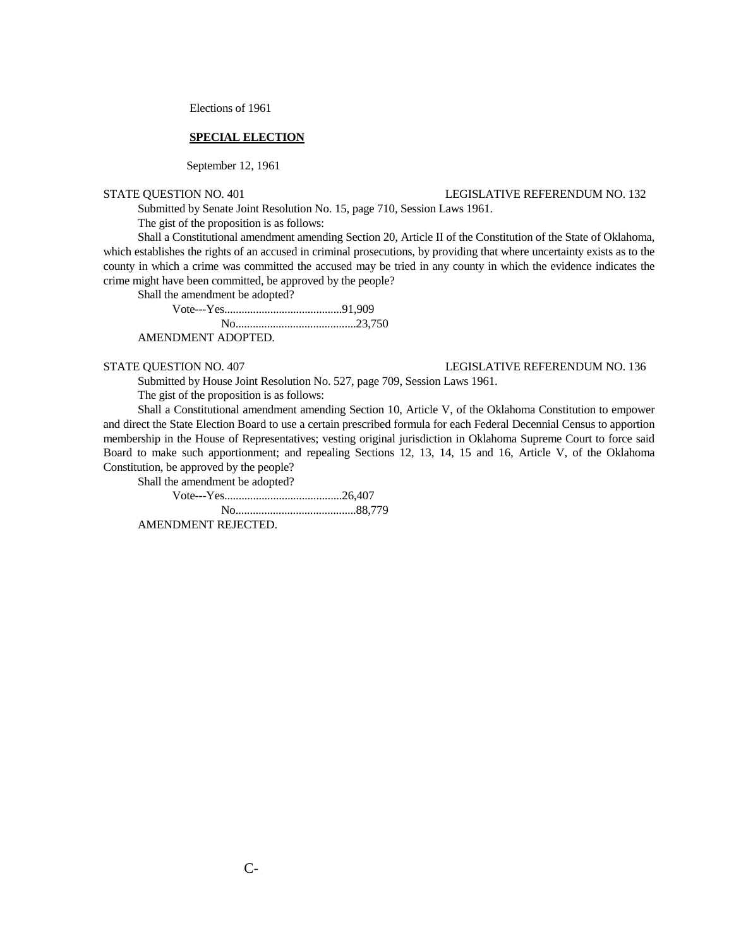# **SPECIAL ELECTION**

September 12, 1961

# STATE QUESTION NO. 401 LEGISLATIVE REFERENDUM NO. 132

Submitted by Senate Joint Resolution No. 15, page 710, Session Laws 1961. The gist of the proposition is as follows:

Shall a Constitutional amendment amending Section 20, Article II of the Constitution of the State of Oklahoma, which establishes the rights of an accused in criminal prosecutions, by providing that where uncertainty exists as to the county in which a crime was committed the accused may be tried in any county in which the evidence indicates the crime might have been committed, be approved by the people?

Shall the amendment be adopted?

| AMENDMENT ADOPTED. |  |
|--------------------|--|

#### STATE QUESTION NO. 407 LEGISLATIVE REFERENDUM NO. 136

Submitted by House Joint Resolution No. 527, page 709, Session Laws 1961.

The gist of the proposition is as follows:

Shall a Constitutional amendment amending Section 10, Article V, of the Oklahoma Constitution to empower and direct the State Election Board to use a certain prescribed formula for each Federal Decennial Census to apportion membership in the House of Representatives; vesting original jurisdiction in Oklahoma Supreme Court to force said Board to make such apportionment; and repealing Sections 12, 13, 14, 15 and 16, Article V, of the Oklahoma Constitution, be approved by the people?

Shall the amendment be adopted?

| AMENDMENT REJECTED. |  |
|---------------------|--|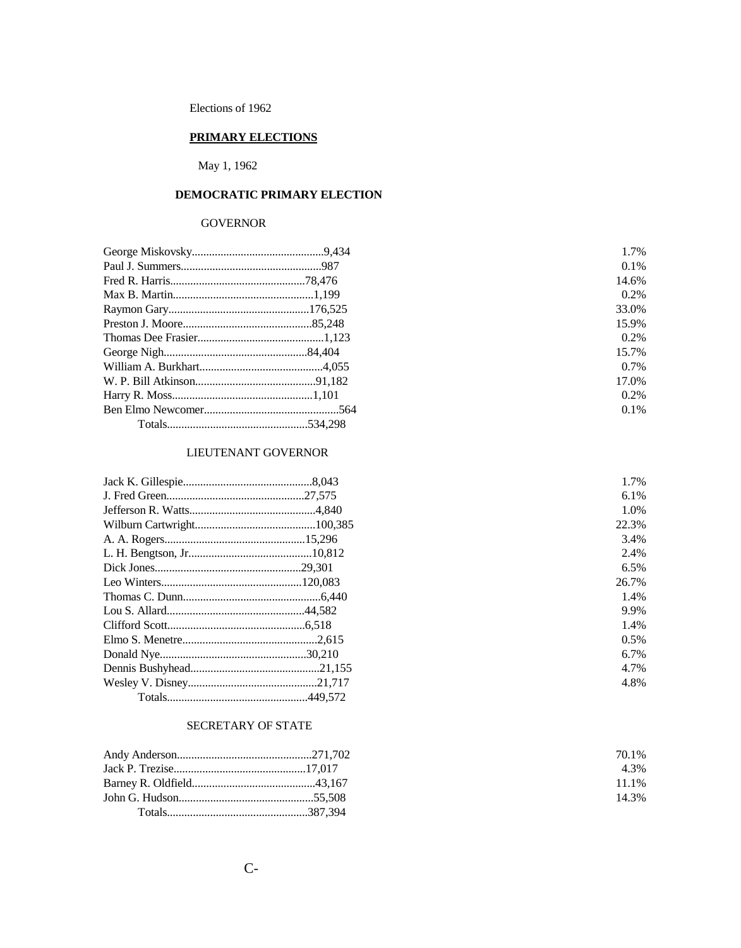# **PRIMARY ELECTIONS**

May 1, 1962

# **DEMOCRATIC PRIMARY ELECTION**

# GOVERNOR

|  | 1.7%  |
|--|-------|
|  | 0.1%  |
|  | 14.6% |
|  | 0.2%  |
|  | 33.0% |
|  | 15.9% |
|  | 0.2%  |
|  | 15.7% |
|  | 0.7%  |
|  | 17.0% |
|  | 0.2%  |
|  | 0.1%  |
|  |       |

#### LIEUTENANT GOVERNOR

|  | 1.7%  |
|--|-------|
|  | 6.1%  |
|  | 1.0%  |
|  | 22.3% |
|  | 3.4%  |
|  | 2.4%  |
|  | 6.5%  |
|  | 26.7% |
|  | 1.4%  |
|  | 9.9%  |
|  | 1.4%  |
|  | 0.5%  |
|  | 6.7%  |
|  | 4.7%  |
|  | 4.8%  |
|  |       |

# SECRETARY OF STATE

|  | 70.1% |
|--|-------|
|  | 4.3%  |
|  | 11.1% |
|  | 14.3% |
|  |       |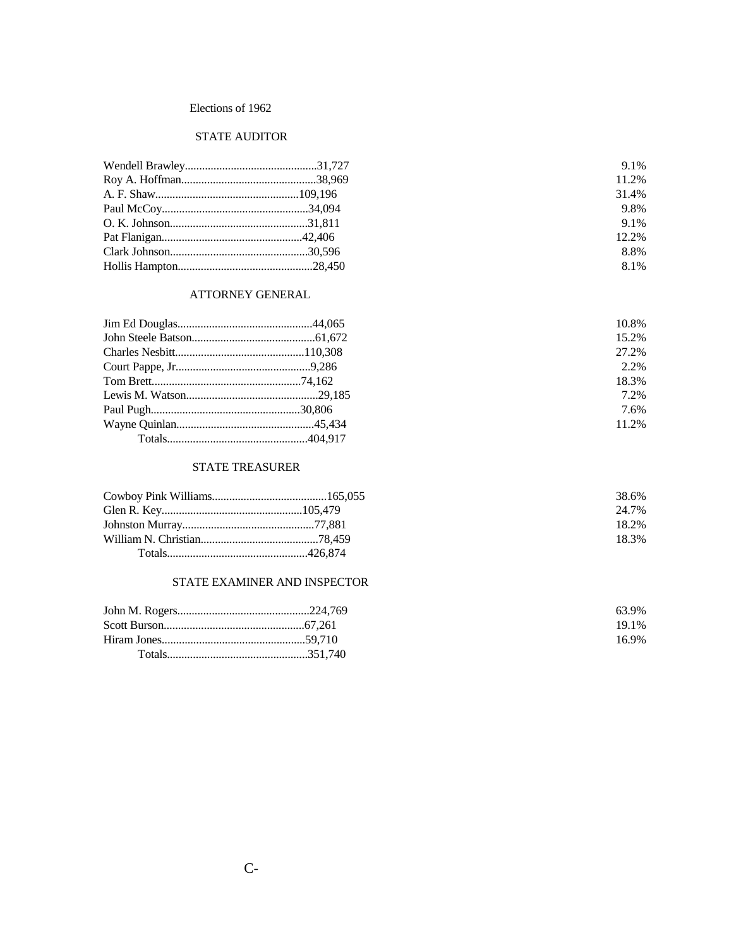# STATE AUDITOR

|  | 9.1%  |
|--|-------|
|  | 11.2% |
|  | 31.4% |
|  | 9.8%  |
|  | 9.1%  |
|  | 12.2% |
|  | 8.8%  |
|  | 8.1%  |

# ATTORNEY GENERAL

|  | 10.8%   |
|--|---------|
|  | 15.2%   |
|  | 27.2%   |
|  | $2.2\%$ |
|  | 18.3%   |
|  | 7.2%    |
|  | 7.6%    |
|  | 11.2%   |
|  |         |

# STATE TREASURER

|  | 38.6% |
|--|-------|
|  | 24.7% |
|  | 18.2% |
|  | 18.3% |
|  |       |

# STATE EXAMINER AND INSPECTOR

|  | 63.9% |
|--|-------|
|  | 19.1% |
|  | 16.9% |
|  |       |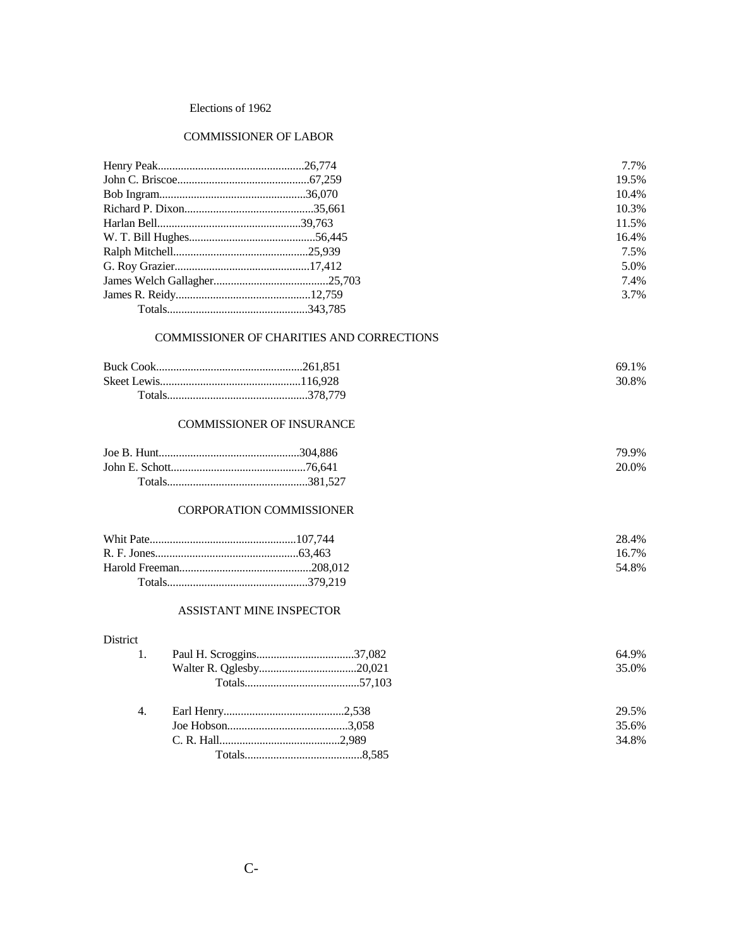#### COMMISSIONER OF LABOR

|  | 7.7%  |
|--|-------|
|  | 19.5% |
|  | 10.4% |
|  | 10.3% |
|  | 11.5% |
|  | 16.4% |
|  | 7.5%  |
|  | 5.0%  |
|  | 7.4%  |
|  | 3.7%  |
|  |       |

#### COMMISSIONER OF CHARITIES AND CORRECTIONS

|  | 69.1% |
|--|-------|
|  | 30.8% |
|  |       |

#### COMMISSIONER OF INSURANCE

|  | 79.9% |
|--|-------|
|  | 20.0% |
|  |       |

# CORPORATION COMMISSIONER

|  | 28.4% |
|--|-------|
|  | 16.7% |
|  | 54.8% |
|  |       |

# ASSISTANT MINE INSPECTOR

|    |  | 64.9% |
|----|--|-------|
|    |  | 35.0% |
|    |  |       |
| 4. |  | 29.5% |
|    |  | 35.6% |
|    |  | 34.8% |
|    |  |       |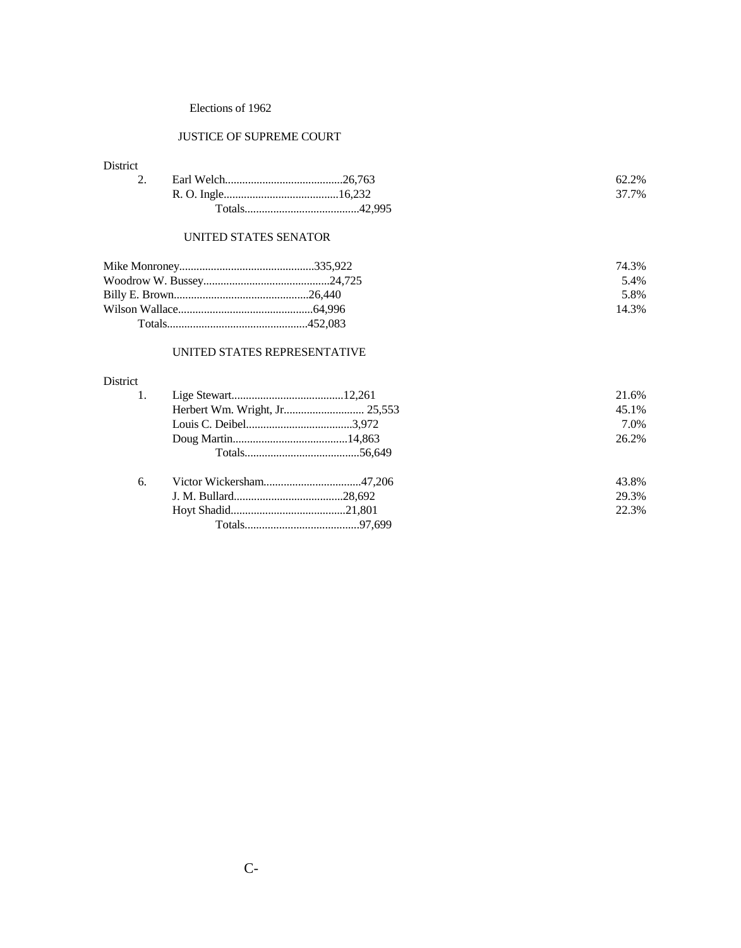# JUSTICE OF SUPREME COURT

# District

|  | 62.2% |
|--|-------|
|  | 37.7% |
|  |       |

# UNITED STATES SENATOR

|  | 74.3% |
|--|-------|
|  | 5.4%  |
|  | 5.8%  |
|  | 14.3% |
|  |       |

# UNITED STATES REPRESENTATIVE

| $\mathbf{1}$ . |  | 21.6% |
|----------------|--|-------|
|                |  | 45.1% |
|                |  | 7.0%  |
|                |  | 26.2% |
|                |  |       |
| 6.             |  | 43.8% |
|                |  | 29.3% |
|                |  | 22.3% |
|                |  |       |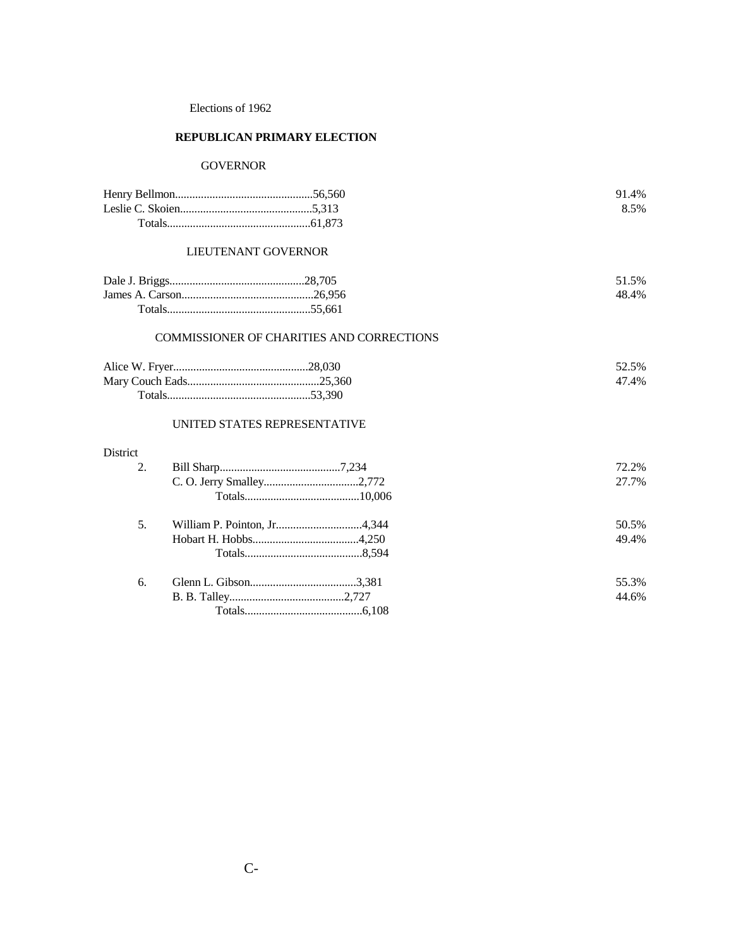# **REPUBLICAN PRIMARY ELECTION**

# GOVERNOR

|  | 91.4% |
|--|-------|
|  | 8.5%  |
|  |       |

# LIEUTENANT GOVERNOR

|  | 51.5% |
|--|-------|
|  | 48.4% |
|  |       |

#### COMMISSIONER OF CHARITIES AND CORRECTIONS

|  | 52.5% |
|--|-------|
|  | 47.4% |
|  |       |

# UNITED STATES REPRESENTATIVE

| ,  |  |       |
|----|--|-------|
| 2. |  | 72.2% |
|    |  | 27.7% |
|    |  |       |
| 5. |  | 50.5% |
|    |  | 49.4% |
|    |  |       |
| 6. |  | 55.3% |
|    |  | 44.6% |
|    |  |       |
|    |  |       |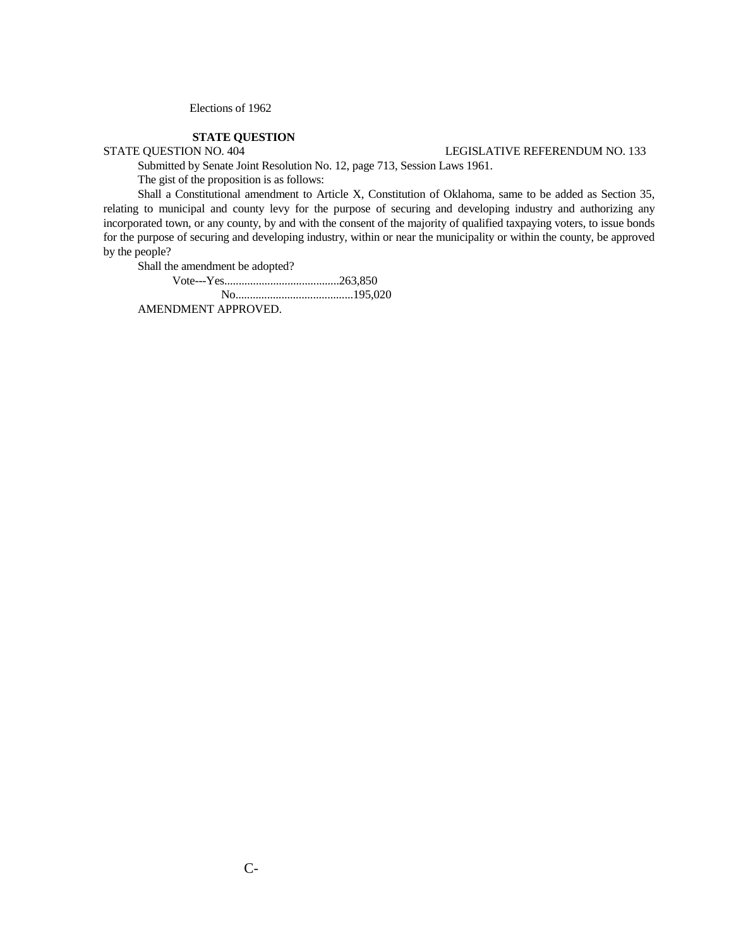# **STATE QUESTION**<br>STATE QUESTION NO. 404

#### LEGISLATIVE REFERENDUM NO. 133

Submitted by Senate Joint Resolution No. 12, page 713, Session Laws 1961.

The gist of the proposition is as follows:

Shall a Constitutional amendment to Article X, Constitution of Oklahoma, same to be added as Section 35, relating to municipal and county levy for the purpose of securing and developing industry and authorizing any incorporated town, or any county, by and with the consent of the majority of qualified taxpaying voters, to issue bonds for the purpose of securing and developing industry, within or near the municipality or within the county, be approved by the people?

Shall the amendment be adopted?

Vote---Yes........................................263,850 No.........................................195,020

AMENDMENT APPROVED.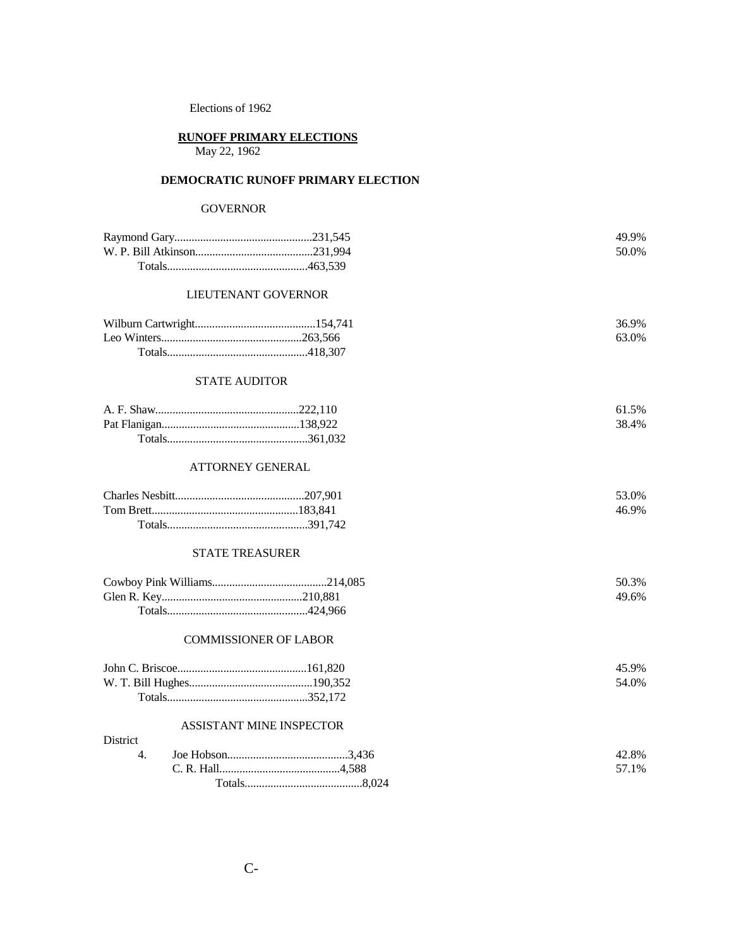# **RUNOFF PRIMARY ELECTIONS**

May 22, 1962

# **DEMOCRATIC RUNOFF PRIMARY ELECTION**

# GOVERNOR

|                      |                              | 49.9% |
|----------------------|------------------------------|-------|
|                      |                              | 50.0% |
|                      |                              |       |
|                      | LIEUTENANT GOVERNOR          |       |
|                      |                              |       |
|                      |                              | 36.9% |
|                      |                              | 63.0% |
|                      |                              |       |
| <b>STATE AUDITOR</b> |                              |       |
|                      |                              | 61.5% |
|                      |                              | 38.4% |
|                      |                              |       |
|                      | <b>ATTORNEY GENERAL</b>      |       |
|                      |                              | 53.0% |
|                      |                              | 46.9% |
|                      |                              |       |
|                      | <b>STATE TREASURER</b>       |       |
|                      |                              |       |
|                      |                              | 50.3% |
|                      |                              | 49.6% |
|                      |                              |       |
|                      | <b>COMMISSIONER OF LABOR</b> |       |
|                      |                              | 45.9% |
|                      |                              | 54.0% |
|                      |                              |       |
|                      | ASSISTANT MINE INSPECTOR     |       |
| District             |                              |       |
| 4.                   |                              | 42.8% |
|                      |                              | 57.1% |
|                      |                              |       |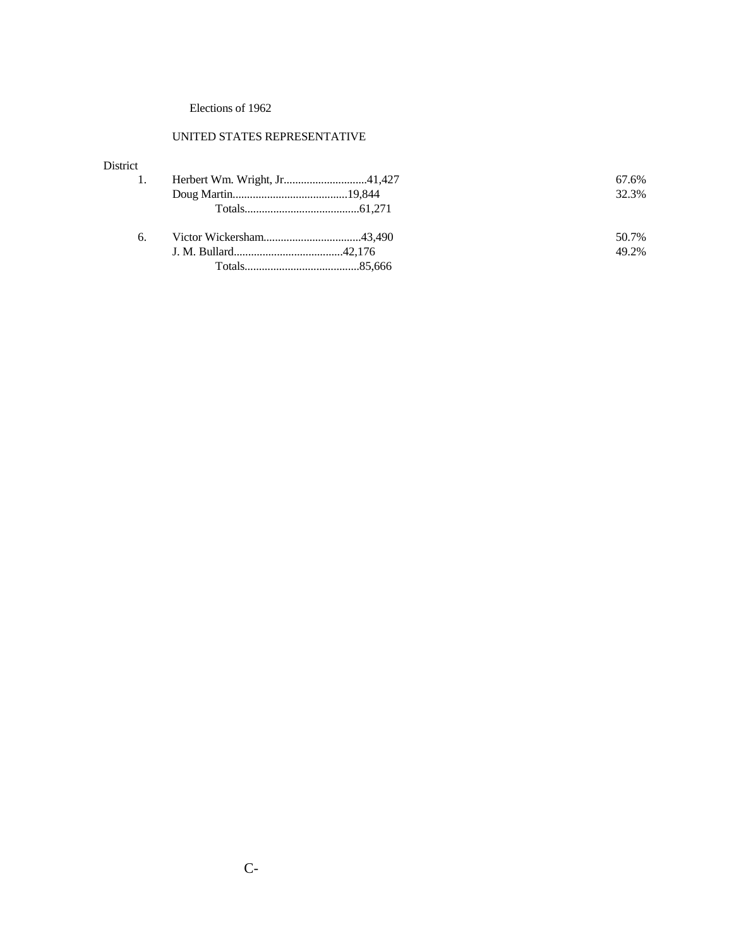# UNITED STATES REPRESENTATIVE

|    |  | 67.6% |
|----|--|-------|
|    |  | 32.3% |
|    |  |       |
| 6. |  | 50.7% |
|    |  | 49.2% |
|    |  |       |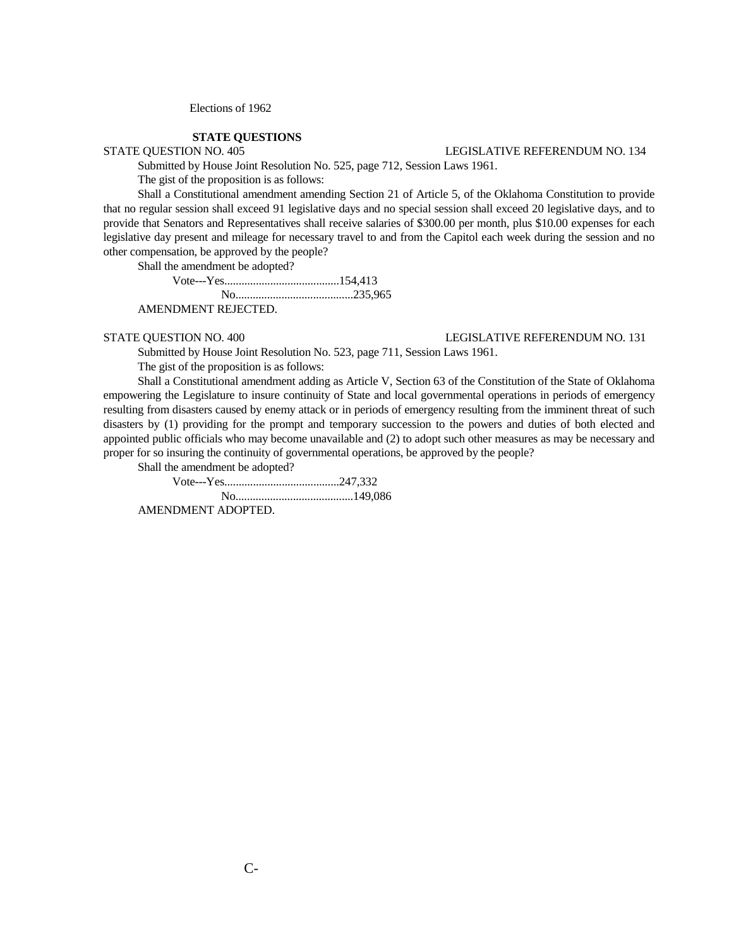# **STATE QUESTIONS**

#### STATE QUESTION NO. 405 LEGISLATIVE REFERENDUM NO. 134

Submitted by House Joint Resolution No. 525, page 712, Session Laws 1961.

The gist of the proposition is as follows:

Shall a Constitutional amendment amending Section 21 of Article 5, of the Oklahoma Constitution to provide that no regular session shall exceed 91 legislative days and no special session shall exceed 20 legislative days, and to provide that Senators and Representatives shall receive salaries of \$300.00 per month, plus \$10.00 expenses for each legislative day present and mileage for necessary travel to and from the Capitol each week during the session and no other compensation, be approved by the people?

Shall the amendment be adopted?

| AMENDMENT REJECTED. |  |
|---------------------|--|

STATE QUESTION NO. 400 LEGISLATIVE REFERENDUM NO. 131

Submitted by House Joint Resolution No. 523, page 711, Session Laws 1961.

The gist of the proposition is as follows:

Shall a Constitutional amendment adding as Article V, Section 63 of the Constitution of the State of Oklahoma empowering the Legislature to insure continuity of State and local governmental operations in periods of emergency resulting from disasters caused by enemy attack or in periods of emergency resulting from the imminent threat of such disasters by (1) providing for the prompt and temporary succession to the powers and duties of both elected and appointed public officials who may become unavailable and (2) to adopt such other measures as may be necessary and proper for so insuring the continuity of governmental operations, be approved by the people?

Shall the amendment be adopted?

| ENDMENT ADOPTED |  |
|-----------------|--|

AMENDMENT ADOPTED.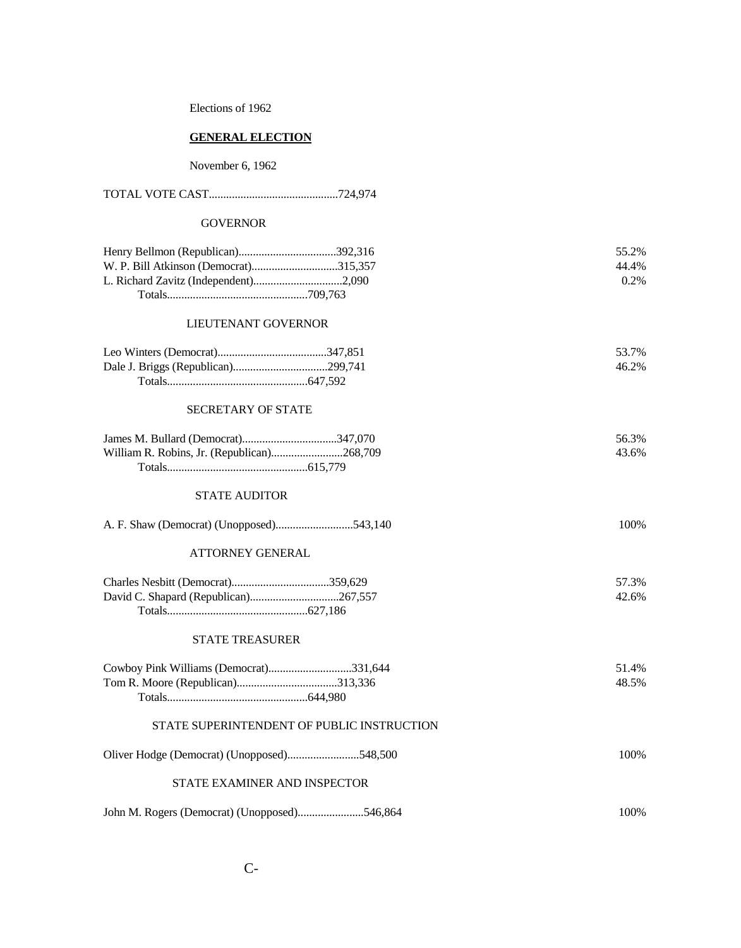# **GENERAL ELECTION**

November 6, 1962

|--|--|--|

# GOVERNOR

|                                              |                                            | 55.2% |
|----------------------------------------------|--------------------------------------------|-------|
| W. P. Bill Atkinson (Democrat)315,357        |                                            | 44.4% |
| L. Richard Zavitz (Independent)2,090         |                                            | 0.2%  |
|                                              |                                            |       |
| LIEUTENANT GOVERNOR                          |                                            |       |
|                                              |                                            | 53.7% |
|                                              |                                            | 46.2% |
|                                              |                                            |       |
| <b>SECRETARY OF STATE</b>                    |                                            |       |
|                                              |                                            | 56.3% |
| William R. Robins, Jr. (Republican)268,709   |                                            | 43.6% |
|                                              |                                            |       |
| <b>STATE AUDITOR</b>                         |                                            |       |
|                                              |                                            | 100%  |
| <b>ATTORNEY GENERAL</b>                      |                                            |       |
|                                              |                                            | 57.3% |
| David C. Shapard (Republican)267,557         |                                            | 42.6% |
|                                              |                                            |       |
| <b>STATE TREASURER</b>                       |                                            |       |
| Cowboy Pink Williams (Democrat)331,644       |                                            | 51.4% |
|                                              |                                            | 48.5% |
|                                              |                                            |       |
|                                              | STATE SUPERINTENDENT OF PUBLIC INSTRUCTION |       |
| Oliver Hodge (Democrat) (Unopposed)548,500   |                                            | 100%  |
| STATE EXAMINER AND INSPECTOR                 |                                            |       |
| John M. Rogers (Democrat) (Unopposed)546,864 |                                            | 100%  |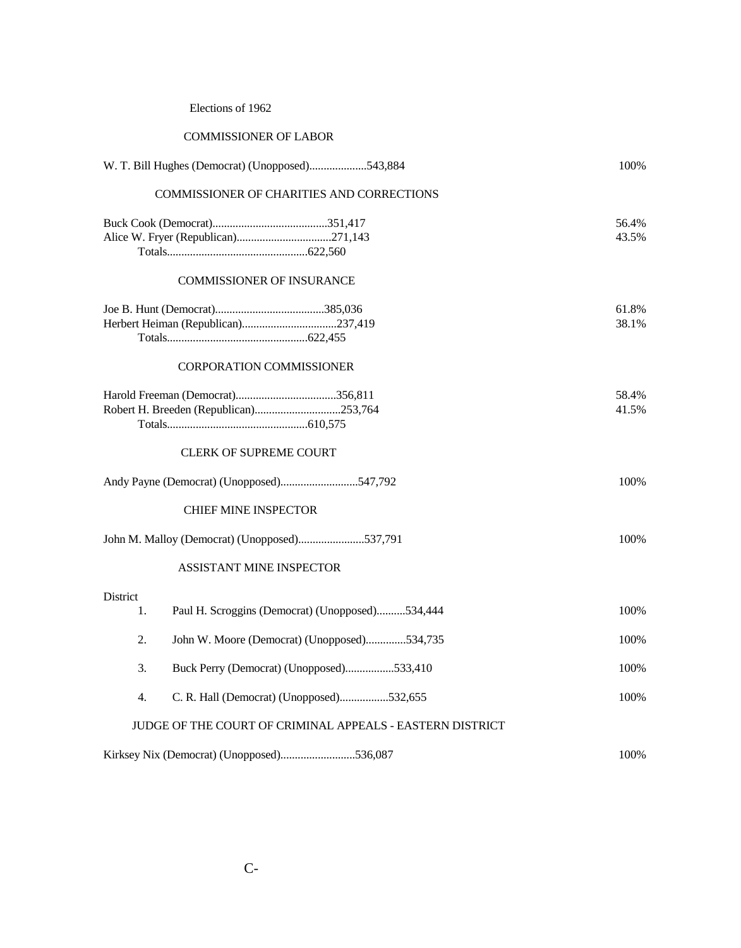# COMMISSIONER OF LABOR

| W. T. Bill Hughes (Democrat) (Unopposed)543,884                   | 100%           |
|-------------------------------------------------------------------|----------------|
| COMMISSIONER OF CHARITIES AND CORRECTIONS                         |                |
|                                                                   | 56.4%<br>43.5% |
| <b>COMMISSIONER OF INSURANCE</b>                                  |                |
|                                                                   | 61.8%<br>38.1% |
| CORPORATION COMMISSIONER                                          |                |
| Robert H. Breeden (Republican)253,764                             | 58.4%<br>41.5% |
| <b>CLERK OF SUPREME COURT</b>                                     |                |
| Andy Payne (Democrat) (Unopposed)547,792                          | 100%           |
| <b>CHIEF MINE INSPECTOR</b>                                       |                |
| John M. Malloy (Democrat) (Unopposed)537,791                      | 100%           |
| <b>ASSISTANT MINE INSPECTOR</b>                                   |                |
| District<br>Paul H. Scroggins (Democrat) (Unopposed)534,444<br>1. | 100%           |
| 2.<br>John W. Moore (Democrat) (Unopposed)534,735                 | 100%           |
| 3.<br>Buck Perry (Democrat) (Unopposed)533,410                    | 100%           |
| 4.<br>C. R. Hall (Democrat) (Unopposed)532,655                    | 100%           |
| JUDGE OF THE COURT OF CRIMINAL APPEALS - EASTERN DISTRICT         |                |
| Kirksey Nix (Democrat) (Unopposed)536,087                         | 100%           |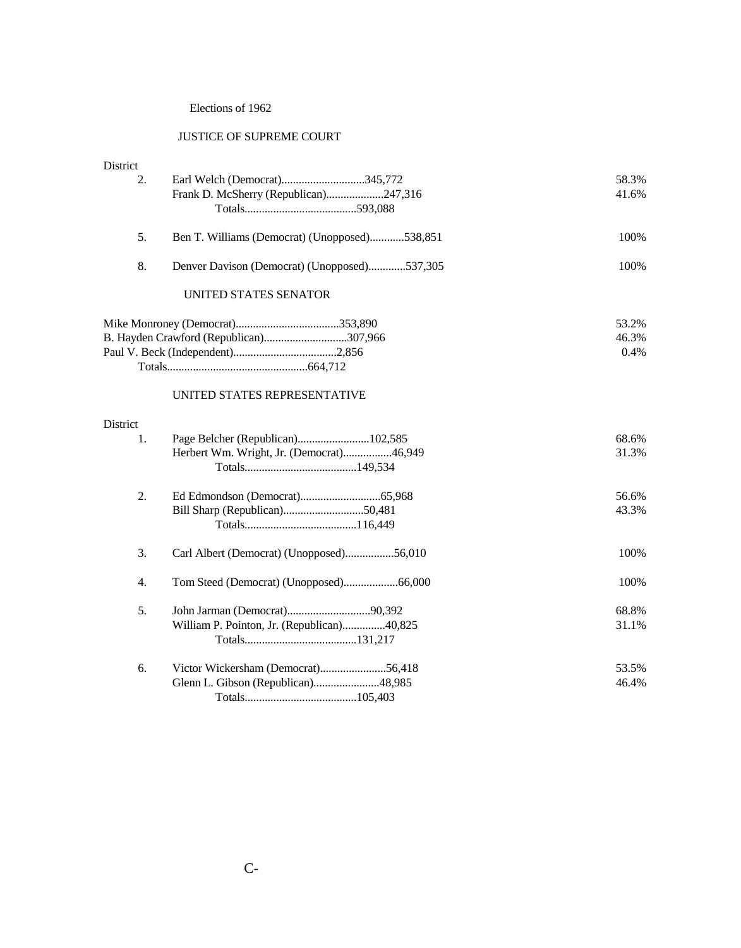## JUSTICE OF SUPREME COURT

## District

| 2.       | Earl Welch (Democrat)345,772                  | 58.3% |
|----------|-----------------------------------------------|-------|
|          | Frank D. McSherry (Republican)247,316         | 41.6% |
|          |                                               |       |
| 5.       | Ben T. Williams (Democrat) (Unopposed)538,851 | 100%  |
| 8.       | Denver Davison (Democrat) (Unopposed)537,305  | 100%  |
|          | UNITED STATES SENATOR                         |       |
|          |                                               | 53.2% |
|          | B. Hayden Crawford (Republican)307,966        | 46.3% |
|          |                                               | 0.4%  |
|          |                                               |       |
|          | UNITED STATES REPRESENTATIVE                  |       |
| District |                                               |       |
| 1.       | Page Belcher (Republican)102,585              | 68.6% |
|          | Herbert Wm. Wright, Jr. (Democrat)46,949      | 31.3% |
|          |                                               |       |
| 2.       |                                               | 56.6% |
|          |                                               | 43.3% |
|          |                                               |       |
| 3.       | Carl Albert (Democrat) (Unopposed)56,010      | 100%  |
| 4.       | Tom Steed (Democrat) (Unopposed)66,000        | 100%  |
| 5.       | John Jarman (Democrat)90,392                  | 68.8% |
|          | William P. Pointon, Jr. (Republican)40,825    | 31.1% |
|          |                                               |       |
| 6.       | Victor Wickersham (Democrat)56,418            | 53.5% |
|          | Glenn L. Gibson (Republican)48,985            | 46.4% |
|          |                                               |       |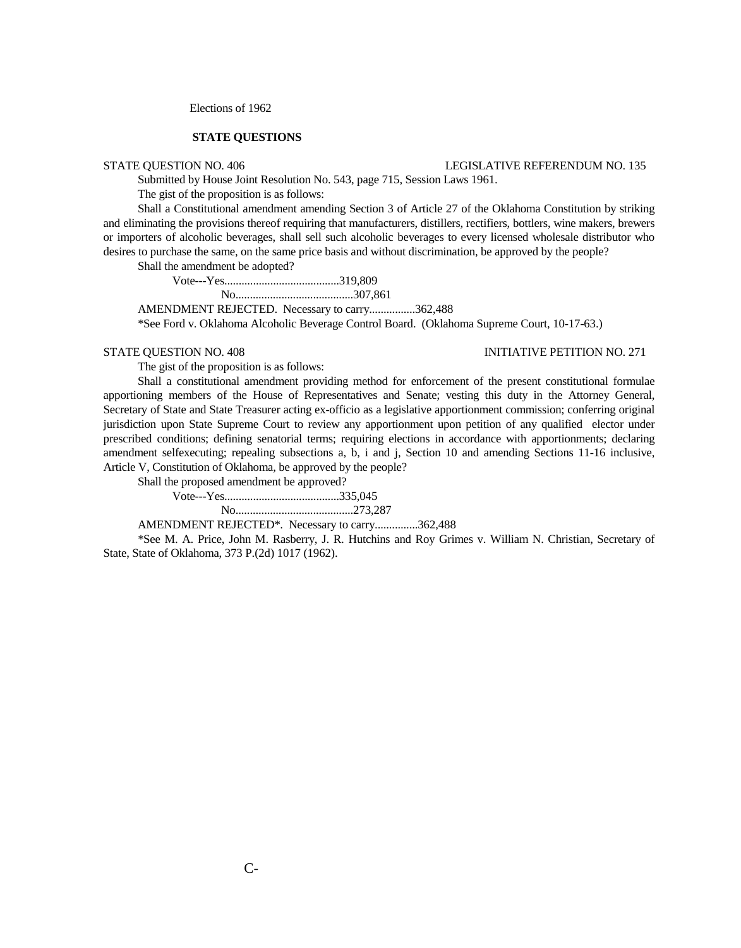## **STATE QUESTIONS**

### STATE QUESTION NO. 406 LEGISLATIVE REFERENDUM NO. 135

Submitted by House Joint Resolution No. 543, page 715, Session Laws 1961.

The gist of the proposition is as follows:

Shall a Constitutional amendment amending Section 3 of Article 27 of the Oklahoma Constitution by striking and eliminating the provisions thereof requiring that manufacturers, distillers, rectifiers, bottlers, wine makers, brewers or importers of alcoholic beverages, shall sell such alcoholic beverages to every licensed wholesale distributor who desires to purchase the same, on the same price basis and without discrimination, be approved by the people?

Shall the amendment be adopted?

AMENDMENT REJECTED. Necessary to carry................362,488

\*See Ford v. Oklahoma Alcoholic Beverage Control Board. (Oklahoma Supreme Court, 10-17-63.)

### STATE QUESTION NO. 408 INITIATIVE PETITION NO. 271

The gist of the proposition is as follows:

Shall a constitutional amendment providing method for enforcement of the present constitutional formulae apportioning members of the House of Representatives and Senate; vesting this duty in the Attorney General, Secretary of State and State Treasurer acting ex-officio as a legislative apportionment commission; conferring original jurisdiction upon State Supreme Court to review any apportionment upon petition of any qualified elector under prescribed conditions; defining senatorial terms; requiring elections in accordance with apportionments; declaring amendment selfexecuting; repealing subsections a, b, i and j, Section 10 and amending Sections 11-16 inclusive, Article V, Constitution of Oklahoma, be approved by the people?

Shall the proposed amendment be approved?

Vote---Yes........................................335,045 No.........................................273,287

AMENDMENT REJECTED\*. Necessary to carry...............362,488

\*See M. A. Price, John M. Rasberry, J. R. Hutchins and Roy Grimes v. William N. Christian, Secretary of State, State of Oklahoma, 373 P.(2d) 1017 (1962).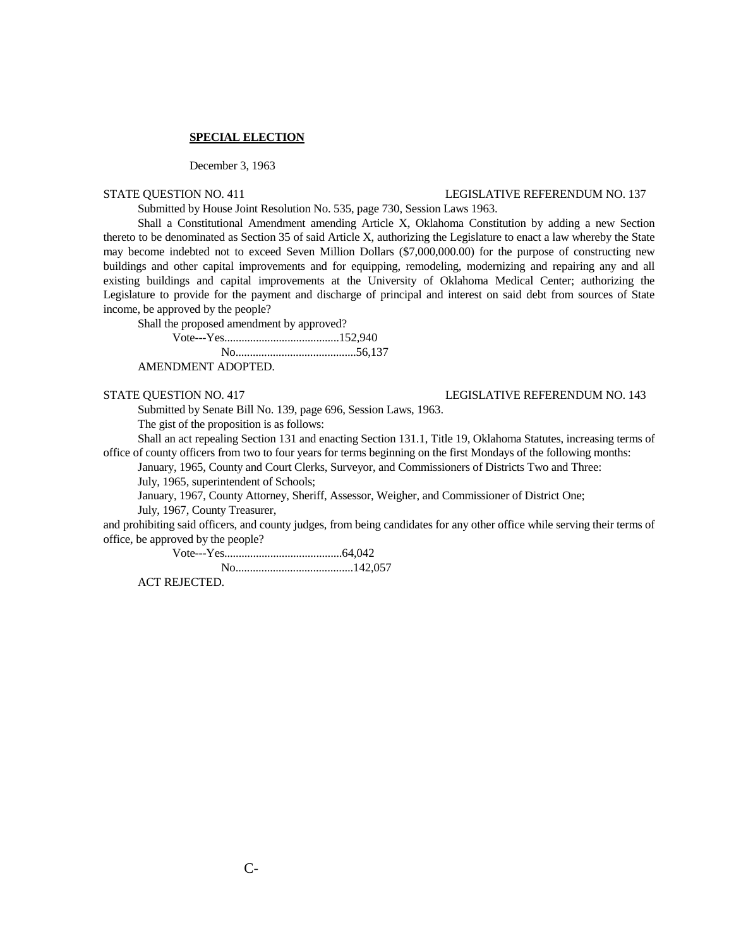## **SPECIAL ELECTION**

December 3, 1963

## STATE QUESTION NO. 411 LEGISLATIVE REFERENDUM NO. 137

Submitted by House Joint Resolution No. 535, page 730, Session Laws 1963.

Shall a Constitutional Amendment amending Article X, Oklahoma Constitution by adding a new Section thereto to be denominated as Section 35 of said Article X, authorizing the Legislature to enact a law whereby the State may become indebted not to exceed Seven Million Dollars (\$7,000,000.00) for the purpose of constructing new buildings and other capital improvements and for equipping, remodeling, modernizing and repairing any and all existing buildings and capital improvements at the University of Oklahoma Medical Center; authorizing the Legislature to provide for the payment and discharge of principal and interest on said debt from sources of State income, be approved by the people?

Shall the proposed amendment by approved?

Vote---Yes........................................152,940 No..........................................56,137 AMENDMENT ADOPTED.

#### STATE QUESTION NO. 417 LEGISLATIVE REFERENDUM NO. 143

Submitted by Senate Bill No. 139, page 696, Session Laws, 1963. The gist of the proposition is as follows:

Shall an act repealing Section 131 and enacting Section 131.1, Title 19, Oklahoma Statutes, increasing terms of office of county officers from two to four years for terms beginning on the first Mondays of the following months:

January, 1965, County and Court Clerks, Surveyor, and Commissioners of Districts Two and Three: July, 1965, superintendent of Schools;

January, 1967, County Attorney, Sheriff, Assessor, Weigher, and Commissioner of District One; July, 1967, County Treasurer,

and prohibiting said officers, and county judges, from being candidates for any other office while serving their terms of office, be approved by the people?

Vote---Yes.........................................64,042

 No.........................................142,057 ACT REJECTED.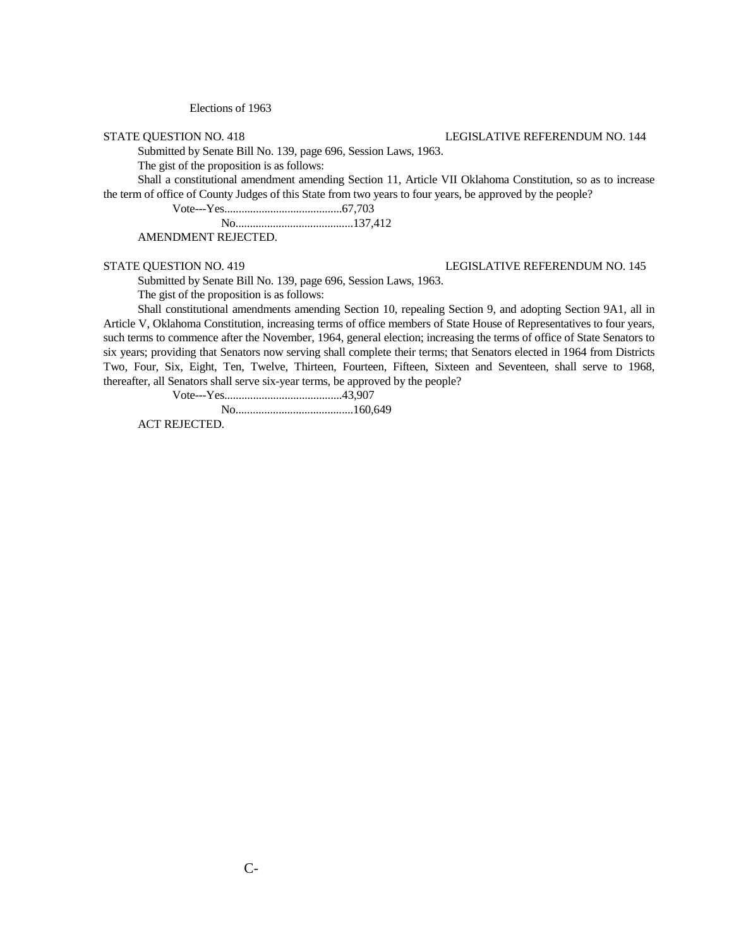#### STATE QUESTION NO. 418 LEGISLATIVE REFERENDUM NO. 144

Submitted by Senate Bill No. 139, page 696, Session Laws, 1963.

The gist of the proposition is as follows:

Shall a constitutional amendment amending Section 11, Article VII Oklahoma Constitution, so as to increase the term of office of County Judges of this State from two years to four years, be approved by the people?

> Vote---Yes.........................................67,703 No.........................................137,412

AMENDMENT REJECTED.

Submitted by Senate Bill No. 139, page 696, Session Laws, 1963.

The gist of the proposition is as follows:

Shall constitutional amendments amending Section 10, repealing Section 9, and adopting Section 9A1, all in Article V, Oklahoma Constitution, increasing terms of office members of State House of Representatives to four years, such terms to commence after the November, 1964, general election; increasing the terms of office of State Senators to six years; providing that Senators now serving shall complete their terms; that Senators elected in 1964 from Districts Two, Four, Six, Eight, Ten, Twelve, Thirteen, Fourteen, Fifteen, Sixteen and Seventeen, shall serve to 1968, thereafter, all Senators shall serve six-year terms, be approved by the people?

> Vote---Yes.........................................43,907 No.........................................160,649

ACT REJECTED.

#### STATE QUESTION NO. 419 LEGISLATIVE REFERENDUM NO. 145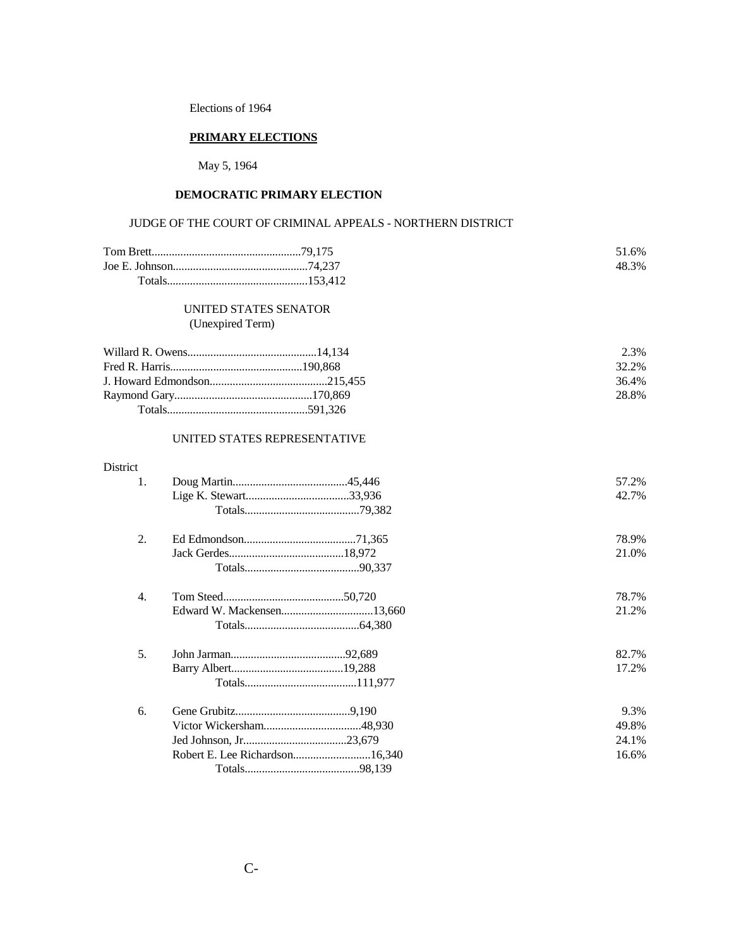## **PRIMARY ELECTIONS**

May 5, 1964

## **DEMOCRATIC PRIMARY ELECTION**

## JUDGE OF THE COURT OF CRIMINAL APPEALS - NORTHERN DISTRICT

|          |                              |       | 51.6% |
|----------|------------------------------|-------|-------|
|          |                              | 48.3% |       |
|          |                              |       |       |
|          | <b>UNITED STATES SENATOR</b> |       |       |
|          | (Unexpired Term)             |       |       |
|          |                              |       | 2.3%  |
|          |                              |       | 32.2% |
|          |                              |       | 36.4% |
|          |                              |       | 28.8% |
|          |                              |       |       |
|          |                              |       |       |
|          | UNITED STATES REPRESENTATIVE |       |       |
| District |                              |       |       |
| 1.       |                              |       | 57.2% |
|          |                              |       | 42.7% |
|          |                              |       |       |
|          |                              |       |       |
| 2.       |                              |       | 78.9% |
|          |                              |       | 21.0% |
|          |                              |       |       |
| 4.       |                              |       | 78.7% |
|          |                              |       | 21.2% |
|          |                              |       |       |
| 5.       |                              |       | 82.7% |
|          |                              |       | 17.2% |
|          |                              |       |       |
| 6.       |                              |       | 9.3%  |
|          |                              |       | 49.8% |
|          |                              |       | 24.1% |
|          |                              |       | 16.6% |
|          |                              |       |       |
|          |                              |       |       |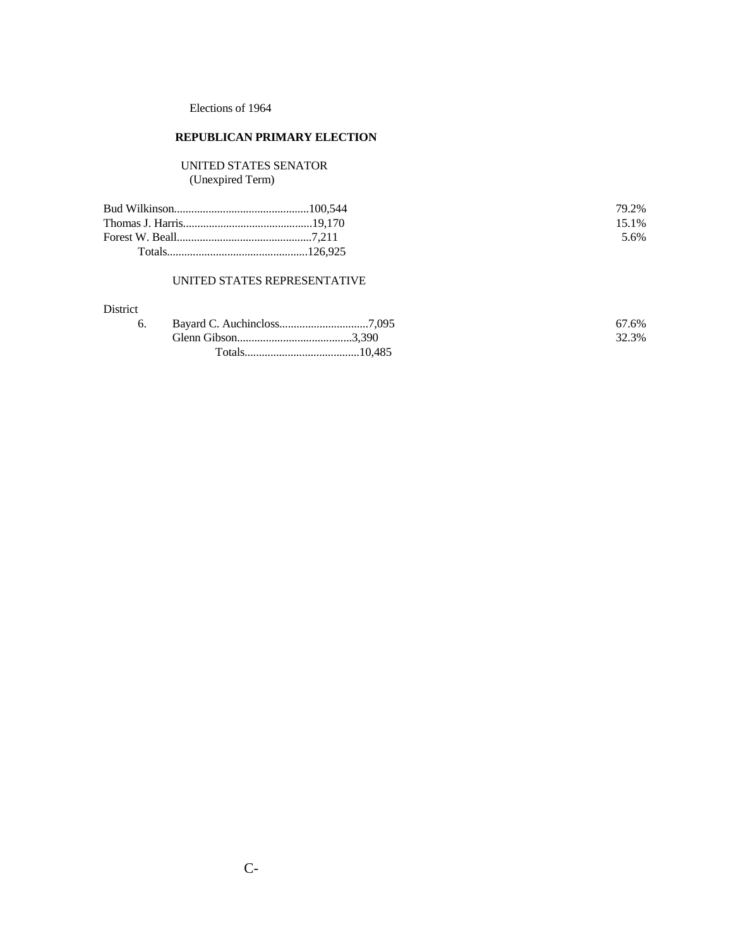## **REPUBLICAN PRIMARY ELECTION**

## UNITED STATES SENATOR (Unexpired Term)

|  | 79.2% |
|--|-------|
|  | 15.1% |
|  | 5.6%  |
|  |       |

## UNITED STATES REPRESENTATIVE

## District

|  | 67.6% |
|--|-------|
|  | 32.3% |
|  |       |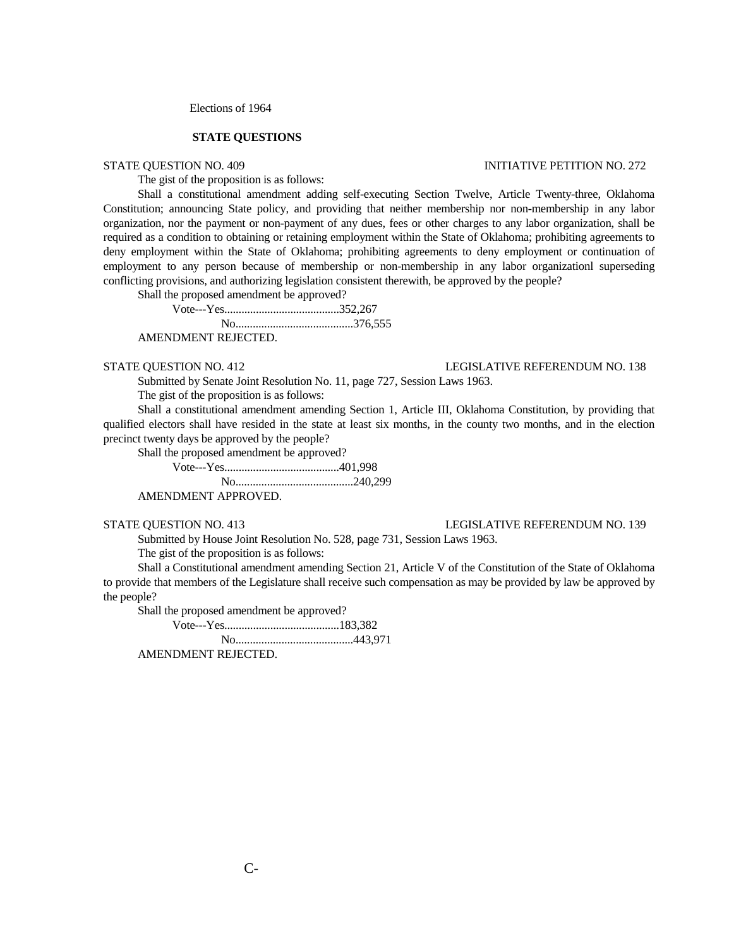## **STATE QUESTIONS**

The gist of the proposition is as follows:

Shall a constitutional amendment adding self-executing Section Twelve, Article Twenty-three, Oklahoma Constitution; announcing State policy, and providing that neither membership nor non-membership in any labor organization, nor the payment or non-payment of any dues, fees or other charges to any labor organization, shall be required as a condition to obtaining or retaining employment within the State of Oklahoma; prohibiting agreements to deny employment within the State of Oklahoma; prohibiting agreements to deny employment or continuation of employment to any person because of membership or non-membership in any labor organizationl superseding conflicting provisions, and authorizing legislation consistent therewith, be approved by the people?

Shall the proposed amendment be approved?

Vote---Yes........................................352,267 No.........................................376,555 AMENDMENT REJECTED.

#### STATE QUESTION NO. 412 LEGISLATIVE REFERENDUM NO. 138

Submitted by Senate Joint Resolution No. 11, page 727, Session Laws 1963.

The gist of the proposition is as follows:

Shall a constitutional amendment amending Section 1, Article III, Oklahoma Constitution, by providing that qualified electors shall have resided in the state at least six months, in the county two months, and in the election precinct twenty days be approved by the people?

Shall the proposed amendment be approved?

Vote---Yes........................................401,998 No.........................................240,299

AMENDMENT APPROVED.

#### STATE OUESTION NO. 413 STATE OUESTION NO. 413

Submitted by House Joint Resolution No. 528, page 731, Session Laws 1963.

The gist of the proposition is as follows:

Shall a Constitutional amendment amending Section 21, Article V of the Constitution of the State of Oklahoma to provide that members of the Legislature shall receive such compensation as may be provided by law be approved by the people?

Shall the proposed amendment be approved?

Vote---Yes........................................183,382 No.........................................443,971

AMENDMENT REJECTED.

## STATE QUESTION NO. 409 INITIATIVE PETITION NO. 272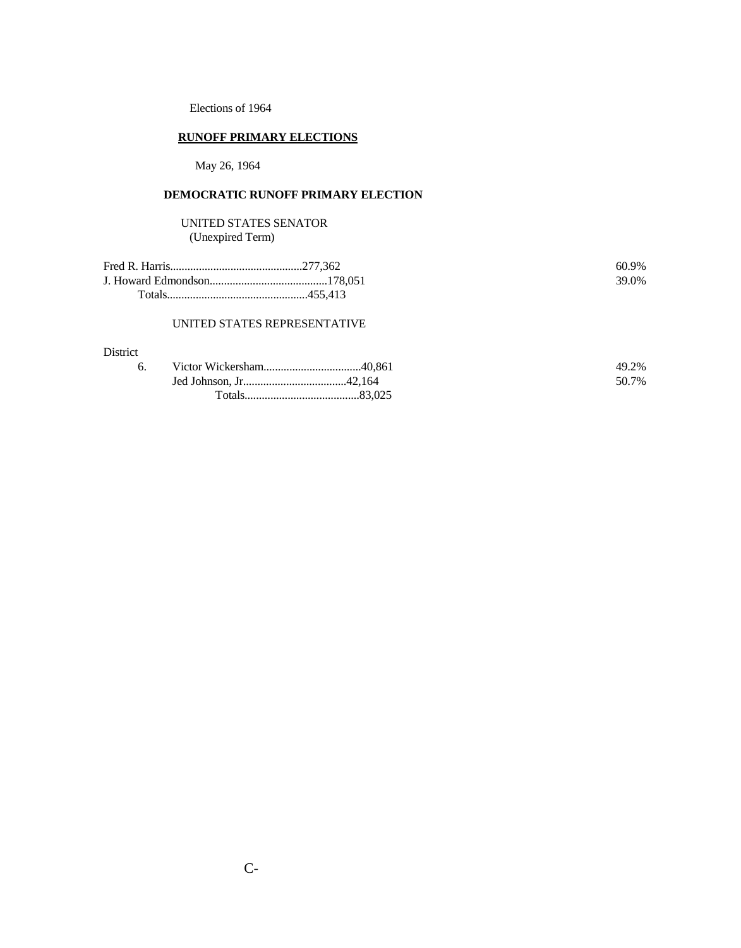## **RUNOFF PRIMARY ELECTIONS**

May 26, 1964

## **DEMOCRATIC RUNOFF PRIMARY ELECTION**

## UNITED STATES SENATOR (Unexpired Term)

|  | 60.9% |
|--|-------|
|  | 39.0% |
|  |       |

## UNITED STATES REPRESENTATIVE

## District

| 6. |  | 49.2% |
|----|--|-------|
|    |  | 50.7% |
|    |  |       |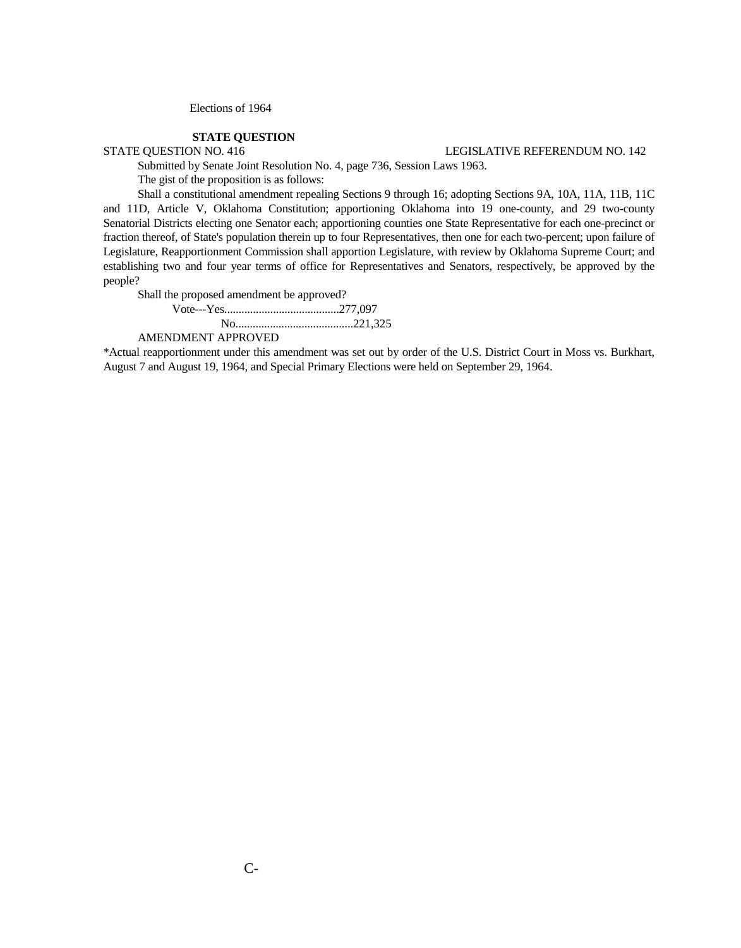## **STATE QUESTION**

### STATE QUESTION NO. 416 LEGISLATIVE REFERENDUM NO. 142

Submitted by Senate Joint Resolution No. 4, page 736, Session Laws 1963.

The gist of the proposition is as follows:

Shall a constitutional amendment repealing Sections 9 through 16; adopting Sections 9A, 10A, 11A, 11B, 11C and 11D, Article V, Oklahoma Constitution; apportioning Oklahoma into 19 one-county, and 29 two-county Senatorial Districts electing one Senator each; apportioning counties one State Representative for each one-precinct or fraction thereof, of State's population therein up to four Representatives, then one for each two-percent; upon failure of Legislature, Reapportionment Commission shall apportion Legislature, with review by Oklahoma Supreme Court; and establishing two and four year terms of office for Representatives and Senators, respectively, be approved by the people?

Shall the proposed amendment be approved?

Vote---Yes........................................277,097 No.........................................221,325

AMENDMENT APPROVED

\*Actual reapportionment under this amendment was set out by order of the U.S. District Court in Moss vs. Burkhart, August 7 and August 19, 1964, and Special Primary Elections were held on September 29, 1964.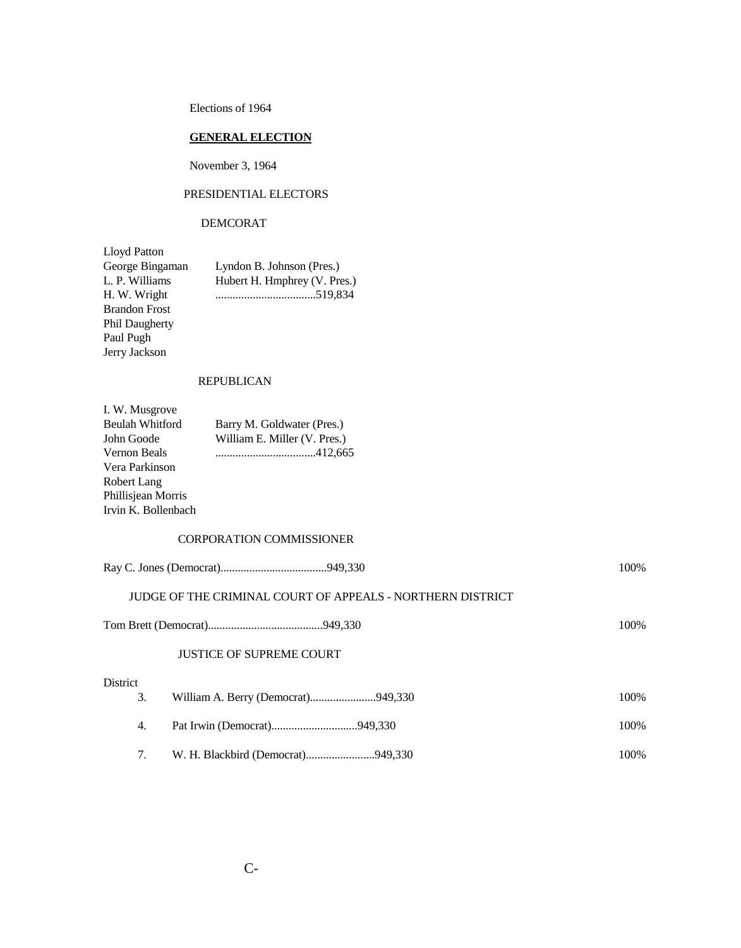## **GENERAL ELECTION**

November 3, 1964

## PRESIDENTIAL ELECTORS

## DEMCORAT

| Lloyd Patton          |                              |
|-----------------------|------------------------------|
| George Bingaman       | Lyndon B. Johnson (Pres.)    |
| L. P. Williams        | Hubert H. Hmphrey (V. Pres.) |
| H. W. Wright          |                              |
| <b>Brandon Frost</b>  |                              |
| <b>Phil Daugherty</b> |                              |
| Paul Pugh             |                              |
| Jerry Jackson         |                              |
|                       |                              |

## REPUBLICAN

| I. W. Musgrove      |                              |
|---------------------|------------------------------|
| Beulah Whitford     | Barry M. Goldwater (Pres.)   |
| John Goode          | William E. Miller (V. Pres.) |
| Vernon Beals        |                              |
| Vera Parkinson      |                              |
| Robert Lang         |                              |
| Phillisjean Morris  |                              |
| Irvin K. Bollenbach |                              |

## CORPORATION COMMISSIONER

|                                                            | 100%  |
|------------------------------------------------------------|-------|
| JUDGE OF THE CRIMINAL COURT OF APPEALS - NORTHERN DISTRICT |       |
|                                                            | 100\% |
| <b>JUSTICE OF SUPREME COURT</b>                            |       |
| <b>District</b>                                            |       |
| 3.                                                         | 100%  |
| 4.                                                         | 100\% |
| 7.                                                         | 100%  |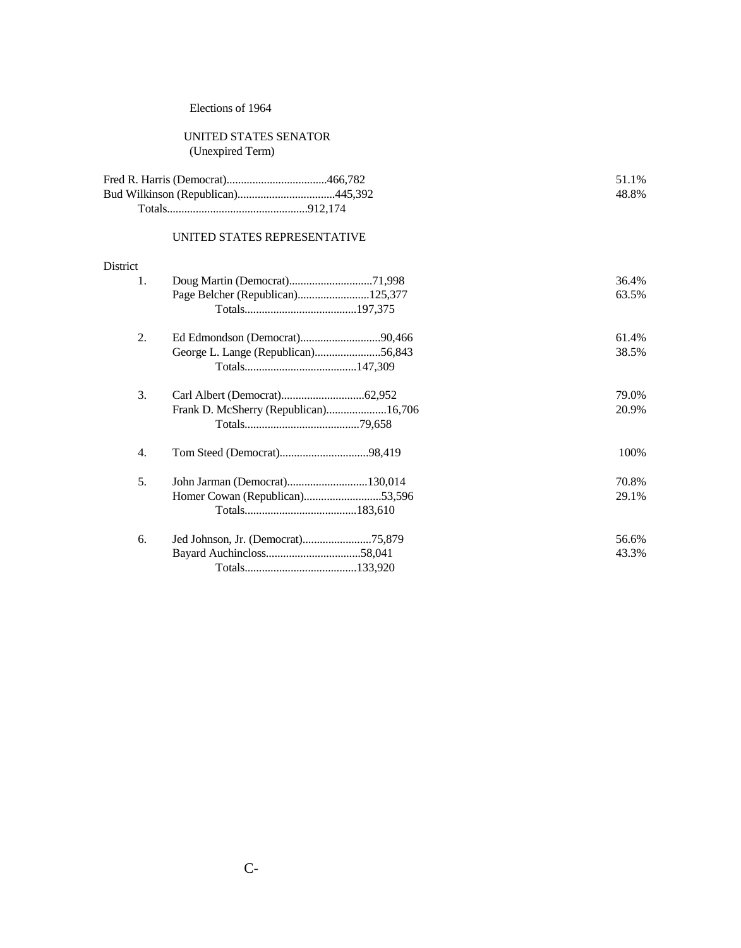## UNITED STATES SENATOR (Unexpired Term)

|  | 51.1% |
|--|-------|
|  | 48.8% |
|  |       |

## UNITED STATES REPRESENTATIVE

## District

| 1. |                                      | 36.4% |
|----|--------------------------------------|-------|
|    | Page Belcher (Republican)125,377     | 63.5% |
|    |                                      |       |
| 2. |                                      | 61.4% |
|    | George L. Lange (Republican)56,843   | 38.5% |
|    |                                      |       |
| 3. |                                      | 79.0% |
|    | Frank D. McSherry (Republican)16,706 | 20.9% |
|    |                                      |       |
| 4. |                                      | 100%  |
| 5. |                                      | 70.8% |
|    | Homer Cowan (Republican)53,596       | 29.1% |
|    |                                      |       |
| 6. |                                      | 56.6% |
|    |                                      | 43.3% |
|    |                                      |       |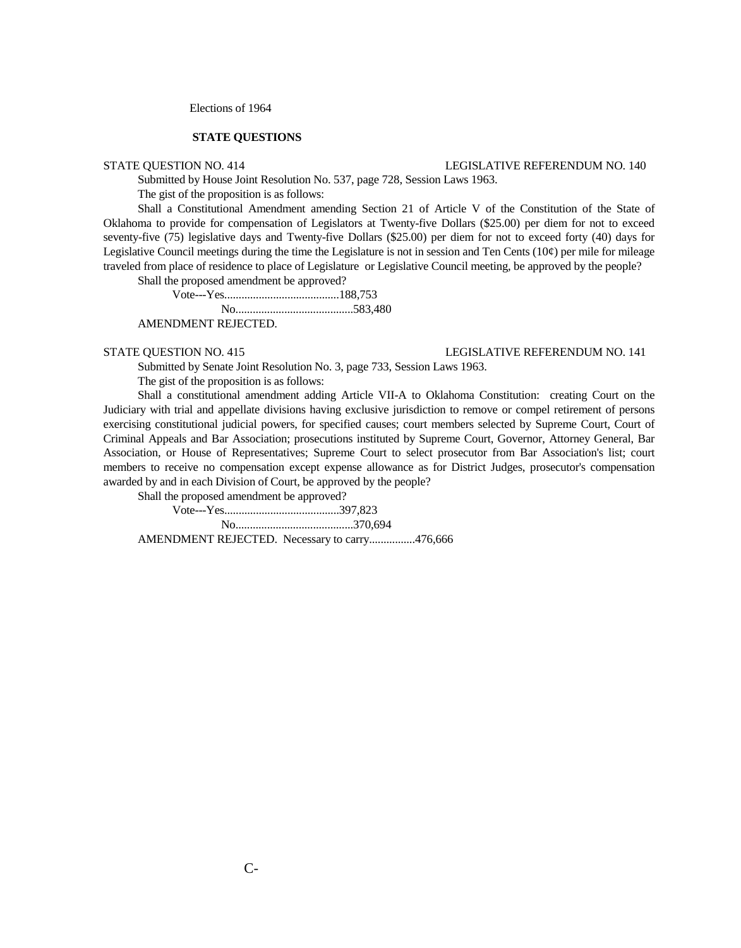## **STATE QUESTIONS**

## STATE QUESTION NO. 414 LEGISLATIVE REFERENDUM NO. 140

Submitted by House Joint Resolution No. 537, page 728, Session Laws 1963.

The gist of the proposition is as follows:

Shall a Constitutional Amendment amending Section 21 of Article V of the Constitution of the State of Oklahoma to provide for compensation of Legislators at Twenty-five Dollars (\$25.00) per diem for not to exceed seventy-five (75) legislative days and Twenty-five Dollars (\$25.00) per diem for not to exceed forty (40) days for Legislative Council meetings during the time the Legislature is not in session and Ten Cents ( $10¢$ ) per mile for mileage traveled from place of residence to place of Legislature or Legislative Council meeting, be approved by the people?

Shall the proposed amendment be approved?

| AMENDMENT REJECTED. |  |
|---------------------|--|

## STATE QUESTION NO. 415 LEGISLATIVE REFERENDUM NO. 141

Submitted by Senate Joint Resolution No. 3, page 733, Session Laws 1963.

The gist of the proposition is as follows:

Shall a constitutional amendment adding Article VII-A to Oklahoma Constitution: creating Court on the Judiciary with trial and appellate divisions having exclusive jurisdiction to remove or compel retirement of persons exercising constitutional judicial powers, for specified causes; court members selected by Supreme Court, Court of Criminal Appeals and Bar Association; prosecutions instituted by Supreme Court, Governor, Attorney General, Bar Association, or House of Representatives; Supreme Court to select prosecutor from Bar Association's list; court members to receive no compensation except expense allowance as for District Judges, prosecutor's compensation awarded by and in each Division of Court, be approved by the people?

Shall the proposed amendment be approved?

| AMENDMENT REJECTED. Necessary to carry476,666 |
|-----------------------------------------------|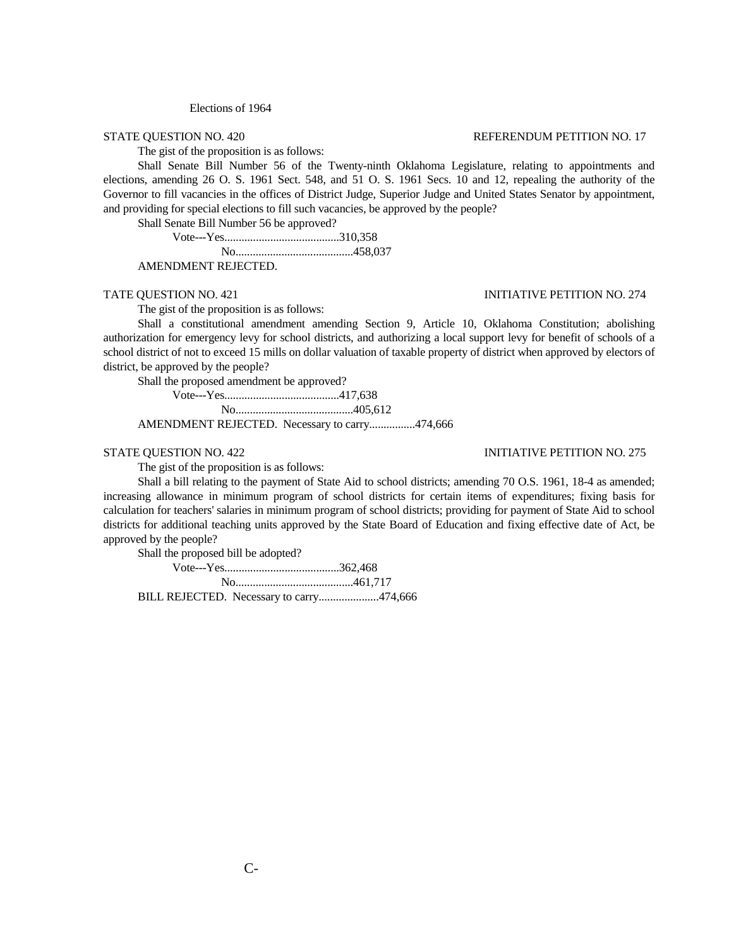C-

Elections of 1964

The gist of the proposition is as follows:

Shall Senate Bill Number 56 of the Twenty-ninth Oklahoma Legislature, relating to appointments and elections, amending 26 O. S. 1961 Sect. 548, and 51 O. S. 1961 Secs. 10 and 12, repealing the authority of the Governor to fill vacancies in the offices of District Judge, Superior Judge and United States Senator by appointment, and providing for special elections to fill such vacancies, be approved by the people?

Shall Senate Bill Number 56 be approved?

Vote---Yes........................................310,358 No.........................................458,037

AMENDMENT REJECTED.

### TATE QUESTION NO. 421 INITIATIVE PETITION NO. 274

The gist of the proposition is as follows:

Shall a constitutional amendment amending Section 9, Article 10, Oklahoma Constitution; abolishing authorization for emergency levy for school districts, and authorizing a local support levy for benefit of schools of a school district of not to exceed 15 mills on dollar valuation of taxable property of district when approved by electors of district, be approved by the people?

Shall the proposed amendment be approved?

Vote---Yes........................................417,638 No.........................................405,612

AMENDMENT REJECTED. Necessary to carry................474,666

The gist of the proposition is as follows:

Shall a bill relating to the payment of State Aid to school districts; amending 70 O.S. 1961, 18-4 as amended; increasing allowance in minimum program of school districts for certain items of expenditures; fixing basis for calculation for teachers' salaries in minimum program of school districts; providing for payment of State Aid to school districts for additional teaching units approved by the State Board of Education and fixing effective date of Act, be approved by the people?

Shall the proposed bill be adopted?

Vote---Yes........................................362,468 No.........................................461,717 BILL REJECTED. Necessary to carry....................474,666

#### STATE QUESTION NO. 420 REFERENDUM PETITION NO. 17

#### STATE QUESTION NO. 422 INITIATIVE PETITION NO. 275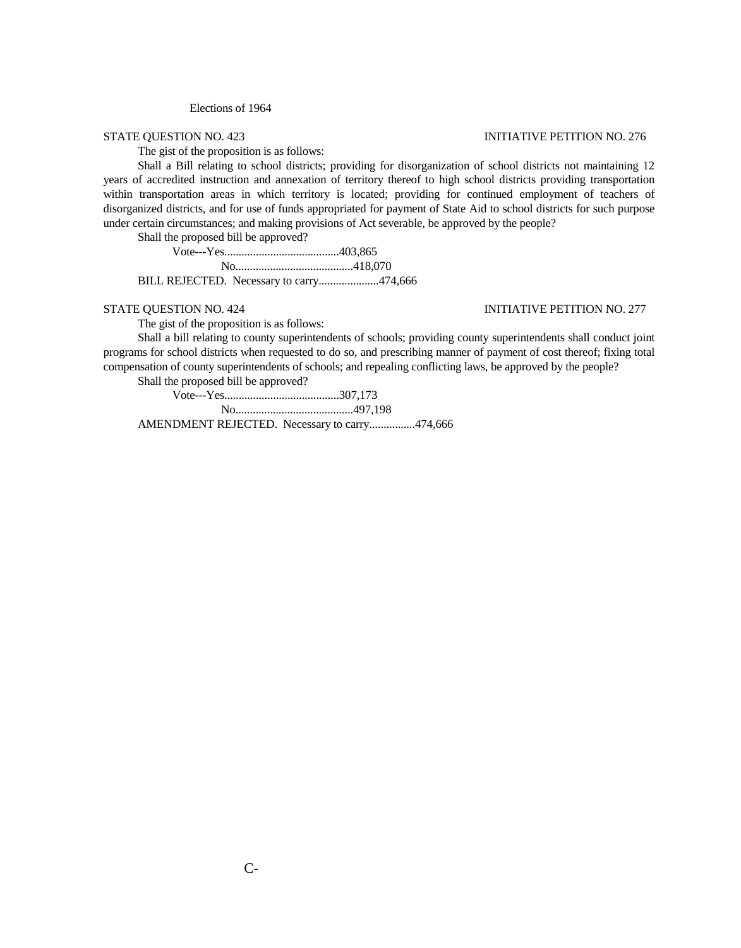The gist of the proposition is as follows:

Shall a Bill relating to school districts; providing for disorganization of school districts not maintaining 12 years of accredited instruction and annexation of territory thereof to high school districts providing transportation within transportation areas in which territory is located; providing for continued employment of teachers of disorganized districts, and for use of funds appropriated for payment of State Aid to school districts for such purpose under certain circumstances; and making provisions of Act severable, be approved by the people?

Shall the proposed bill be approved?

Vote---Yes........................................403,865 No.........................................418,070 BILL REJECTED. Necessary to carry.....................474,666

The gist of the proposition is as follows:

Shall a bill relating to county superintendents of schools; providing county superintendents shall conduct joint programs for school districts when requested to do so, and prescribing manner of payment of cost thereof; fixing total compensation of county superintendents of schools; and repealing conflicting laws, be approved by the people?

Shall the proposed bill be approved?

AMENDMENT REJECTED. Necessary to carry................474,666

### STATE QUESTION NO. 423 INITIATIVE PETITION NO. 276

#### STATE QUESTION NO. 424 INITIATIVE PETITION NO. 277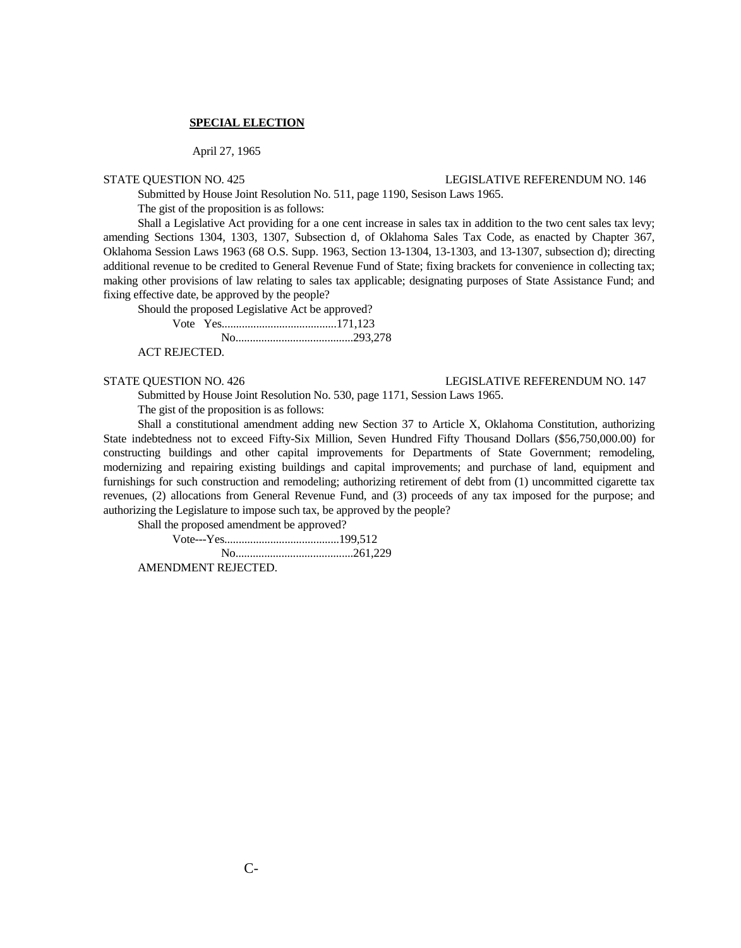#### **SPECIAL ELECTION**

April 27, 1965

### STATE QUESTION NO. 425 LEGISLATIVE REFERENDUM NO. 146

Submitted by House Joint Resolution No. 511, page 1190, Sesison Laws 1965.

The gist of the proposition is as follows:

Shall a Legislative Act providing for a one cent increase in sales tax in addition to the two cent sales tax levy; amending Sections 1304, 1303, 1307, Subsection d, of Oklahoma Sales Tax Code, as enacted by Chapter 367, Oklahoma Session Laws 1963 (68 O.S. Supp. 1963, Section 13-1304, 13-1303, and 13-1307, subsection d); directing additional revenue to be credited to General Revenue Fund of State; fixing brackets for convenience in collecting tax; making other provisions of law relating to sales tax applicable; designating purposes of State Assistance Fund; and fixing effective date, be approved by the people?

Should the proposed Legislative Act be approved?

Vote Yes........................................171,123 No.........................................293,278

ACT REJECTED.

## STATE QUESTION NO. 426 LEGISLATIVE REFERENDUM NO. 147

Submitted by House Joint Resolution No. 530, page 1171, Session Laws 1965.

The gist of the proposition is as follows:

Shall a constitutional amendment adding new Section 37 to Article X, Oklahoma Constitution, authorizing State indebtedness not to exceed Fifty-Six Million, Seven Hundred Fifty Thousand Dollars (\$56,750,000.00) for constructing buildings and other capital improvements for Departments of State Government; remodeling, modernizing and repairing existing buildings and capital improvements; and purchase of land, equipment and furnishings for such construction and remodeling; authorizing retirement of debt from (1) uncommitted cigarette tax revenues, (2) allocations from General Revenue Fund, and (3) proceeds of any tax imposed for the purpose; and authorizing the Legislature to impose such tax, be approved by the people?

Shall the proposed amendment be approved?

Vote---Yes........................................199,512 No.........................................261,229 AMENDMENT REJECTED.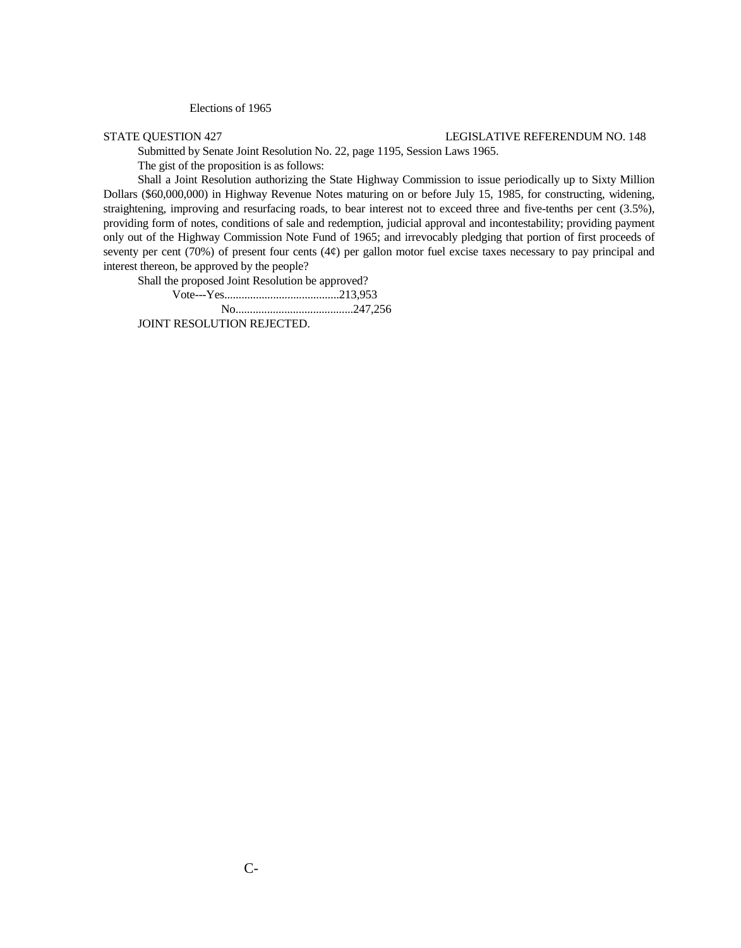### STATE QUESTION 427 LEGISLATIVE REFERENDUM NO. 148

Submitted by Senate Joint Resolution No. 22, page 1195, Session Laws 1965. The gist of the proposition is as follows:

Shall a Joint Resolution authorizing the State Highway Commission to issue periodically up to Sixty Million Dollars (\$60,000,000) in Highway Revenue Notes maturing on or before July 15, 1985, for constructing, widening, straightening, improving and resurfacing roads, to bear interest not to exceed three and five-tenths per cent (3.5%), providing form of notes, conditions of sale and redemption, judicial approval and incontestability; providing payment only out of the Highway Commission Note Fund of 1965; and irrevocably pledging that portion of first proceeds of seventy per cent (70%) of present four cents  $(4¢)$  per gallon motor fuel excise taxes necessary to pay principal and interest thereon, be approved by the people?

Shall the proposed Joint Resolution be approved?

Vote---Yes........................................213,953 No.........................................247,256

JOINT RESOLUTION REJECTED.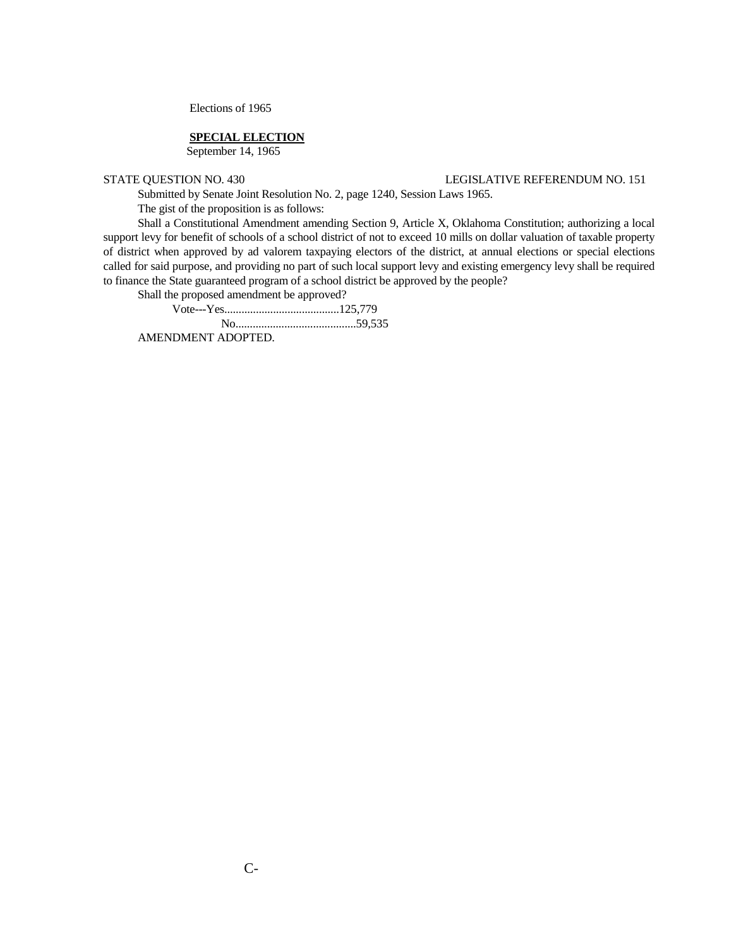### **SPECIAL ELECTION**

September 14, 1965

### STATE QUESTION NO. 430 LEGISLATIVE REFERENDUM NO. 151

Submitted by Senate Joint Resolution No. 2, page 1240, Session Laws 1965.

The gist of the proposition is as follows:

Shall a Constitutional Amendment amending Section 9, Article X, Oklahoma Constitution; authorizing a local support levy for benefit of schools of a school district of not to exceed 10 mills on dollar valuation of taxable property of district when approved by ad valorem taxpaying electors of the district, at annual elections or special elections called for said purpose, and providing no part of such local support levy and existing emergency levy shall be required to finance the State guaranteed program of a school district be approved by the people?

Shall the proposed amendment be approved?

Vote---Yes........................................125,779 No..........................................59,535

AMENDMENT ADOPTED.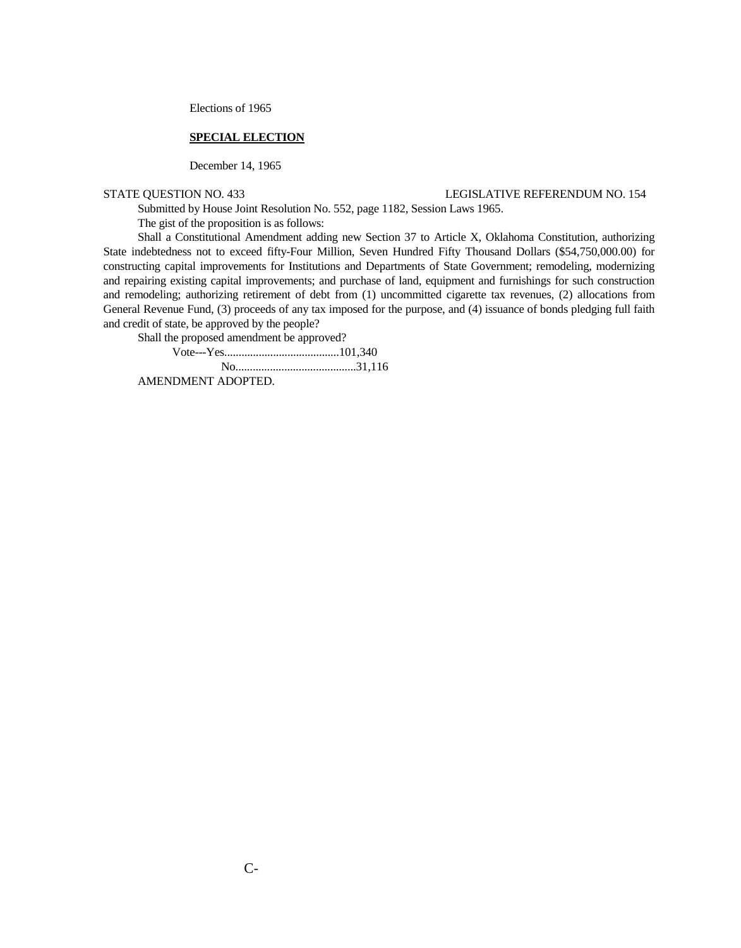## **SPECIAL ELECTION**

December 14, 1965

STATE QUESTION NO. 433 LEGISLATIVE REFERENDUM NO. 154

Submitted by House Joint Resolution No. 552, page 1182, Session Laws 1965. The gist of the proposition is as follows:

Shall a Constitutional Amendment adding new Section 37 to Article X, Oklahoma Constitution, authorizing State indebtedness not to exceed fifty-Four Million, Seven Hundred Fifty Thousand Dollars (\$54,750,000.00) for constructing capital improvements for Institutions and Departments of State Government; remodeling, modernizing and repairing existing capital improvements; and purchase of land, equipment and furnishings for such construction and remodeling; authorizing retirement of debt from (1) uncommitted cigarette tax revenues, (2) allocations from General Revenue Fund, (3) proceeds of any tax imposed for the purpose, and (4) issuance of bonds pledging full faith and credit of state, be approved by the people?

Shall the proposed amendment be approved?

| AMENDMENT ADOPTED. |  |
|--------------------|--|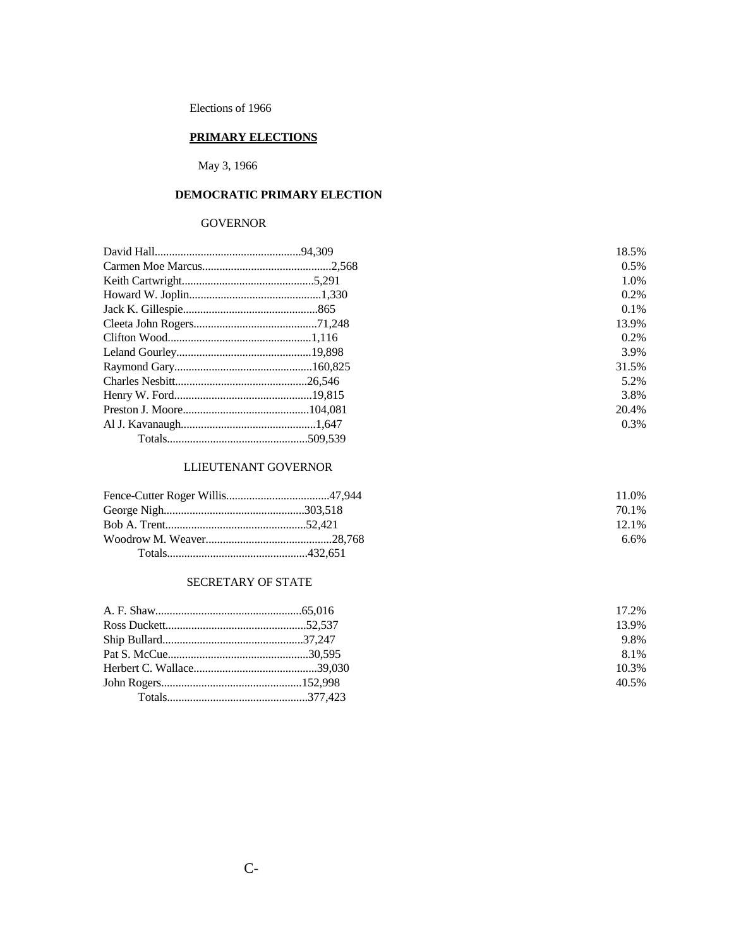## **PRIMARY ELECTIONS**

May 3, 1966

## **DEMOCRATIC PRIMARY ELECTION**

## GOVERNOR

|  | 18.5% |
|--|-------|
|  | 0.5%  |
|  | 1.0%  |
|  | 0.2%  |
|  | 0.1%  |
|  | 13.9% |
|  | 0.2%  |
|  | 3.9%  |
|  | 31.5% |
|  | 5.2%  |
|  | 3.8%  |
|  | 20.4% |
|  | 0.3%  |
|  |       |

## LLIEUTENANT GOVERNOR

|  | 11.0% |
|--|-------|
|  | 70.1% |
|  | 12.1% |
|  | 6.6%  |
|  |       |

## SECRETARY OF STATE

|  | 17.2% |
|--|-------|
|  | 13.9% |
|  | 9.8%  |
|  | 8.1%  |
|  | 10.3% |
|  | 40.5% |
|  |       |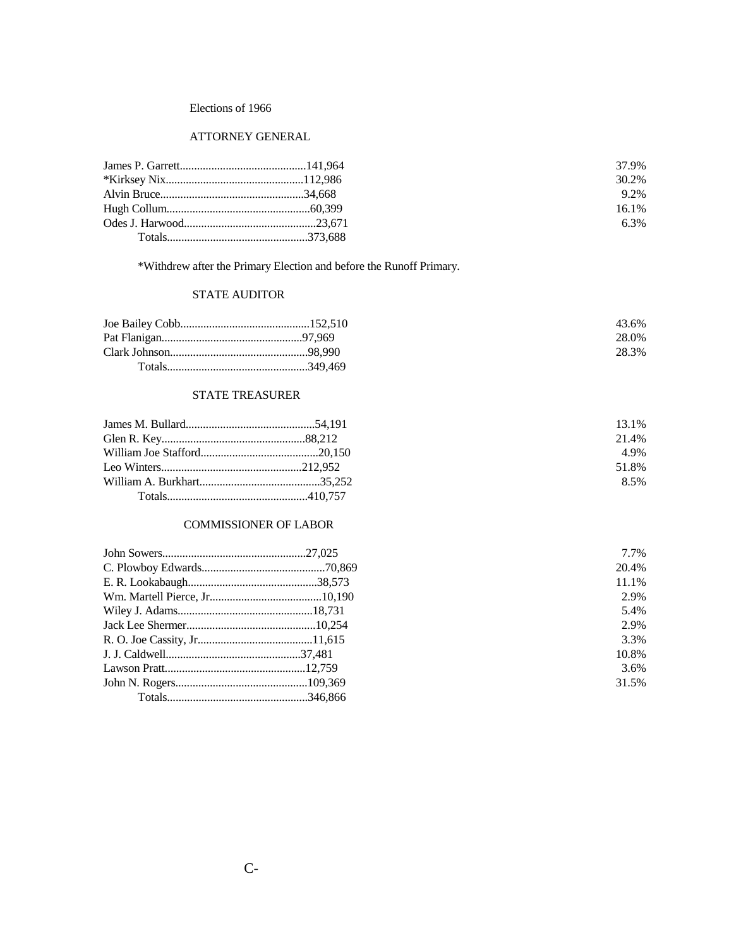### ATTORNEY GENERAL

|  | 37.9%   |
|--|---------|
|  | 30.2%   |
|  | $9.2\%$ |
|  | 16.1%   |
|  | 6.3%    |
|  |         |

\*Withdrew after the Primary Election and before the Runoff Primary.

## STATE AUDITOR

|  | 43.6% |
|--|-------|
|  | 28.0% |
|  | 28.3% |
|  |       |

## STATE TREASURER

|  | 13.1% |
|--|-------|
|  | 21.4% |
|  | 4.9%  |
|  | 51.8% |
|  | 8.5%  |
|  |       |

#### COMMISSIONER OF LABOR

|  | 7.7%  |
|--|-------|
|  | 20.4% |
|  | 11.1% |
|  | 2.9%  |
|  | 5.4%  |
|  | 2.9%  |
|  | 3.3%  |
|  | 10.8% |
|  | 3.6%  |
|  | 31.5% |
|  |       |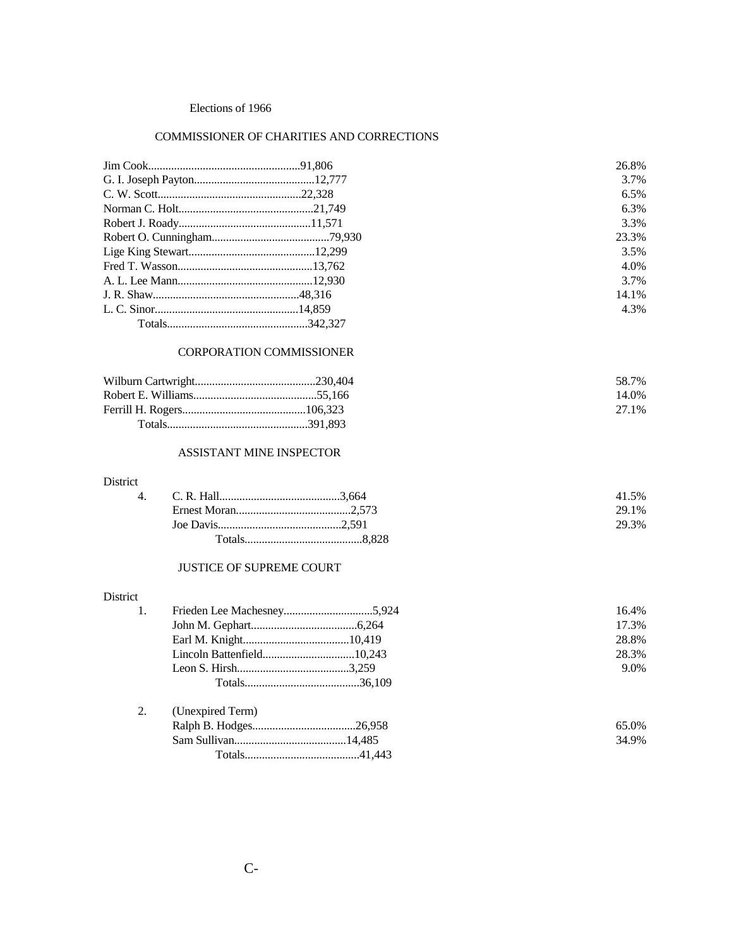## COMMISSIONER OF CHARITIES AND CORRECTIONS

|          |                                 | 26.8% |
|----------|---------------------------------|-------|
|          |                                 | 3.7%  |
|          |                                 | 6.5%  |
|          |                                 | 6.3%  |
|          |                                 | 3.3%  |
|          |                                 | 23.3% |
|          |                                 | 3.5%  |
|          |                                 | 4.0%  |
|          |                                 | 3.7%  |
|          |                                 | 14.1% |
|          |                                 | 4.3%  |
|          |                                 |       |
|          | CORPORATION COMMISSIONER        |       |
|          |                                 | 58.7% |
|          |                                 | 14.0% |
|          |                                 | 27.1% |
|          |                                 |       |
|          | <b>ASSISTANT MINE INSPECTOR</b> |       |
| District |                                 |       |
| 4.       |                                 | 41.5% |
|          |                                 | 29.1% |
|          |                                 | 29.3% |
|          |                                 |       |
|          | <b>JUSTICE OF SUPREME COURT</b> |       |
| District |                                 |       |
| 1.       |                                 | 16.4% |
|          |                                 | 17.3% |
|          |                                 | 28.8% |
|          |                                 | 28.3% |
|          |                                 | 9.0%  |
|          |                                 |       |
| 2.       | (Unexpired Term)                |       |

| 65.0% |
|-------|
| 34.9% |
|       |
|       |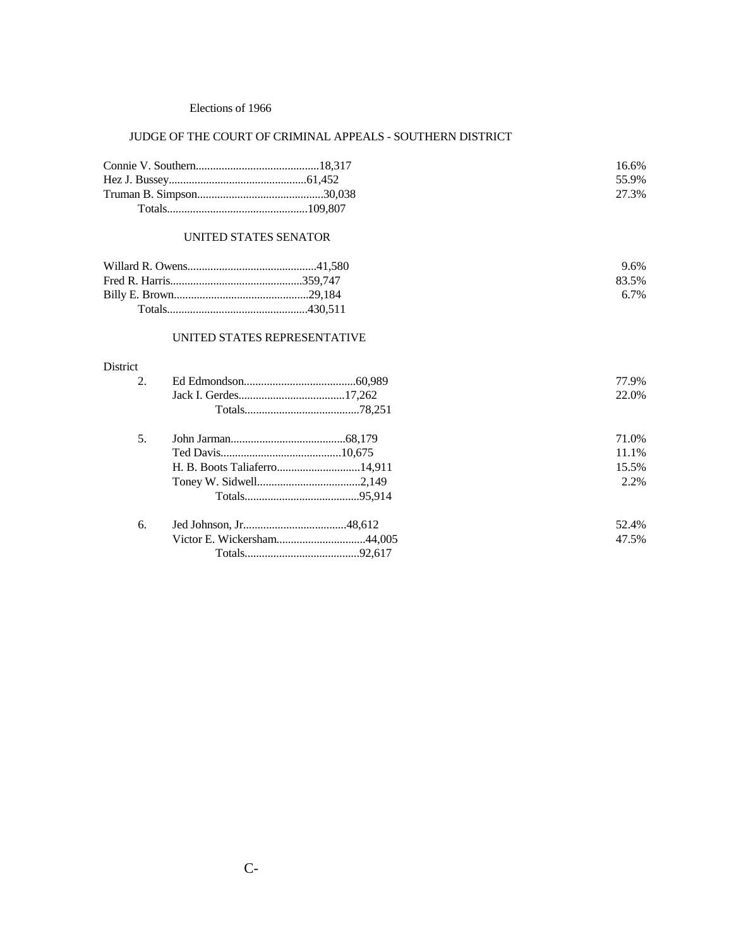## JUDGE OF THE COURT OF CRIMINAL APPEALS - SOUTHERN DISTRICT

|  | 16.6% |
|--|-------|
|  | 55.9% |
|  | 27.3% |
|  |       |

## UNITED STATES SENATOR

|  | $9.6\%$ |
|--|---------|
|  | 83.5%   |
|  | 6.7%    |
|  |         |

### UNITED STATES REPRESENTATIVE

#### District

| 2.  |                              | 77.9%   |
|-----|------------------------------|---------|
|     |                              | 22.0%   |
|     |                              |         |
| .5. |                              | 71.0%   |
|     |                              | 11.1%   |
|     | H. B. Boots Taliaferro14,911 | 15.5%   |
|     |                              | $2.2\%$ |
|     |                              |         |
| 6.  |                              | 52.4%   |
|     |                              | 47.5%   |
|     |                              |         |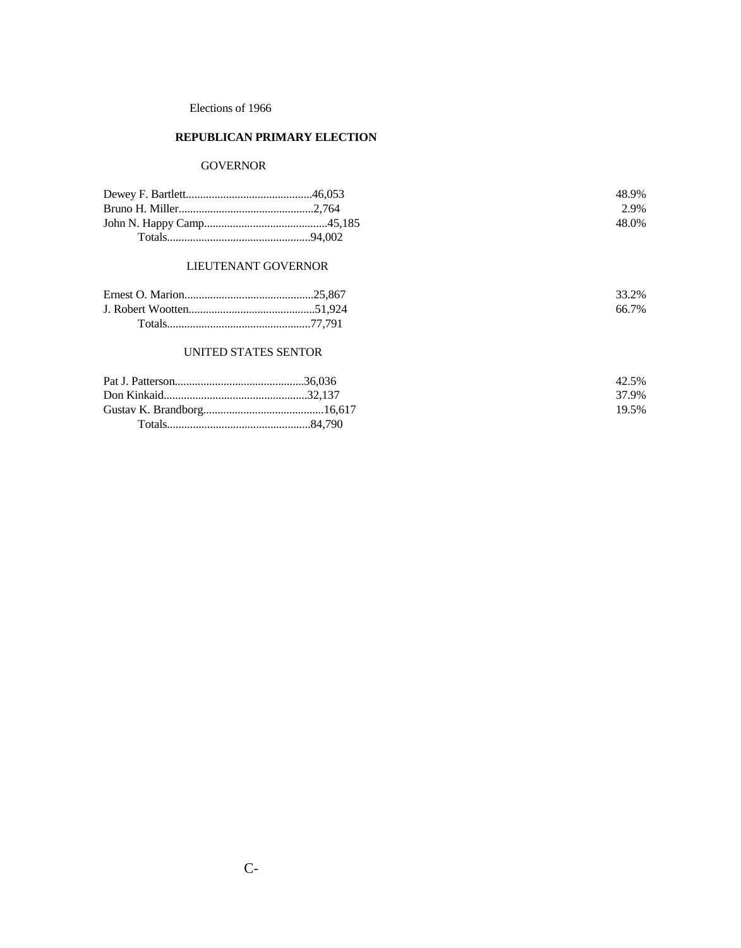## **REPUBLICAN PRIMARY ELECTION**

## GOVERNOR

|  | 48.9% |
|--|-------|
|  | 2.9%  |
|  | 48.0% |
|  |       |

## LIEUTENANT GOVERNOR

|  | 33.2% |
|--|-------|
|  | 66.7% |
|  |       |

## UNITED STATES SENTOR

|  | 42.5% |
|--|-------|
|  | 37.9% |
|  | 19.5% |
|  |       |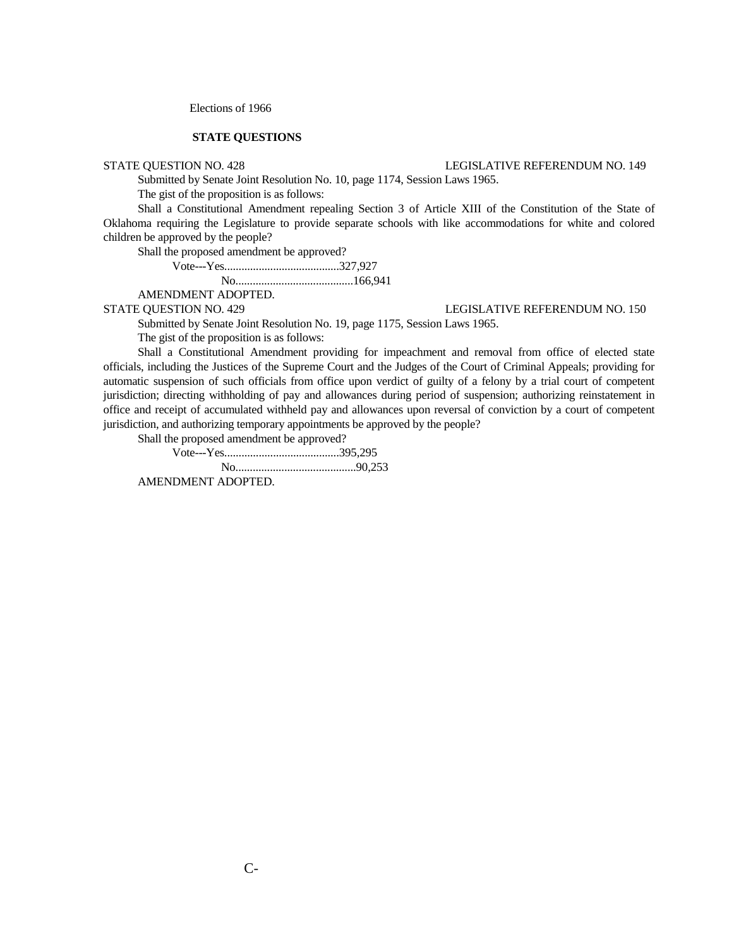## **STATE QUESTIONS**

## STATE QUESTION NO. 428 LEGISLATIVE REFERENDUM NO. 149

Submitted by Senate Joint Resolution No. 10, page 1174, Session Laws 1965.

The gist of the proposition is as follows:

Shall a Constitutional Amendment repealing Section 3 of Article XIII of the Constitution of the State of Oklahoma requiring the Legislature to provide separate schools with like accommodations for white and colored children be approved by the people?

Shall the proposed amendment be approved?

Vote---Yes........................................327,927 No.........................................166,941

AMENDMENT ADOPTED.

#### STATE QUESTION NO. 429 LEGISLATIVE REFERENDUM NO. 150

Submitted by Senate Joint Resolution No. 19, page 1175, Session Laws 1965.

The gist of the proposition is as follows:

Shall a Constitutional Amendment providing for impeachment and removal from office of elected state officials, including the Justices of the Supreme Court and the Judges of the Court of Criminal Appeals; providing for automatic suspension of such officials from office upon verdict of guilty of a felony by a trial court of competent jurisdiction; directing withholding of pay and allowances during period of suspension; authorizing reinstatement in office and receipt of accumulated withheld pay and allowances upon reversal of conviction by a court of competent jurisdiction, and authorizing temporary appointments be approved by the people?

Shall the proposed amendment be approved?

| $T_{\rm N}$ $\sim$ $T_{\rm N}$ $\sim$ $T_{\rm N}$ $\sim$ $T_{\rm N}$ $\sim$ $T_{\rm N}$ |  |
|-----------------------------------------------------------------------------------------|--|

AMENDMENT ADOPTED.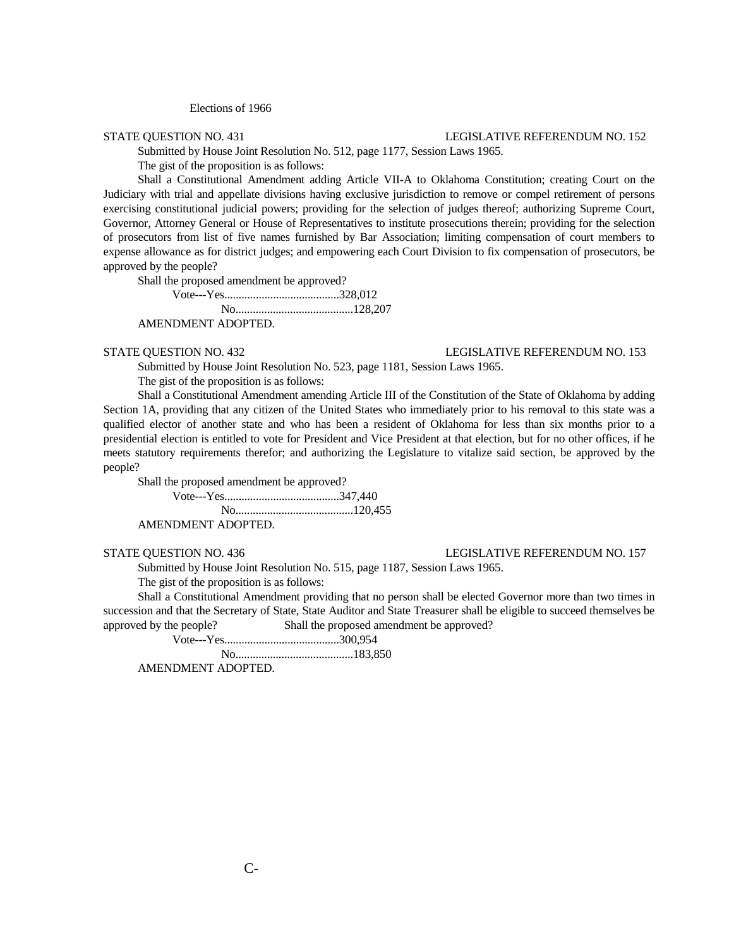### STATE QUESTION NO. 431 LEGISLATIVE REFERENDUM NO. 152

Submitted by House Joint Resolution No. 512, page 1177, Session Laws 1965. The gist of the proposition is as follows:

Shall a Constitutional Amendment adding Article VII-A to Oklahoma Constitution; creating Court on the Judiciary with trial and appellate divisions having exclusive jurisdiction to remove or compel retirement of persons exercising constitutional judicial powers; providing for the selection of judges thereof; authorizing Supreme Court, Governor, Attorney General or House of Representatives to institute prosecutions therein; providing for the selection of prosecutors from list of five names furnished by Bar Association; limiting compensation of court members to expense allowance as for district judges; and empowering each Court Division to fix compensation of prosecutors, be approved by the people?

Shall the proposed amendment be approved?

Vote---Yes........................................328,012 No.........................................128,207 AMENDMENT ADOPTED.

## STATE QUESTION NO. 432 LEGISLATIVE REFERENDUM NO. 153

Submitted by House Joint Resolution No. 523, page 1181, Session Laws 1965.

The gist of the proposition is as follows:

Shall a Constitutional Amendment amending Article III of the Constitution of the State of Oklahoma by adding Section 1A, providing that any citizen of the United States who immediately prior to his removal to this state was a qualified elector of another state and who has been a resident of Oklahoma for less than six months prior to a presidential election is entitled to vote for President and Vice President at that election, but for no other offices, if he meets statutory requirements therefor; and authorizing the Legislature to vitalize said section, be approved by the people?

Shall the proposed amendment be approved?

Vote---Yes........................................347,440 No.........................................120,455 AMENDMENT ADOPTED.

## STATE QUESTION NO. 436 LEGISLATIVE REFERENDUM NO. 157

Submitted by House Joint Resolution No. 515, page 1187, Session Laws 1965.

The gist of the proposition is as follows:

Shall a Constitutional Amendment providing that no person shall be elected Governor more than two times in succession and that the Secretary of State, State Auditor and State Treasurer shall be eligible to succeed themselves be approved by the people? Shall the proposed amendment be approved?

Vote---Yes........................................300,954

No.........................................183,850

AMENDMENT ADOPTED.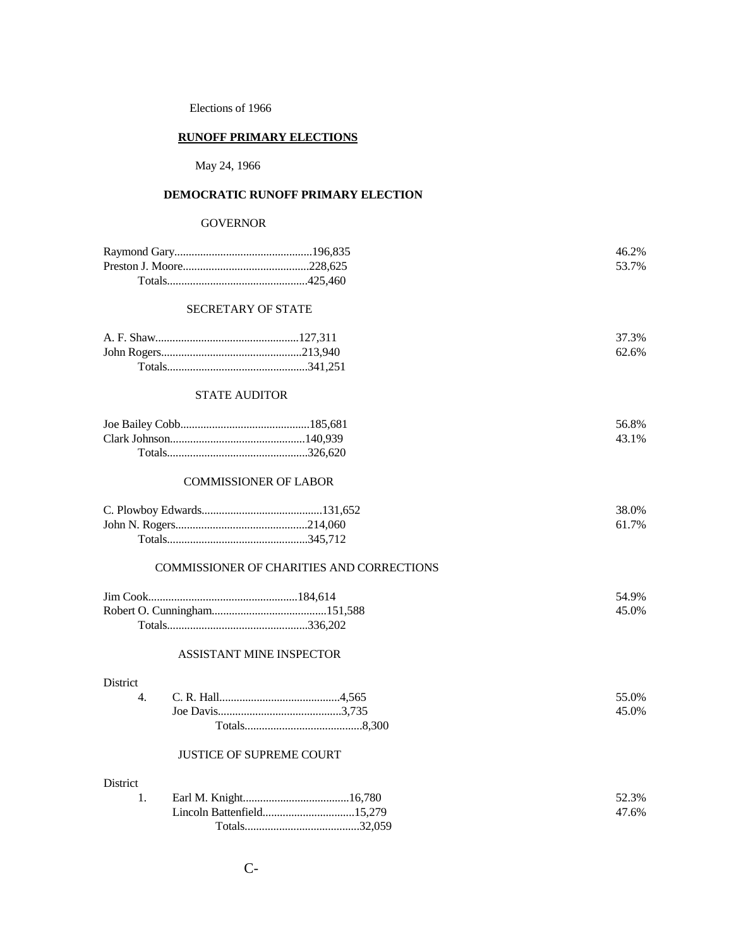## **RUNOFF PRIMARY ELECTIONS**

## May 24, 1966

## **DEMOCRATIC RUNOFF PRIMARY ELECTION**

## GOVERNOR

|          |                                 |                                           | 46.2%          |
|----------|---------------------------------|-------------------------------------------|----------------|
|          |                                 |                                           | 53.7%          |
|          |                                 |                                           |                |
|          | <b>SECRETARY OF STATE</b>       |                                           |                |
|          |                                 |                                           |                |
|          |                                 |                                           | 37.3%          |
|          |                                 |                                           | 62.6%          |
|          |                                 |                                           |                |
|          | <b>STATE AUDITOR</b>            |                                           |                |
|          |                                 |                                           | 56.8%          |
|          |                                 |                                           | 43.1%          |
|          |                                 |                                           |                |
|          |                                 |                                           |                |
|          | <b>COMMISSIONER OF LABOR</b>    |                                           |                |
|          |                                 |                                           | 38.0%          |
|          |                                 |                                           | 61.7%          |
|          |                                 |                                           |                |
|          |                                 | COMMISSIONER OF CHARITIES AND CORRECTIONS |                |
|          |                                 |                                           |                |
|          |                                 |                                           | 54.9%<br>45.0% |
|          |                                 |                                           |                |
|          |                                 |                                           |                |
|          | ASSISTANT MINE INSPECTOR        |                                           |                |
| District |                                 |                                           |                |
| 4.       |                                 |                                           | 55.0%          |
|          |                                 |                                           | 45.0%          |
|          |                                 |                                           |                |
|          | <b>JUSTICE OF SUPREME COURT</b> |                                           |                |
|          |                                 |                                           |                |
| District |                                 |                                           |                |
| 1.       |                                 |                                           | 52.3%          |
|          |                                 |                                           | 47.6%          |
|          |                                 |                                           |                |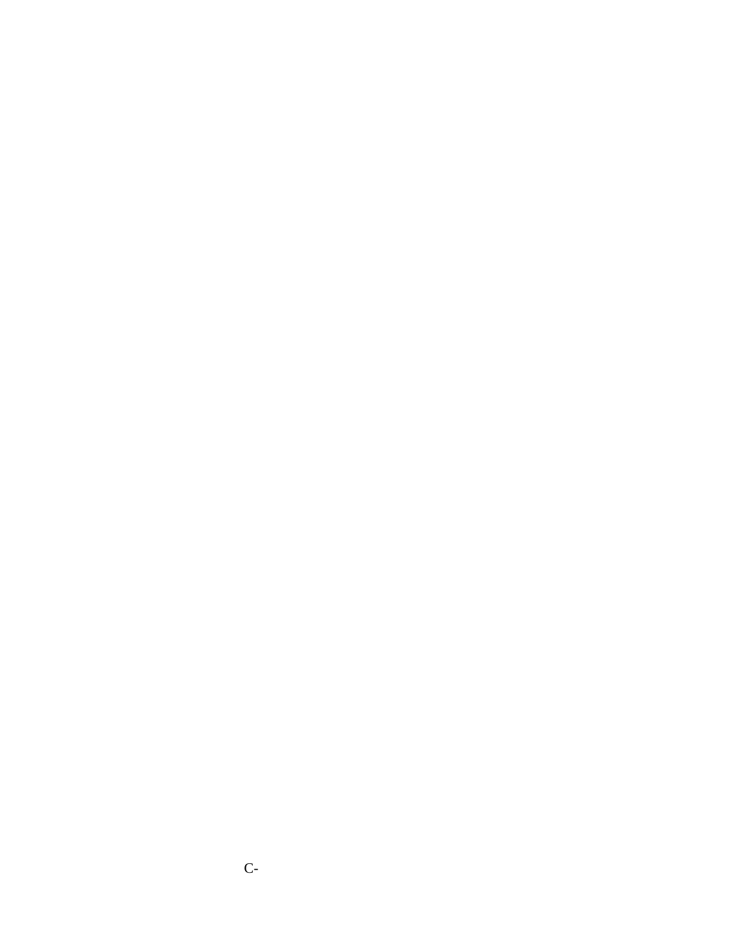# C-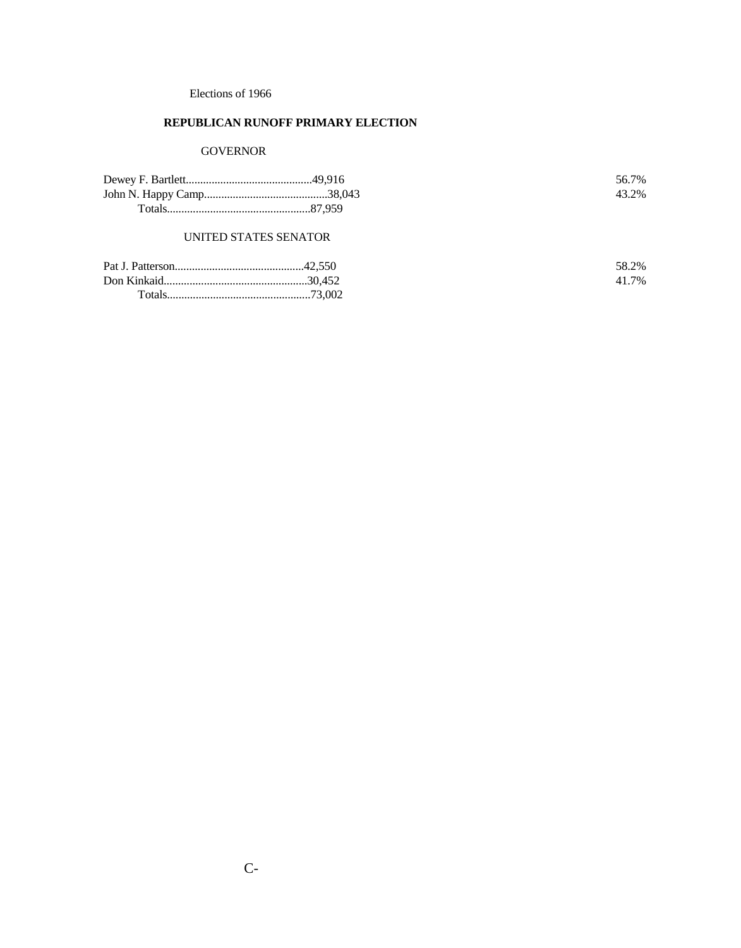## **REPUBLICAN RUNOFF PRIMARY ELECTION**

## GOVERNOR

|  | 56.7% |
|--|-------|
|  | 43.2% |
|  |       |

## UNITED STATES SENATOR

|  | 58.2% |
|--|-------|
|  | 41.7% |
|  |       |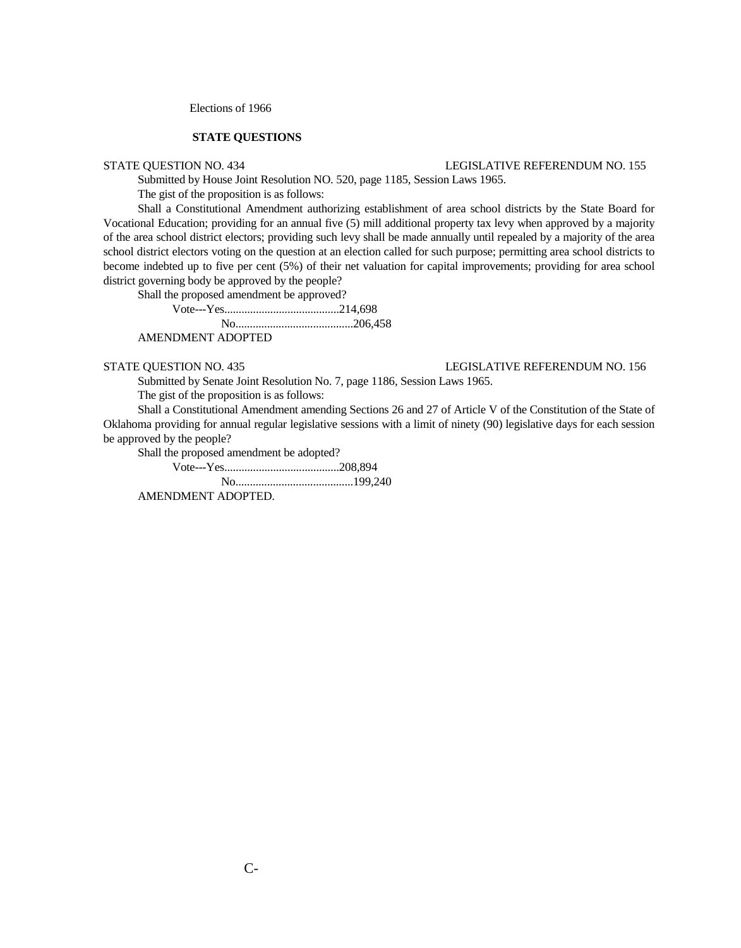## **STATE QUESTIONS**

### STATE QUESTION NO. 434 LEGISLATIVE REFERENDUM NO. 155

Submitted by House Joint Resolution NO. 520, page 1185, Session Laws 1965. The gist of the proposition is as follows:

Shall a Constitutional Amendment authorizing establishment of area school districts by the State Board for Vocational Education; providing for an annual five (5) mill additional property tax levy when approved by a majority of the area school district electors; providing such levy shall be made annually until repealed by a majority of the area school district electors voting on the question at an election called for such purpose; permitting area school districts to become indebted up to five per cent (5%) of their net valuation for capital improvements; providing for area school district governing body be approved by the people?

Shall the proposed amendment be approved?

## AMENDMENT ADOPTED

#### STATE QUESTION NO. 435 LEGISLATIVE REFERENDUM NO. 156

Submitted by Senate Joint Resolution No. 7, page 1186, Session Laws 1965.

The gist of the proposition is as follows:

Shall a Constitutional Amendment amending Sections 26 and 27 of Article V of the Constitution of the State of Oklahoma providing for annual regular legislative sessions with a limit of ninety (90) legislative days for each session be approved by the people?

Shall the proposed amendment be adopted?

AMENDMENT ADOPTED.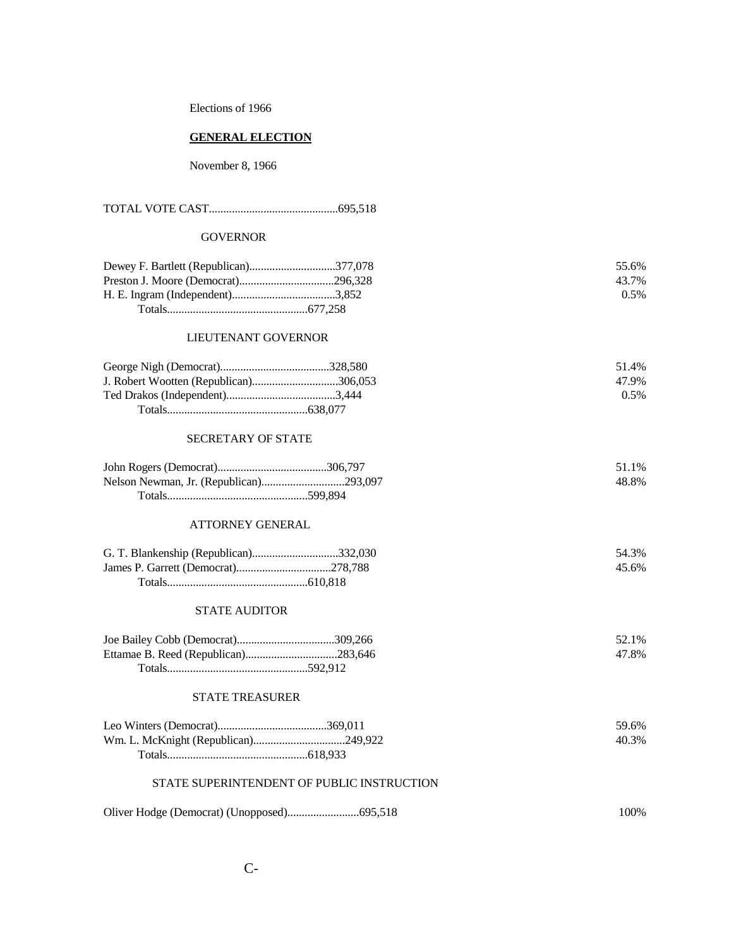## **GENERAL ELECTION**

## November 8, 1966

| <b>GOVERNOR</b>                            |                        |
|--------------------------------------------|------------------------|
| Dewey F. Bartlett (Republican)377,078      | 55.6%<br>43.7%<br>0.5% |
| LIEUTENANT GOVERNOR                        |                        |
| J. Robert Wootten (Republican)306,053      | 51.4%<br>47.9%<br>0.5% |
| <b>SECRETARY OF STATE</b>                  |                        |
| Nelson Newman, Jr. (Republican)293,097     | 51.1%<br>48.8%         |
| <b>ATTORNEY GENERAL</b>                    |                        |
| G. T. Blankenship (Republican)332,030      | 54.3%<br>45.6%         |
| <b>STATE AUDITOR</b>                       |                        |
|                                            | 52.1%<br>47.8%         |
| <b>STATE TREASURER</b>                     |                        |
| Wm. L. McKnight (Republican)249,922        | 59.6%<br>40.3%         |
| STATE SUPERINTENDENT OF PUBLIC INSTRUCTION |                        |
|                                            | 100%                   |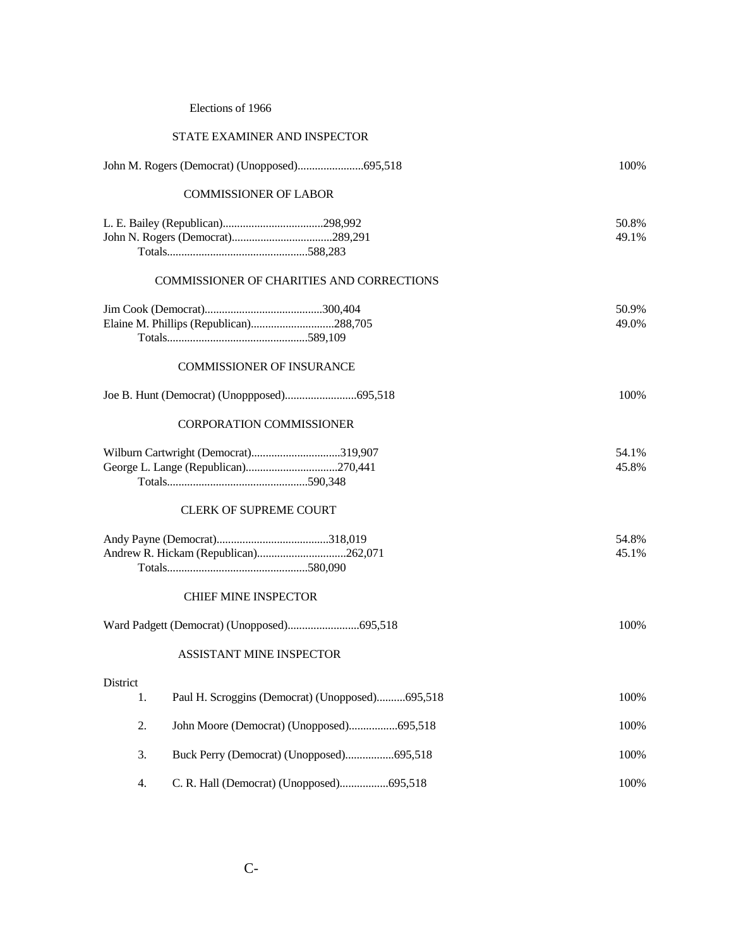| STATE EXAMINER AND INSPECTOR                                      |                |
|-------------------------------------------------------------------|----------------|
|                                                                   | 100%           |
| <b>COMMISSIONER OF LABOR</b>                                      |                |
|                                                                   | 50.8%<br>49.1% |
| COMMISSIONER OF CHARITIES AND CORRECTIONS                         |                |
| Elaine M. Phillips (Republican)288,705                            | 50.9%<br>49.0% |
| <b>COMMISSIONER OF INSURANCE</b>                                  |                |
|                                                                   | 100%           |
| <b>CORPORATION COMMISSIONER</b>                                   |                |
| Wilburn Cartwright (Democrat)319,907                              |                |
| <b>CLERK OF SUPREME COURT</b>                                     |                |
| Andrew R. Hickam (Republican)262,071                              | 54.8%<br>45.1% |
| <b>CHIEF MINE INSPECTOR</b>                                       |                |
|                                                                   | 100%           |
| <b>ASSISTANT MINE INSPECTOR</b>                                   |                |
| District<br>Paul H. Scroggins (Democrat) (Unopposed)695,518<br>1. | 100%           |
| 2.<br>John Moore (Democrat) (Unopposed)695,518                    | 100%           |
| 3.<br>Buck Perry (Democrat) (Unopposed)695,518                    | 100%           |
| 4.                                                                | 100%           |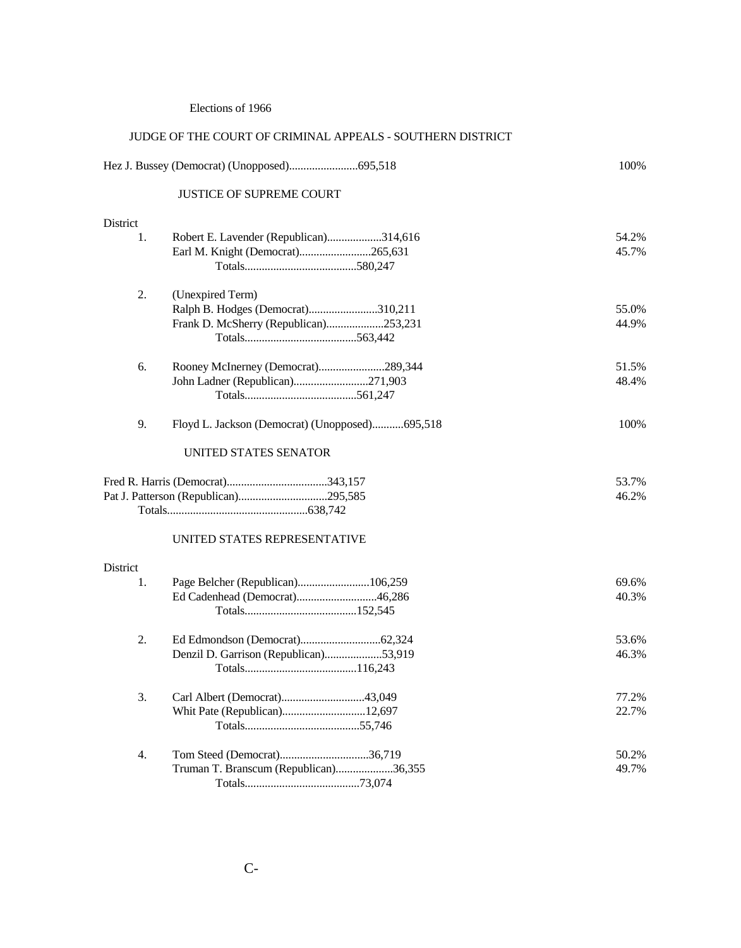## JUDGE OF THE COURT OF CRIMINAL APPEALS - SOUTHERN DISTRICT

|          |                                                | 100%  |
|----------|------------------------------------------------|-------|
|          | <b>JUSTICE OF SUPREME COURT</b>                |       |
| District |                                                |       |
| 1.       | Robert E. Lavender (Republican)314,616         | 54.2% |
|          | Earl M. Knight (Democrat)265,631               | 45.7% |
|          |                                                |       |
| 2.       | (Unexpired Term)                               |       |
|          | Ralph B. Hodges (Democrat)310,211              | 55.0% |
|          | Frank D. McSherry (Republican)253,231          | 44.9% |
|          |                                                |       |
| 6.       | Rooney McInerney (Democrat)289,344             | 51.5% |
|          | John Ladner (Republican)271,903                | 48.4% |
|          |                                                |       |
| 9.       | Floyd L. Jackson (Democrat) (Unopposed)695,518 | 100%  |
|          | UNITED STATES SENATOR                          |       |
|          |                                                | 53.7% |
|          |                                                | 46.2% |
|          |                                                |       |
|          | UNITED STATES REPRESENTATIVE                   |       |
| District |                                                |       |
| 1.       | Page Belcher (Republican)106,259               | 69.6% |
|          | Ed Cadenhead (Democrat)46,286                  | 40.3% |
|          |                                                |       |
| 2.       |                                                | 53.6% |
|          | Denzil D. Garrison (Republican)53,919          | 46.3% |
|          |                                                |       |
| 3.       | Carl Albert (Democrat)43,049                   | 77.2% |
|          | Whit Pate (Republican)12,697                   | 22.7% |
|          |                                                |       |
| 4.       | Tom Steed (Democrat)36,719                     | 50.2% |
|          | Truman T. Branscum (Republican)36,355          | 49.7% |
|          |                                                |       |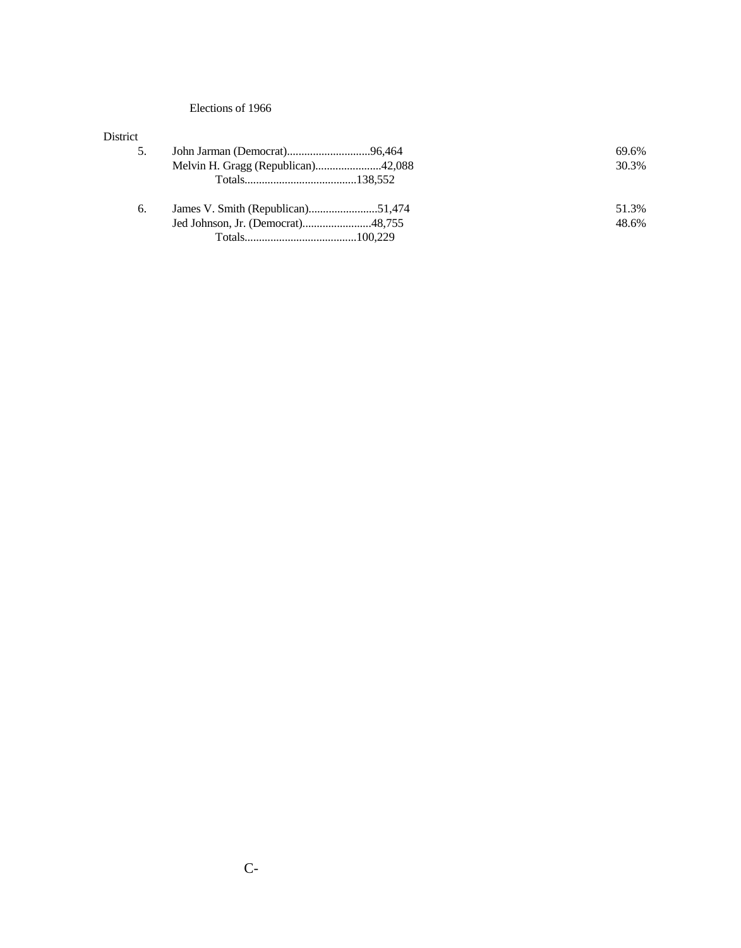## District

|    |                                    | 69.6% |
|----|------------------------------------|-------|
|    | Melvin H. Gragg (Republican)42,088 | 30.3% |
|    |                                    |       |
| 6. |                                    | 51.3% |
|    |                                    | 48.6% |
|    |                                    |       |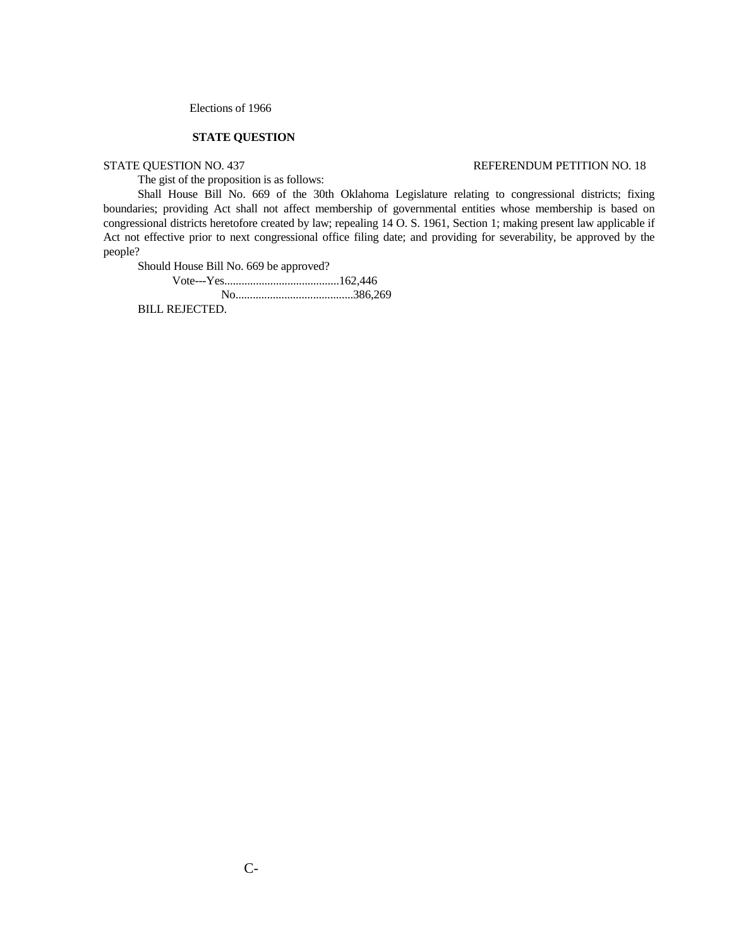## **STATE QUESTION**

The gist of the proposition is as follows:

Shall House Bill No. 669 of the 30th Oklahoma Legislature relating to congressional districts; fixing boundaries; providing Act shall not affect membership of governmental entities whose membership is based on congressional districts heretofore created by law; repealing 14 O. S. 1961, Section 1; making present law applicable if Act not effective prior to next congressional office filing date; and providing for severability, be approved by the people?

Should House Bill No. 669 be approved?

Vote---Yes........................................162,446 No.........................................386,269

BILL REJECTED.

## STATE QUESTION NO. 437 REFERENDUM PETITION NO. 18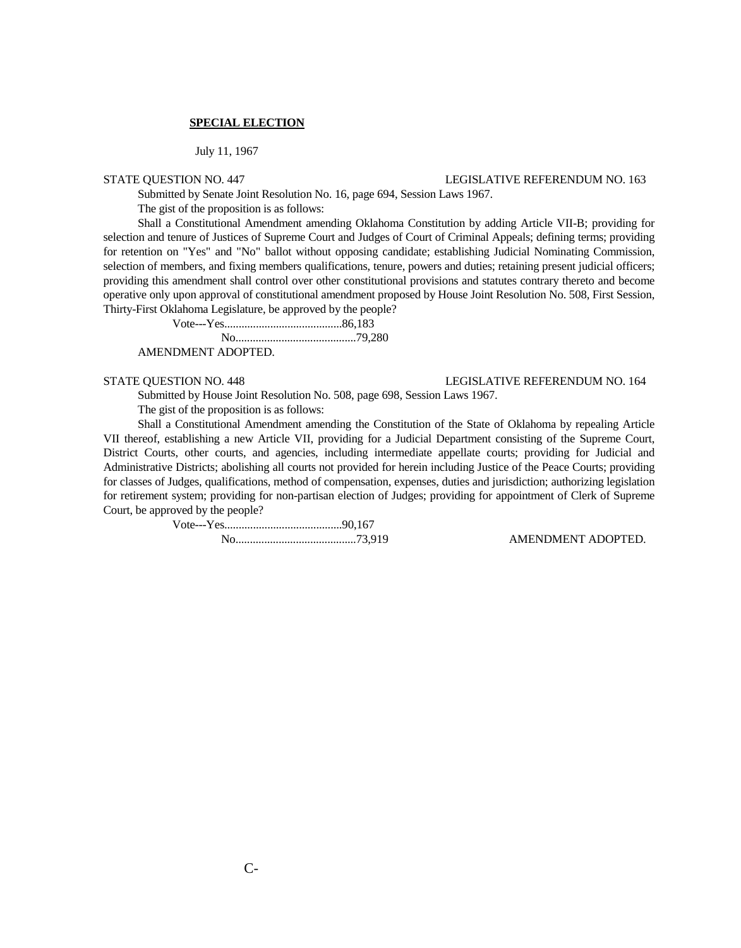#### **SPECIAL ELECTION**

July 11, 1967

## STATE OUESTION NO. 447 LEGISLATIVE REFERENDUM NO. 163

Submitted by Senate Joint Resolution No. 16, page 694, Session Laws 1967.

The gist of the proposition is as follows:

Shall a Constitutional Amendment amending Oklahoma Constitution by adding Article VII-B; providing for selection and tenure of Justices of Supreme Court and Judges of Court of Criminal Appeals; defining terms; providing for retention on "Yes" and "No" ballot without opposing candidate; establishing Judicial Nominating Commission, selection of members, and fixing members qualifications, tenure, powers and duties; retaining present judicial officers; providing this amendment shall control over other constitutional provisions and statutes contrary thereto and become operative only upon approval of constitutional amendment proposed by House Joint Resolution No. 508, First Session, Thirty-First Oklahoma Legislature, be approved by the people?

Vote---Yes.........................................86,183

No..........................................79,280

AMENDMENT ADOPTED.

### STATE QUESTION NO. 448 LEGISLATIVE REFERENDUM NO. 164

Submitted by House Joint Resolution No. 508, page 698, Session Laws 1967.

The gist of the proposition is as follows:

Shall a Constitutional Amendment amending the Constitution of the State of Oklahoma by repealing Article VII thereof, establishing a new Article VII, providing for a Judicial Department consisting of the Supreme Court, District Courts, other courts, and agencies, including intermediate appellate courts; providing for Judicial and Administrative Districts; abolishing all courts not provided for herein including Justice of the Peace Courts; providing for classes of Judges, qualifications, method of compensation, expenses, duties and jurisdiction; authorizing legislation for retirement system; providing for non-partisan election of Judges; providing for appointment of Clerk of Supreme Court, be approved by the people?

> Vote---Yes.........................................90,167 No..........................................73,919 AMENDMENT ADOPTED.